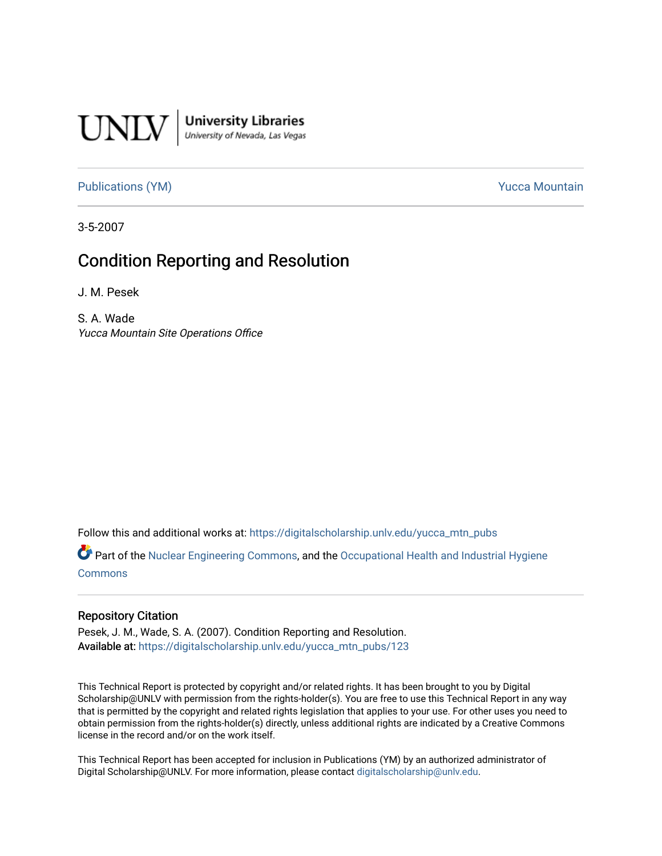

[Publications \(YM\)](https://digitalscholarship.unlv.edu/yucca_mtn_pubs) **Publications** (YM) **Publications** (YM)

3-5-2007

# Condition Reporting and Resolution

J. M. Pesek

S. A. Wade Yucca Mountain Site Operations Office

Follow this and additional works at: [https://digitalscholarship.unlv.edu/yucca\\_mtn\\_pubs](https://digitalscholarship.unlv.edu/yucca_mtn_pubs?utm_source=digitalscholarship.unlv.edu%2Fyucca_mtn_pubs%2F123&utm_medium=PDF&utm_campaign=PDFCoverPages)

 $\bullet$  Part of the [Nuclear Engineering Commons](http://network.bepress.com/hgg/discipline/314?utm_source=digitalscholarship.unlv.edu%2Fyucca_mtn_pubs%2F123&utm_medium=PDF&utm_campaign=PDFCoverPages), and the Occupational Health and Industrial Hygiene [Commons](http://network.bepress.com/hgg/discipline/742?utm_source=digitalscholarship.unlv.edu%2Fyucca_mtn_pubs%2F123&utm_medium=PDF&utm_campaign=PDFCoverPages)

#### Repository Citation

Pesek, J. M., Wade, S. A. (2007). Condition Reporting and Resolution. Available at: [https://digitalscholarship.unlv.edu/yucca\\_mtn\\_pubs/123](https://digitalscholarship.unlv.edu/yucca_mtn_pubs/123) 

This Technical Report is protected by copyright and/or related rights. It has been brought to you by Digital Scholarship@UNLV with permission from the rights-holder(s). You are free to use this Technical Report in any way that is permitted by the copyright and related rights legislation that applies to your use. For other uses you need to obtain permission from the rights-holder(s) directly, unless additional rights are indicated by a Creative Commons license in the record and/or on the work itself.

This Technical Report has been accepted for inclusion in Publications (YM) by an authorized administrator of Digital Scholarship@UNLV. For more information, please contact [digitalscholarship@unlv.edu](mailto:digitalscholarship@unlv.edu).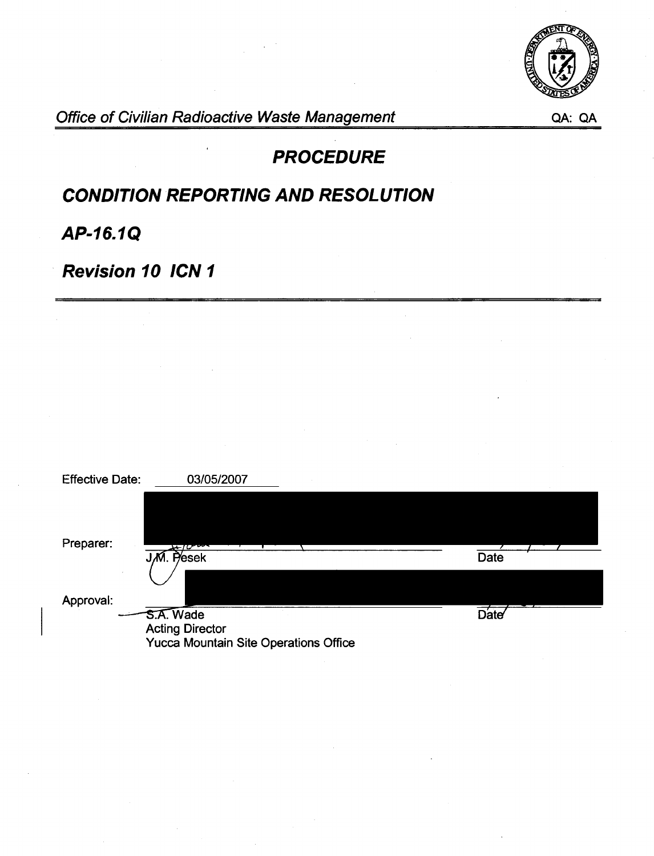

Office of Civilian Radioactive Waste Management QA: QA: QA

# **PROCEDURE**

# **CONDITION REPORTING AND RESOLUTION**

**AP-16.1Q** 

**Revision 10 ICN 1** 

| <b>Effective Date:</b> | 03/05/2007                            |      |
|------------------------|---------------------------------------|------|
|                        |                                       |      |
|                        |                                       |      |
| Preparer:              | $\sqrt{10}$                           |      |
|                        | J.M. Pesek                            | Date |
|                        |                                       |      |
| Approval:              |                                       |      |
|                        | S.A. Wade                             | Date |
|                        | <b>Acting Director</b>                |      |
|                        | Yucca Mountain Site Operations Office |      |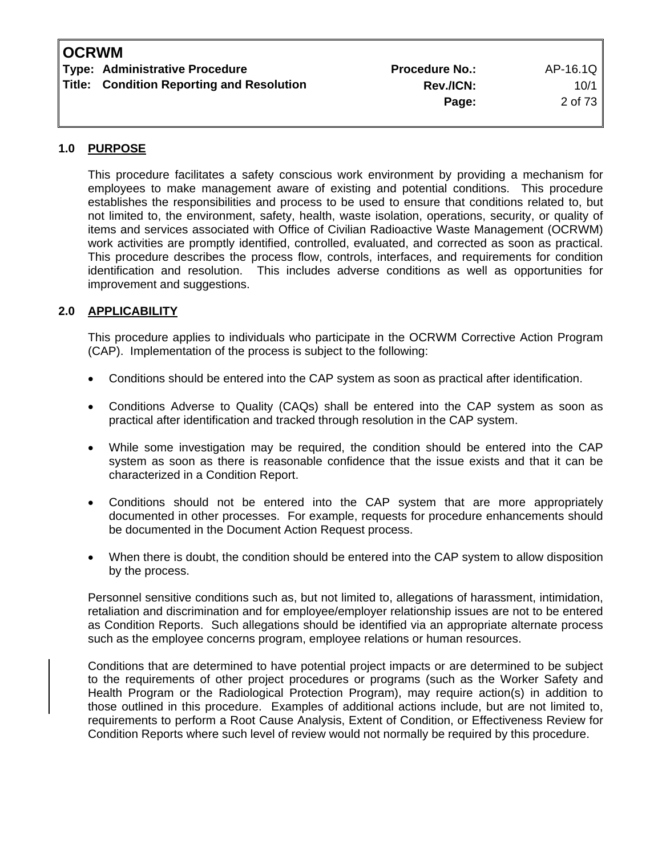# **OCRWM**

| <b>Type: Administrative Procedure</b>     | <b>Procedure No.:</b> | AP-16.1Q  |
|-------------------------------------------|-----------------------|-----------|
| Title: Condition Reporting and Resolution | <b>Rev./ICN:</b>      | $10/1$    |
|                                           | Page:                 | 2 of 73 I |

# **1.0 PURPOSE**

 This procedure facilitates a safety conscious work environment by providing a mechanism for employees to make management aware of existing and potential conditions. This procedure establishes the responsibilities and process to be used to ensure that conditions related to, but not limited to, the environment, safety, health, waste isolation, operations, security, or quality of items and services associated with Office of Civilian Radioactive Waste Management (OCRWM) work activities are promptly identified, controlled, evaluated, and corrected as soon as practical. This procedure describes the process flow, controls, interfaces, and requirements for condition identification and resolution. This includes adverse conditions as well as opportunities for improvement and suggestions.

# **2.0 APPLICABILITY**

 This procedure applies to individuals who participate in the OCRWM Corrective Action Program (CAP). Implementation of the process is subject to the following:

- Conditions should be entered into the CAP system as soon as practical after identification.
- Conditions Adverse to Quality (CAQs) shall be entered into the CAP system as soon as practical after identification and tracked through resolution in the CAP system.
- While some investigation may be required, the condition should be entered into the CAP system as soon as there is reasonable confidence that the issue exists and that it can be characterized in a Condition Report.
- Conditions should not be entered into the CAP system that are more appropriately documented in other processes. For example, requests for procedure enhancements should be documented in the Document Action Request process.
- When there is doubt, the condition should be entered into the CAP system to allow disposition by the process.

 Personnel sensitive conditions such as, but not limited to, allegations of harassment, intimidation, retaliation and discrimination and for employee/employer relationship issues are not to be entered as Condition Reports. Such allegations should be identified via an appropriate alternate process such as the employee concerns program, employee relations or human resources.

 Conditions that are determined to have potential project impacts or are determined to be subject to the requirements of other project procedures or programs (such as the Worker Safety and Health Program or the Radiological Protection Program), may require action(s) in addition to those outlined in this procedure. Examples of additional actions include, but are not limited to, requirements to perform a Root Cause Analysis, Extent of Condition, or Effectiveness Review for Condition Reports where such level of review would not normally be required by this procedure.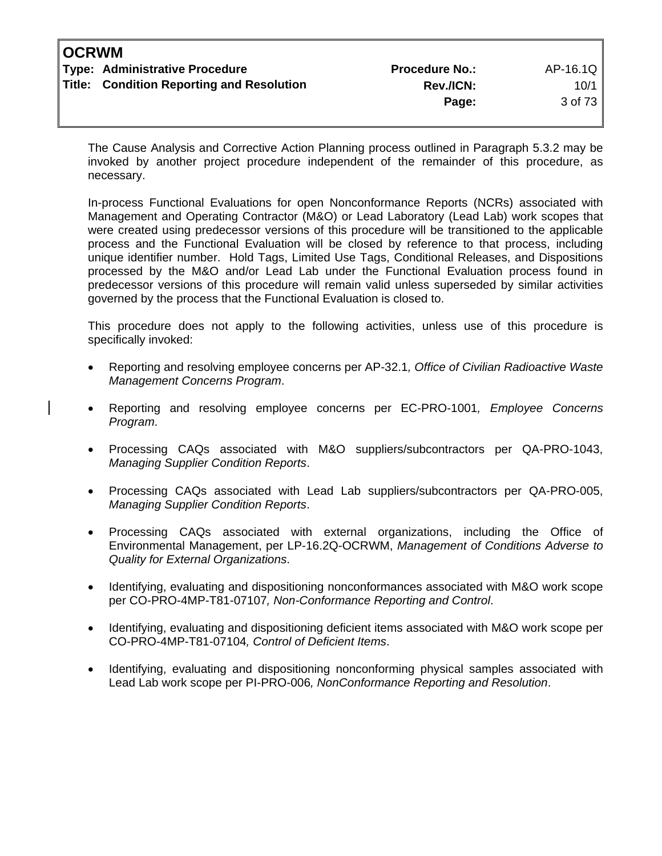| <b>OCRWM</b> |                                           |                       |          |
|--------------|-------------------------------------------|-----------------------|----------|
|              | Type: Administrative Procedure            | <b>Procedure No.:</b> | AP-16.1Q |
|              | Title: Condition Reporting and Resolution | <b>Rev./ICN:</b>      | 10/1     |
|              |                                           | Page:                 | 3 of 73  |
|              |                                           |                       |          |

The Cause Analysis and Corrective Action Planning process outlined in Paragraph 5.3.2 may be invoked by another project procedure independent of the remainder of this procedure, as necessary.

In-process Functional Evaluations for open Nonconformance Reports (NCRs) associated with Management and Operating Contractor (M&O) or Lead Laboratory (Lead Lab) work scopes that were created using predecessor versions of this procedure will be transitioned to the applicable process and the Functional Evaluation will be closed by reference to that process, including unique identifier number. Hold Tags, Limited Use Tags, Conditional Releases, and Dispositions processed by the M&O and/or Lead Lab under the Functional Evaluation process found in predecessor versions of this procedure will remain valid unless superseded by similar activities governed by the process that the Functional Evaluation is closed to.

 This procedure does not apply to the following activities, unless use of this procedure is specifically invoked:

- Reporting and resolving employee concerns per AP-32.1*, Office of Civilian Radioactive Waste Management Concerns Program*.
- Reporting and resolving employee concerns per EC-PRO-1001*, Employee Concerns Program*.
- Processing CAQs associated with M&O suppliers/subcontractors per QA-PRO-1043, *Managing Supplier Condition Reports*.
- Processing CAQs associated with Lead Lab suppliers/subcontractors per QA-PRO-005, *Managing Supplier Condition Reports*.
- Processing CAQs associated with external organizations, including the Office of Environmental Management, per LP-16.2Q-OCRWM, *Management of Conditions Adverse to Quality for External Organizations*.
- Identifying, evaluating and dispositioning nonconformances associated with M&O work scope per CO-PRO-4MP-T81-07107*, Non-Conformance Reporting and Control*.
- Identifying, evaluating and dispositioning deficient items associated with M&O work scope per CO-PRO-4MP-T81-07104*, Control of Deficient Items*.
- Identifying, evaluating and dispositioning nonconforming physical samples associated with Lead Lab work scope per PI-PRO-006*, NonConformance Reporting and Resolution*.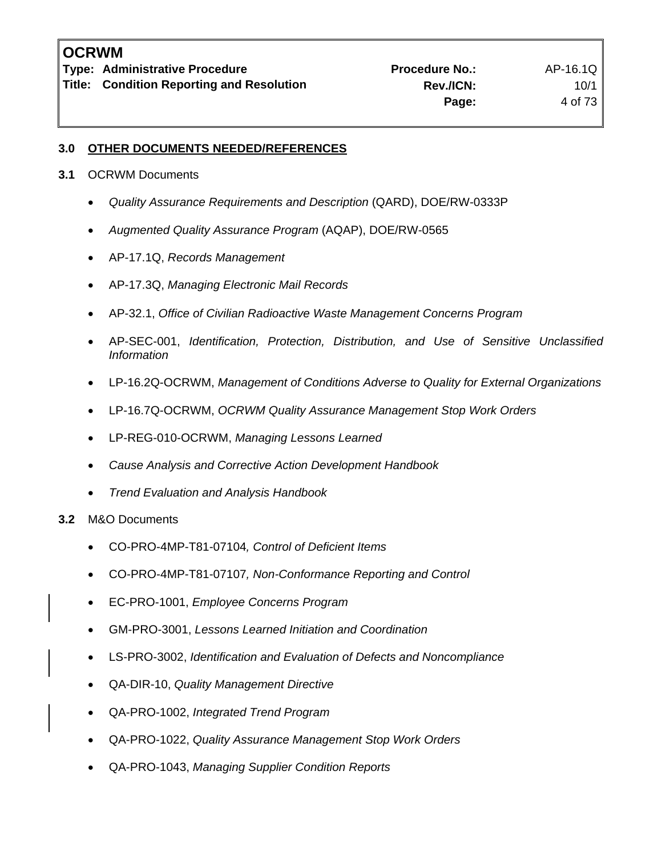**Type: Administrative Procedure No.: Procedure No.:** AP-16.1Q

**Title: Condition Reporting and Resolution Concrete Condition Rev./ICN:** 10/1

# **3.0 OTHER DOCUMENTS NEEDED/REFERENCES**

- **3.1** OCRWM Documents
	- *Quality Assurance Requirements and Description* (QARD), DOE/RW-0333P
	- *Augmented Quality Assurance Program* (AQAP), DOE/RW-0565
	- AP-17.1Q, *Records Management*
	- AP-17.3Q, *Managing Electronic Mail Records*
	- AP-32.1, *Office of Civilian Radioactive Waste Management Concerns Program*
	- AP-SEC-001, *Identification, Protection, Distribution, and Use of Sensitive Unclassified Information*
	- LP-16.2Q-OCRWM, *Management of Conditions Adverse to Quality for External Organizations*
	- LP-16.7Q-OCRWM, *OCRWM Quality Assurance Management Stop Work Orders*
	- LP-REG-010-OCRWM, *Managing Lessons Learned*
	- *Cause Analysis and Corrective Action Development Handbook*
	- *Trend Evaluation and Analysis Handbook*
- **3.2** M&O Documents
	- CO-PRO-4MP-T81-07104*, Control of Deficient Items*
	- CO-PRO-4MP-T81-07107*, Non-Conformance Reporting and Control*
	- EC-PRO-1001, *Employee Concerns Program*
	- GM-PRO-3001, *Lessons Learned Initiation and Coordination*
	- LS-PRO-3002, *Identification and Evaluation of Defects and Noncompliance*
	- QA-DIR-10, *Quality Management Directive*
	- QA-PRO-1002, *Integrated Trend Program*
	- QA-PRO-1022, *Quality Assurance Management Stop Work Orders*
	- QA-PRO-1043, *Managing Supplier Condition Reports*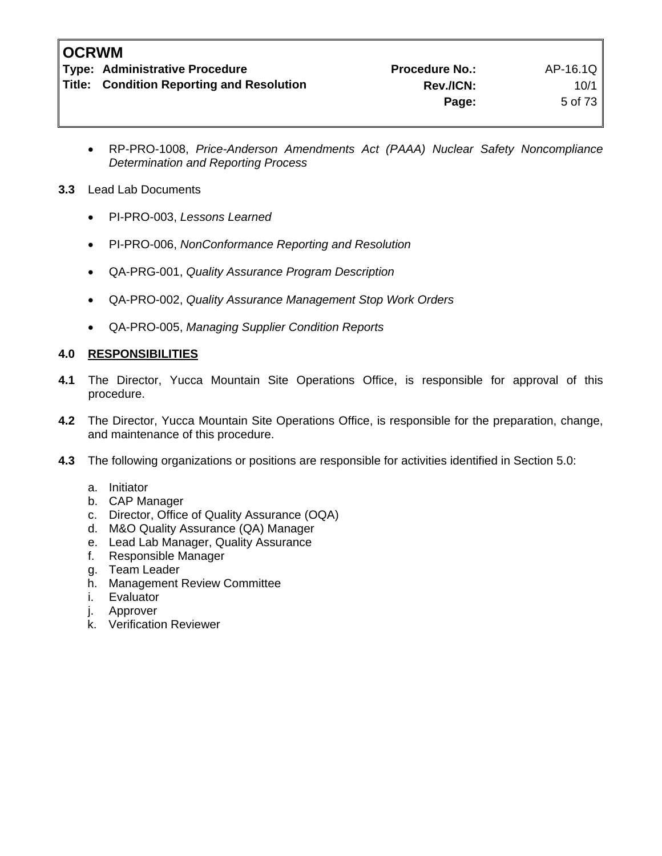**Type: Administrative Procedure Administrative Procedure Procedure No.:** AP-16.1Q

**Title: Condition Reporting and Resolution Manuel Rev./ICN:** 10/1 **Page:** 5 of 73

• RP-PRO-1008, *Price-Anderson Amendments Act (PAAA) Nuclear Safety Noncompliance Determination and Reporting Process* 

# **3.3** Lead Lab Documents

- PI-PRO-003, *Lessons Learned*
- PI-PRO-006, *NonConformance Reporting and Resolution*
- QA-PRG-001, *Quality Assurance Program Description*
- QA-PRO-002, *Quality Assurance Management Stop Work Orders*
- QA-PRO-005, *Managing Supplier Condition Reports*

# **4.0 RESPONSIBILITIES**

- **4.1** The Director, Yucca Mountain Site Operations Office, is responsible for approval of this procedure.
- **4.2** The Director, Yucca Mountain Site Operations Office, is responsible for the preparation, change, and maintenance of this procedure.
- **4.3** The following organizations or positions are responsible for activities identified in Section 5.0:
	- a. Initiator
	- b. CAP Manager
	- c. Director, Office of Quality Assurance (OQA)
	- d. M&O Quality Assurance (QA) Manager
	- e. Lead Lab Manager, Quality Assurance
	- f. Responsible Manager
	- g. Team Leader
	- h. Management Review Committee
	- i. Evaluator
	- j. Approver
	- k. Verification Reviewer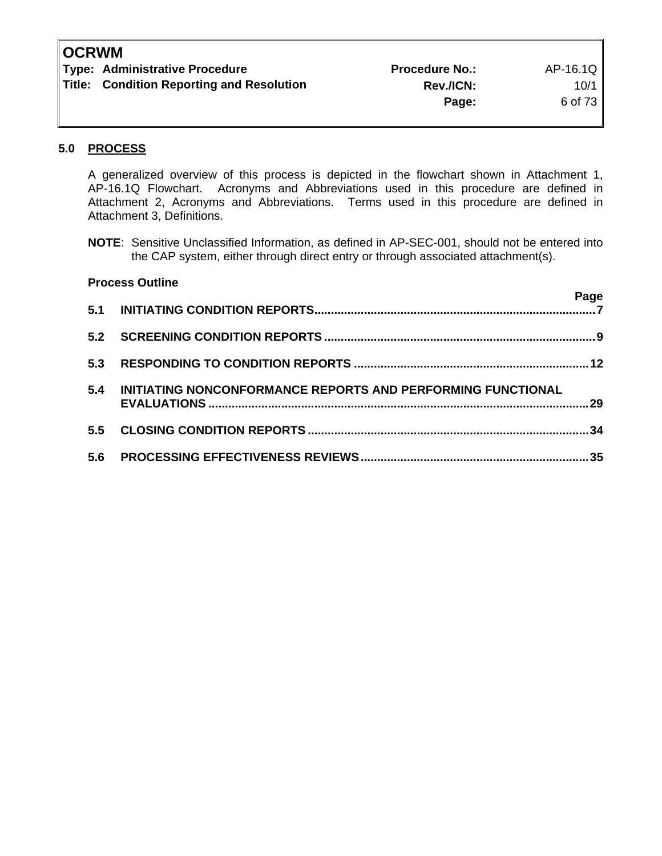| <b>OCRWM</b> |
|--------------|
|--------------|

| <b>Type: Administrative Procedure</b>            | <b>Procedure No.:</b> | AP-16.1Q  |
|--------------------------------------------------|-----------------------|-----------|
| <b>Title: Condition Reporting and Resolution</b> | <b>Rev./ICN:</b>      | $10/1$ i  |
|                                                  | Page:                 | 6 of 73 I |

# **5.0 PROCESS**

 A generalized overview of this process is depicted in the flowchart shown in Attachment 1, AP-16.1Q Flowchart. Acronyms and Abbreviations used in this procedure are defined in Attachment 2, Acronyms and Abbreviations. Terms used in this procedure are defined in Attachment 3, Definitions.

**NOTE**: Sensitive Unclassified Information, as defined in AP-SEC-001, should not be entered into the CAP system, either through direct entry or through associated attachment(s).

|     | <b>Process Outline</b>                                      |      |
|-----|-------------------------------------------------------------|------|
| 5.1 |                                                             | Page |
| 5.2 |                                                             |      |
| 5.3 |                                                             |      |
| 5.4 | INITIATING NONCONFORMANCE REPORTS AND PERFORMING FUNCTIONAL |      |
| 5.5 |                                                             | -34  |
| 5.6 |                                                             | 35   |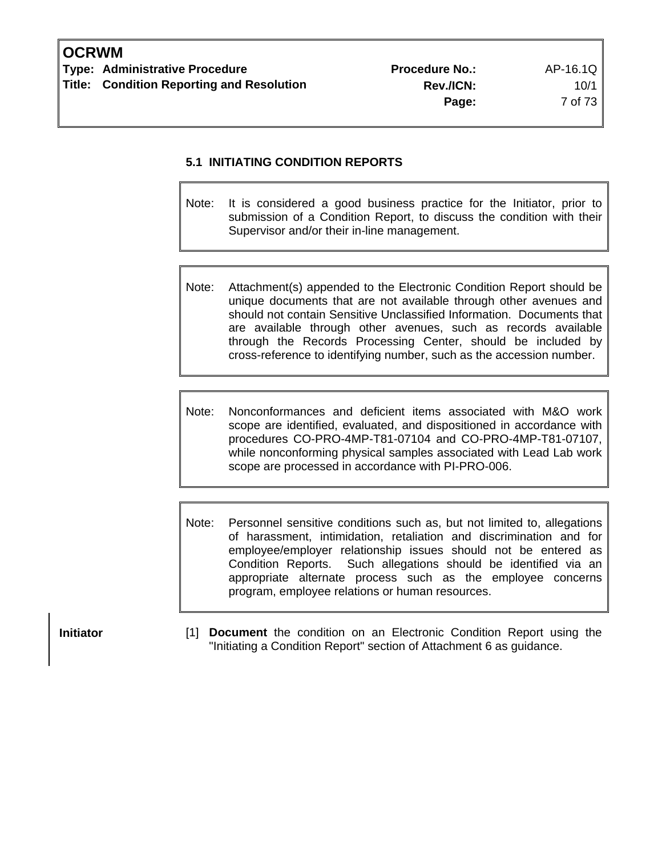# **5.1 INITIATING CONDITION REPORTS**

- Note: It is considered a good business practice for the Initiator, prior to submission of a Condition Report, to discuss the condition with their Supervisor and/or their in-line management.
- Note: Attachment(s) appended to the Electronic Condition Report should be unique documents that are not available through other avenues and should not contain Sensitive Unclassified Information. Documents that are available through other avenues, such as records available through the Records Processing Center, should be included by cross-reference to identifying number, such as the accession number.
- Note: Nonconformances and deficient items associated with M&O work scope are identified, evaluated, and dispositioned in accordance with procedures CO-PRO-4MP-T81-07104 and CO-PRO-4MP-T81-07107, while nonconforming physical samples associated with Lead Lab work scope are processed in accordance with PI-PRO-006.
- Note: Personnel sensitive conditions such as, but not limited to, allegations of harassment, intimidation, retaliation and discrimination and for employee/employer relationship issues should not be entered as Condition Reports. Such allegations should be identified via an appropriate alternate process such as the employee concerns program, employee relations or human resources.

**Initiator 11 Document** the condition on an Electronic Condition Report using the "Initiating a Condition Report" section of Attachment 6 as guidance.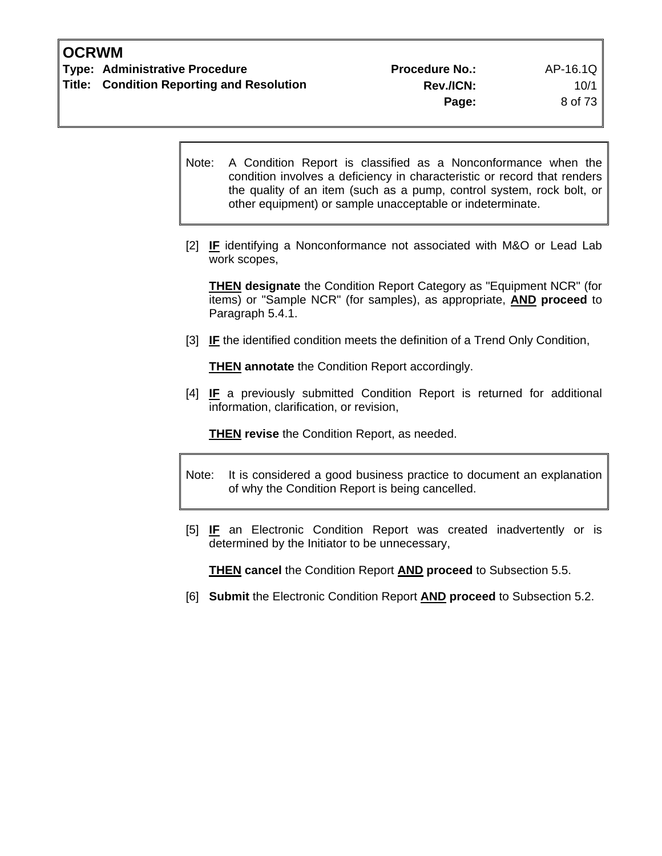- Note: A Condition Report is classified as a Nonconformance when the condition involves a deficiency in characteristic or record that renders the quality of an item (such as a pump, control system, rock bolt, or other equipment) or sample unacceptable or indeterminate.
- [2] **IF** identifying a Nonconformance not associated with M&O or Lead Lab work scopes,

**THEN designate** the Condition Report Category as "Equipment NCR" (for items) or "Sample NCR" (for samples), as appropriate, **AND proceed** to Paragraph 5.4.1.

[3] **IF** the identified condition meets the definition of a Trend Only Condition,

**THEN annotate** the Condition Report accordingly.

[4] **IF** a previously submitted Condition Report is returned for additional information, clarification, or revision,

**THEN revise** the Condition Report, as needed.

- Note: It is considered a good business practice to document an explanation of why the Condition Report is being cancelled.
- [5] **IF** an Electronic Condition Report was created inadvertently or is determined by the Initiator to be unnecessary,

**THEN cancel** the Condition Report **AND proceed** to Subsection 5.5.

[6] **Submit** the Electronic Condition Report **AND proceed** to Subsection 5.2.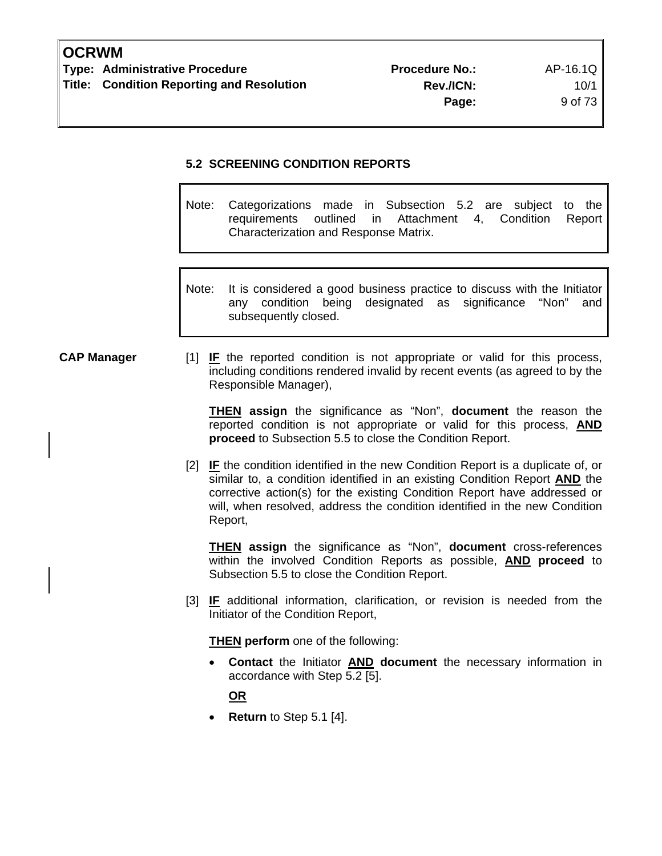# **5.2 SCREENING CONDITION REPORTS**

Note: Categorizations made in Subsection 5.2 are subject to the requirements outlined in Attachment 4, Condition Report Characterization and Response Matrix.

Note: It is considered a good business practice to discuss with the Initiator any condition being designated as significance "Non" and subsequently closed.

**CAP Manager** [1] **IF** the reported condition is not appropriate or valid for this process, including conditions rendered invalid by recent events (as agreed to by the Responsible Manager),

> **THEN assign** the significance as "Non", **document** the reason the reported condition is not appropriate or valid for this process, **AND proceed** to Subsection 5.5 to close the Condition Report.

[2] **IF** the condition identified in the new Condition Report is a duplicate of, or similar to, a condition identified in an existing Condition Report **AND** the corrective action(s) for the existing Condition Report have addressed or will, when resolved, address the condition identified in the new Condition Report,

**THEN assign** the significance as "Non", **document** cross-references within the involved Condition Reports as possible, **AND proceed** to Subsection 5.5 to close the Condition Report.

[3] **IF** additional information, clarification, or revision is needed from the Initiator of the Condition Report,

**THEN** perform one of the following:

• **Contact** the Initiator **AND document** the necessary information in accordance with Step 5.2 [5].

**OR**

• **Return** to Step 5.1 [4].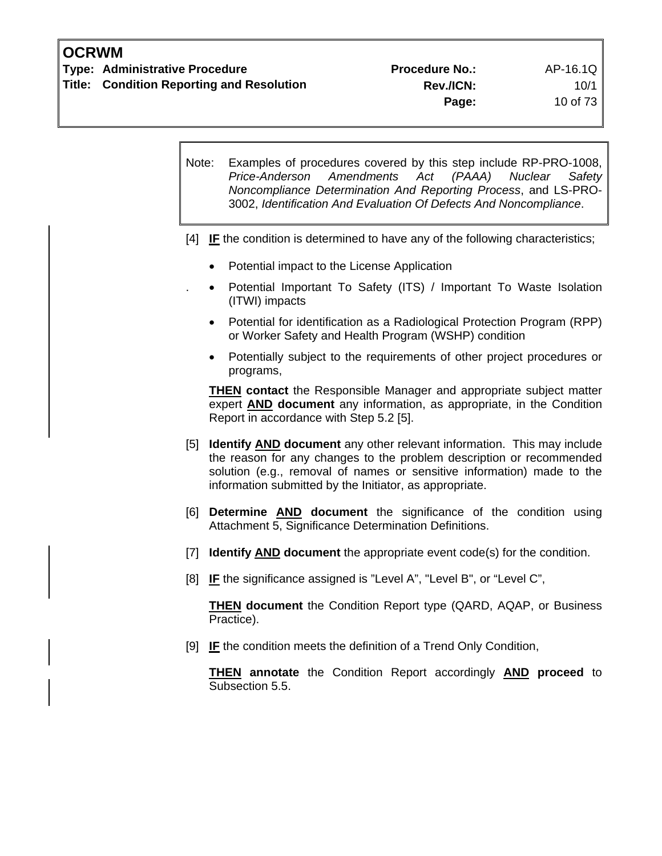| Note: | Examples of procedures covered by this step include RP-PRO-1008,<br>Amendments<br>Act<br>(PAAA) Nuclear<br>Price-Anderson<br>Safety<br>Noncompliance Determination And Reporting Process, and LS-PRO-<br>3002, Identification And Evaluation Of Defects And Noncompliance.              |
|-------|-----------------------------------------------------------------------------------------------------------------------------------------------------------------------------------------------------------------------------------------------------------------------------------------|
|       | $[4]$ IF the condition is determined to have any of the following characteristics;                                                                                                                                                                                                      |
|       | Potential impact to the License Application                                                                                                                                                                                                                                             |
|       | Potential Important To Safety (ITS) / Important To Waste Isolation<br>(ITWI) impacts                                                                                                                                                                                                    |
|       | Potential for identification as a Radiological Protection Program (RPP)<br>or Worker Safety and Health Program (WSHP) condition                                                                                                                                                         |
|       | Potentially subject to the requirements of other project procedures or<br>programs,                                                                                                                                                                                                     |
|       | <b>THEN contact</b> the Responsible Manager and appropriate subject matter<br>expert <b>AND</b> document any information, as appropriate, in the Condition<br>Report in accordance with Step 5.2 [5].                                                                                   |
|       | [5] Identify AND document any other relevant information. This may include<br>the reason for any changes to the problem description or recommended<br>solution (e.g., removal of names or sensitive information) made to the<br>information submitted by the Initiator, as appropriate. |
| [6]   | Determine AND document the significance of the condition using<br>Attachment 5, Significance Determination Definitions.                                                                                                                                                                 |
| $[7]$ | <b>Identify AND document</b> the appropriate event code(s) for the condition.                                                                                                                                                                                                           |
| [8]   | IF the significance assigned is "Level A", "Level B", or "Level C",                                                                                                                                                                                                                     |
|       | <b>THEN document</b> the Condition Report type (QARD, AQAP, or Business<br>Practice).                                                                                                                                                                                                   |

[9] **IF** the condition meets the definition of a Trend Only Condition,

**THEN annotate** the Condition Report accordingly **AND proceed** to Subsection 5.5.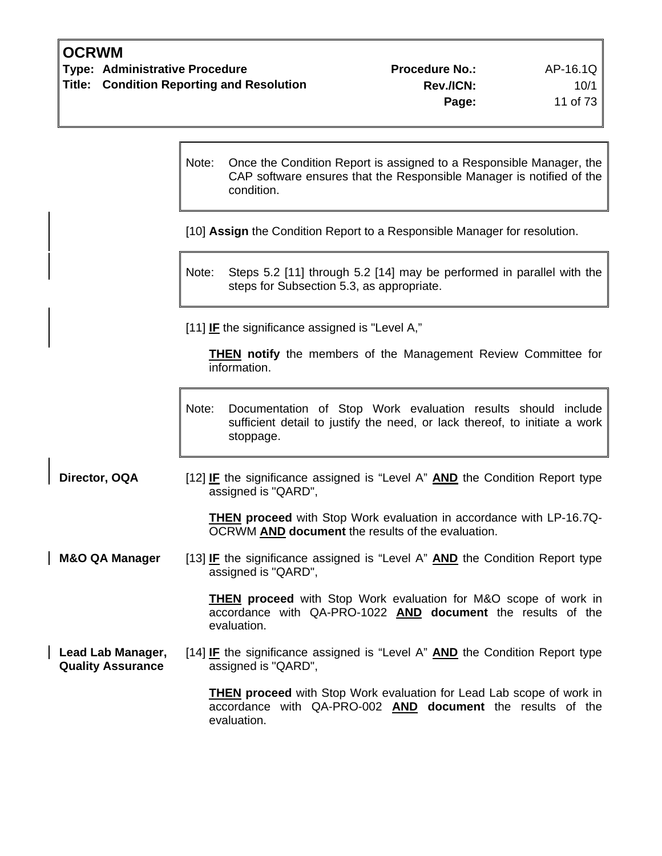| <b>OCRWM</b> |  |
|--------------|--|
|--------------|--|

 $\overline{1}$ 

 $\overline{\phantom{a}}$ 

 $\mathsf{r}$ 

٦

|                                               | Note: | Once the Condition Report is assigned to a Responsible Manager, the<br>CAP software ensures that the Responsible Manager is notified of the<br>condition. |
|-----------------------------------------------|-------|-----------------------------------------------------------------------------------------------------------------------------------------------------------|
|                                               |       | [10] Assign the Condition Report to a Responsible Manager for resolution.                                                                                 |
|                                               | Note: | Steps 5.2 [11] through 5.2 [14] may be performed in parallel with the<br>steps for Subsection 5.3, as appropriate.                                        |
|                                               |       | [11] IF the significance assigned is "Level A,"                                                                                                           |
|                                               |       | <b>THEN</b> notify the members of the Management Review Committee for<br>information.                                                                     |
|                                               | Note: | Documentation of Stop Work evaluation results should include<br>sufficient detail to justify the need, or lack thereof, to initiate a work<br>stoppage.   |
| Director, OQA                                 |       | [12] <b>IF</b> the significance assigned is "Level A" <b>AND</b> the Condition Report type<br>assigned is "QARD",                                         |
|                                               |       | <b>THEN proceed</b> with Stop Work evaluation in accordance with LP-16.7Q-<br>OCRWM AND document the results of the evaluation.                           |
| <b>M&amp;O QA Manager</b>                     |       | [13] <b>IF</b> the significance assigned is "Level A" <b>AND</b> the Condition Report type<br>assigned is "QARD",                                         |
|                                               |       | <b>THEN proceed</b> with Stop Work evaluation for M&O scope of work in<br>accordance with QA-PRO-1022 AND document the results of the<br>evaluation.      |
| Lead Lab Manager,<br><b>Quality Assurance</b> |       | [14] IF the significance assigned is "Level A" AND the Condition Report type<br>assigned is "QARD",                                                       |
|                                               |       | <b>THEN proceed</b> with Stop Work evaluation for Lead Lab scope of work in<br>accordance with QA-PRO-002 AND document the results of the                 |

evaluation.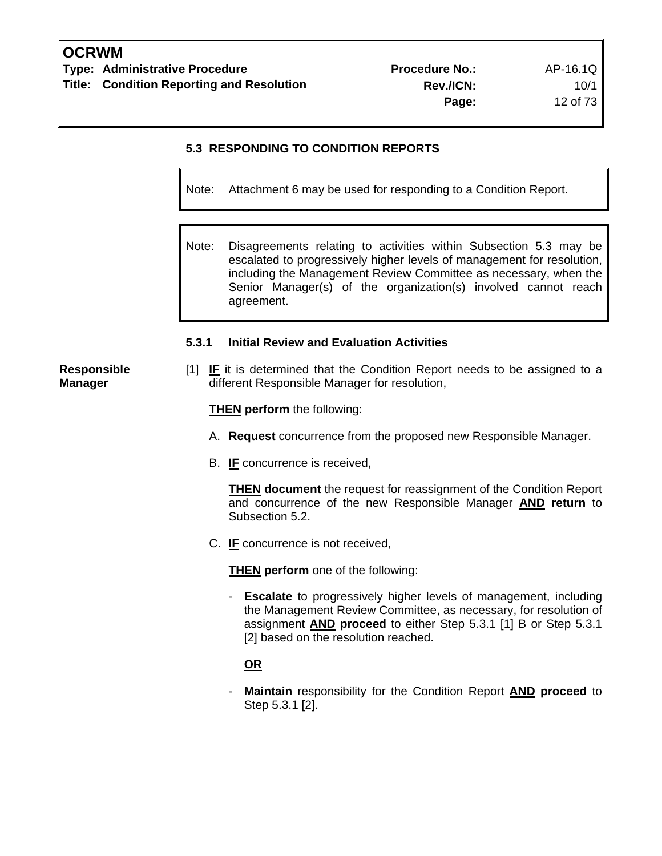# **5.3 RESPONDING TO CONDITION REPORTS**

Note: Attachment 6 may be used for responding to a Condition Report.

Note: Disagreements relating to activities within Subsection 5.3 may be escalated to progressively higher levels of management for resolution, including the Management Review Committee as necessary, when the Senior Manager(s) of the organization(s) involved cannot reach agreement.

#### **5.3.1 Initial Review and Evaluation Activities**

[1] **IF** it is determined that the Condition Report needs to be assigned to a different Responsible Manager for resolution,

**THEN perform** the following:

- A. **Request** concurrence from the proposed new Responsible Manager.
- B. **IF** concurrence is received,

 **THEN document** the request for reassignment of the Condition Report and concurrence of the new Responsible Manager **AND return** to Subsection 5.2.

C. **IF** concurrence is not received,

**THEN perform** one of the following:

**Escalate** to progressively higher levels of management, including the Management Review Committee, as necessary, for resolution of assignment **AND proceed** to either Step 5.3.1 [1] B or Step 5.3.1 [2] based on the resolution reached.

# **OR**

 - **Maintain** responsibility for the Condition Report **AND proceed** to Step 5.3.1 [2].

**Responsible Manager**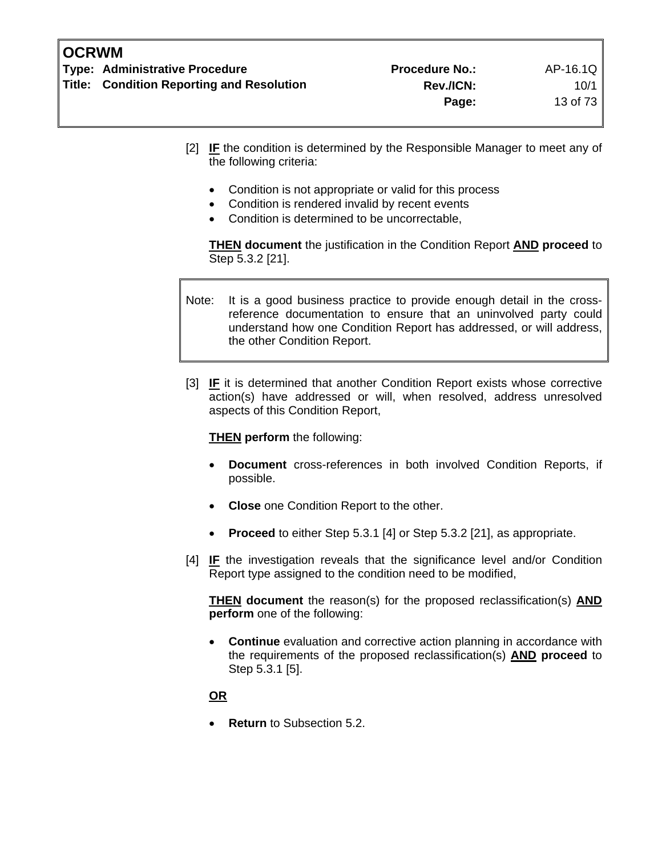- [2] **IF** the condition is determined by the Responsible Manager to meet any of the following criteria:
	- Condition is not appropriate or valid for this process
	- Condition is rendered invalid by recent events
	- Condition is determined to be uncorrectable,

**THEN document** the justification in the Condition Report **AND proceed** to Step 5.3.2 [21].

Note: It is a good business practice to provide enough detail in the crossreference documentation to ensure that an uninvolved party could understand how one Condition Report has addressed, or will address, the other Condition Report.

[3] **IF** it is determined that another Condition Report exists whose corrective action(s) have addressed or will, when resolved, address unresolved aspects of this Condition Report,

**THEN perform** the following:

- **Document** cross-references in both involved Condition Reports, if possible.
- **Close** one Condition Report to the other.
- **Proceed** to either Step 5.3.1 [4] or Step 5.3.2 [21], as appropriate.
- [4] **IF** the investigation reveals that the significance level and/or Condition Report type assigned to the condition need to be modified,

**THEN document** the reason(s) for the proposed reclassification(s) **AND perform** one of the following:

• **Continue** evaluation and corrective action planning in accordance with the requirements of the proposed reclassification(s) **AND proceed** to Step 5.3.1 [5].

# **OR**

• **Return** to Subsection 5.2.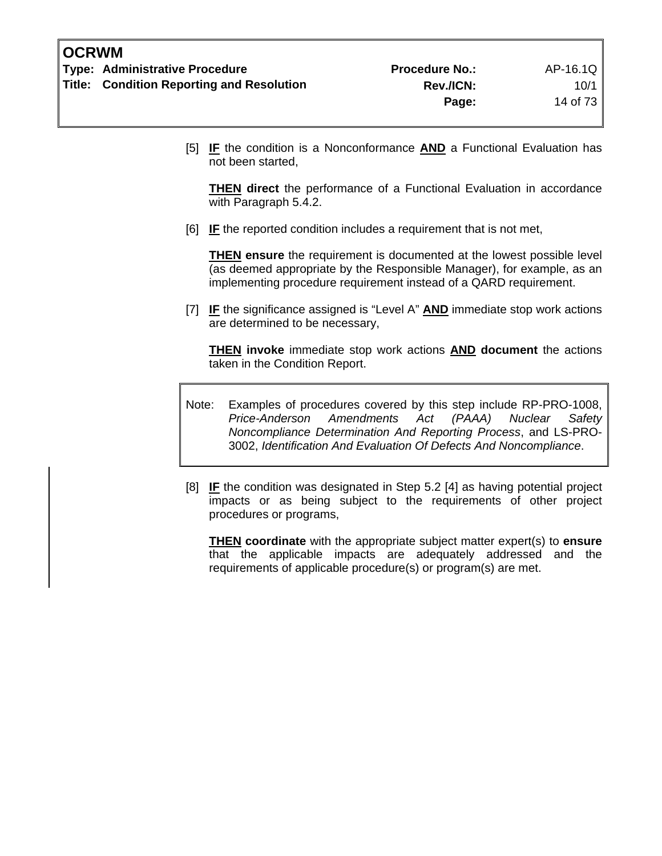[5] **IF** the condition is a Nonconformance **AND** a Functional Evaluation has not been started,

**THEN direct** the performance of a Functional Evaluation in accordance with Paragraph 5.4.2.

[6] **IF** the reported condition includes a requirement that is not met,

**THEN ensure** the requirement is documented at the lowest possible level (as deemed appropriate by the Responsible Manager), for example, as an implementing procedure requirement instead of a QARD requirement.

[7] **IF** the significance assigned is "Level A" **AND** immediate stop work actions are determined to be necessary,

**THEN invoke** immediate stop work actions **AND document** the actions taken in the Condition Report.

- Note: Examples of procedures covered by this step include RP-PRO-1008, *Price-Anderson Amendments Act (PAAA) Nuclear Safety Noncompliance Determination And Reporting Process*, and LS-PRO-3002, *Identification And Evaluation Of Defects And Noncompliance*.
- [8] **IF** the condition was designated in Step 5.2 [4] as having potential project impacts or as being subject to the requirements of other project procedures or programs,

**THEN coordinate** with the appropriate subject matter expert(s) to **ensure** that the applicable impacts are adequately addressed and the requirements of applicable procedure(s) or program(s) are met.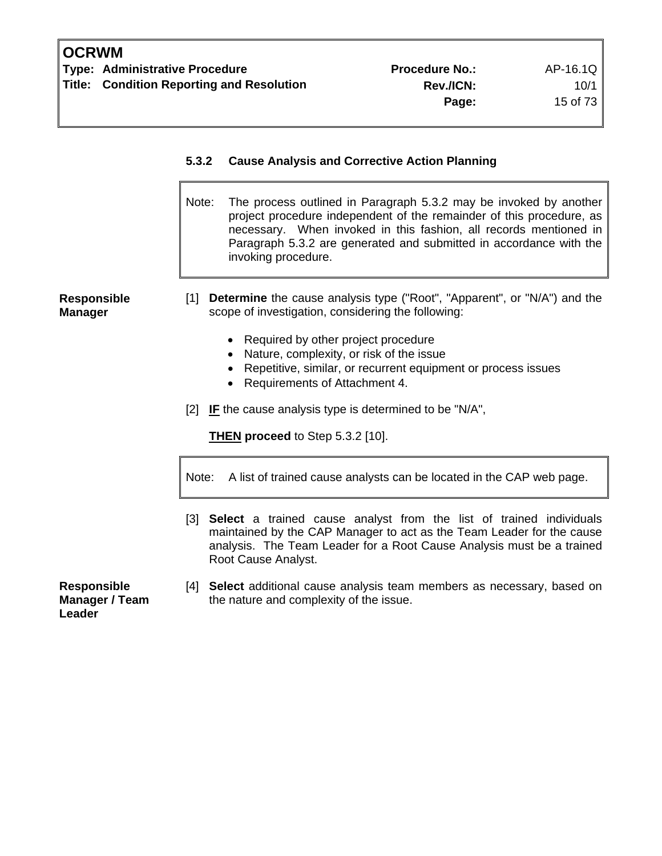| AP-16.1 |         |  |
|---------|---------|--|
|         | 10/     |  |
|         | 15 of 7 |  |

|                                                | The process outlined in Paragraph 5.3.2 may be invoked by another<br>Note:<br>project procedure independent of the remainder of this procedure, as<br>necessary. When invoked in this fashion, all records mentioned in<br>Paragraph 5.3.2 are generated and submitted in accordance with the<br>invoking procedure.                 |
|------------------------------------------------|--------------------------------------------------------------------------------------------------------------------------------------------------------------------------------------------------------------------------------------------------------------------------------------------------------------------------------------|
| <b>Responsible</b><br><b>Manager</b>           | [1] <b>Determine</b> the cause analysis type ("Root", "Apparent", or "N/A") and the<br>scope of investigation, considering the following:<br>• Required by other project procedure<br>• Nature, complexity, or risk of the issue<br>• Repetitive, similar, or recurrent equipment or process issues<br>Requirements of Attachment 4. |
|                                                | [2] IF the cause analysis type is determined to be "N/A",<br><b>THEN proceed to Step 5.3.2 [10].</b>                                                                                                                                                                                                                                 |
|                                                | A list of trained cause analysts can be located in the CAP web page.<br>Note:                                                                                                                                                                                                                                                        |
|                                                | [3] Select a trained cause analyst from the list of trained individuals<br>maintained by the CAP Manager to act as the Team Leader for the cause<br>analysis. The Team Leader for a Root Cause Analysis must be a trained<br>Root Cause Analyst.                                                                                     |
| <b>Responsible</b><br>Manager / Team<br>Leader | [4] Select additional cause analysis team members as necessary, based on<br>the nature and complexity of the issue.                                                                                                                                                                                                                  |

**5.3.2 Cause Analysis and Corrective Action Planning**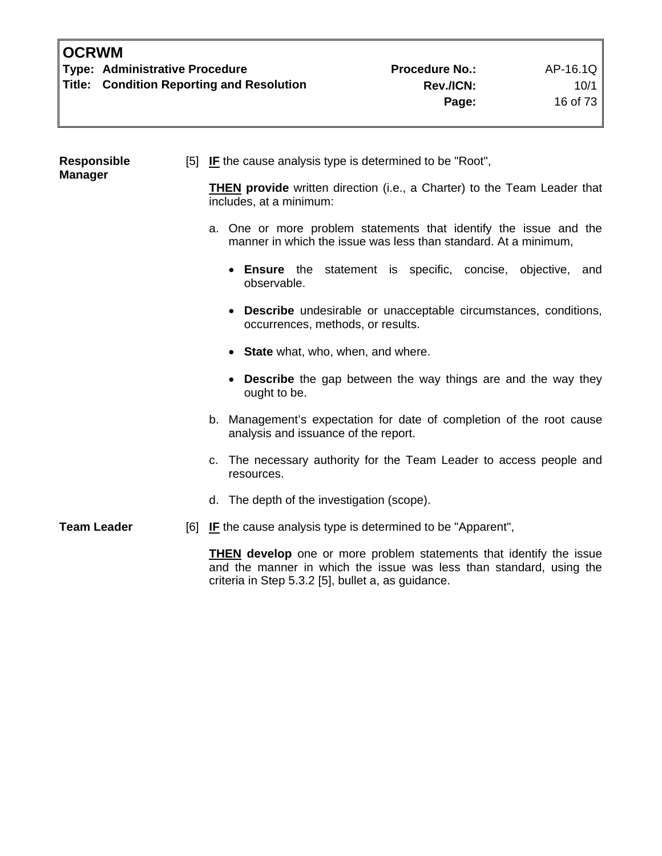| <b>Responsible</b><br><b>Manager</b>               |  | [5] IF the cause analysis type is determined to be "Root",                                                                                        |
|----------------------------------------------------|--|---------------------------------------------------------------------------------------------------------------------------------------------------|
|                                                    |  | <b>THEN provide</b> written direction (i.e., a Charter) to the Team Leader that<br>includes, at a minimum:                                        |
|                                                    |  | a. One or more problem statements that identify the issue and the<br>manner in which the issue was less than standard. At a minimum,              |
|                                                    |  | • Ensure the statement is specific, concise, objective, and<br>observable.                                                                        |
|                                                    |  | • Describe undesirable or unacceptable circumstances, conditions,<br>occurrences, methods, or results.                                            |
|                                                    |  | • State what, who, when, and where.                                                                                                               |
|                                                    |  | • Describe the gap between the way things are and the way they<br>ought to be.                                                                    |
|                                                    |  | b. Management's expectation for date of completion of the root cause<br>analysis and issuance of the report.                                      |
|                                                    |  | c. The necessary authority for the Team Leader to access people and<br>resources.                                                                 |
|                                                    |  | d. The depth of the investigation (scope).                                                                                                        |
| <b>Team Leader</b>                                 |  | [6] IF the cause analysis type is determined to be "Apparent",                                                                                    |
| criteria in Step 5.3.2 [5], bullet a, as guidance. |  | <b>THEN</b> develop one or more problem statements that identify the issue<br>and the manner in which the issue was less than standard, using the |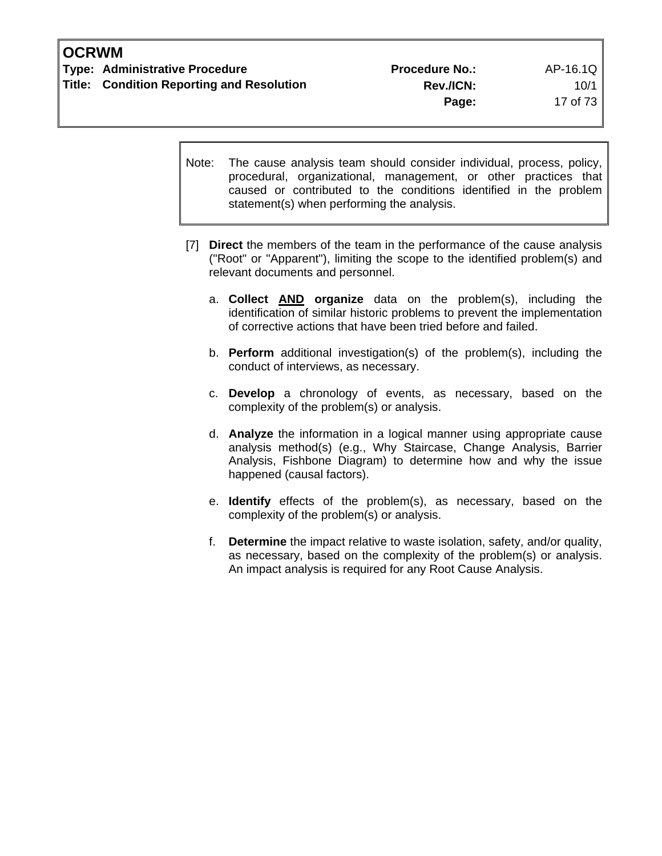Note: The cause analysis team should consider individual, process, policy, procedural, organizational, management, or other practices that caused or contributed to the conditions identified in the problem statement(s) when performing the analysis.

- [7] **Direct** the members of the team in the performance of the cause analysis ("Root" or "Apparent"), limiting the scope to the identified problem(s) and relevant documents and personnel.
	- a. **Collect AND organize** data on the problem(s), including the identification of similar historic problems to prevent the implementation of corrective actions that have been tried before and failed.
	- b. **Perform** additional investigation(s) of the problem(s), including the conduct of interviews, as necessary.
	- c. **Develop** a chronology of events, as necessary, based on the complexity of the problem(s) or analysis.
	- d. **Analyze** the information in a logical manner using appropriate cause analysis method(s) (e.g., Why Staircase, Change Analysis, Barrier Analysis, Fishbone Diagram) to determine how and why the issue happened (causal factors).
	- e. **Identify** effects of the problem(s), as necessary, based on the complexity of the problem(s) or analysis.
	- f. **Determine** the impact relative to waste isolation, safety, and/or quality, as necessary, based on the complexity of the problem(s) or analysis. An impact analysis is required for any Root Cause Analysis.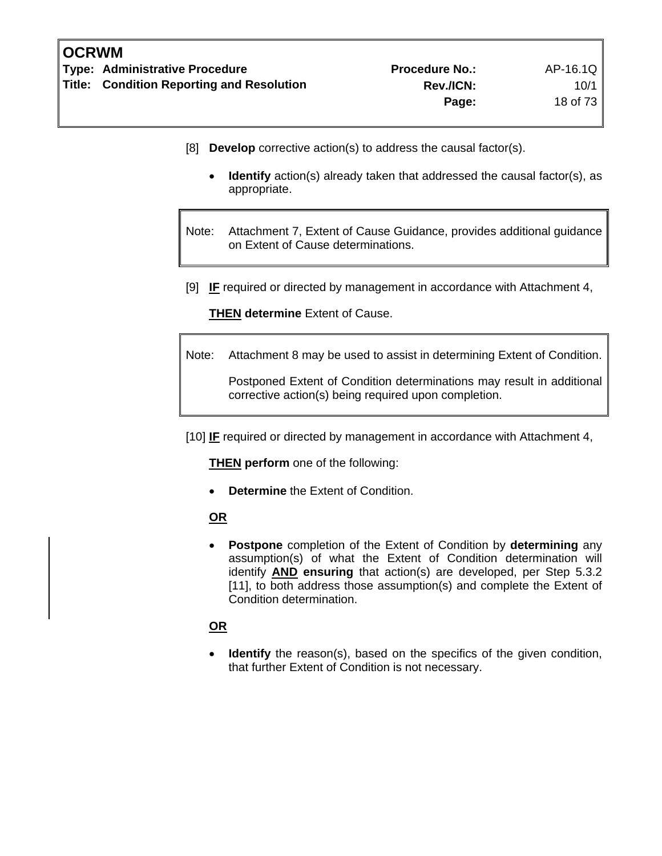- [8] **Develop** corrective action(s) to address the causal factor(s).
	- **Identify** action(s) already taken that addressed the causal factor(s), as appropriate.

Note: Attachment 7, Extent of Cause Guidance, provides additional guidance on Extent of Cause determinations.

[9] **IF** required or directed by management in accordance with Attachment 4,

**THEN determine** Extent of Cause.

Note: Attachment 8 may be used to assist in determining Extent of Condition.

 Postponed Extent of Condition determinations may result in additional corrective action(s) being required upon completion.

[10] **IF** required or directed by management in accordance with Attachment 4,

**THEN perform** one of the following:

• **Determine** the Extent of Condition.

# **OR**

• **Postpone** completion of the Extent of Condition by **determining** any assumption(s) of what the Extent of Condition determination will identify **AND ensuring** that action(s) are developed, per Step 5.3.2 [11], to both address those assumption(s) and complete the Extent of Condition determination.

# **OR**

**Identify** the reason(s), based on the specifics of the given condition, that further Extent of Condition is not necessary.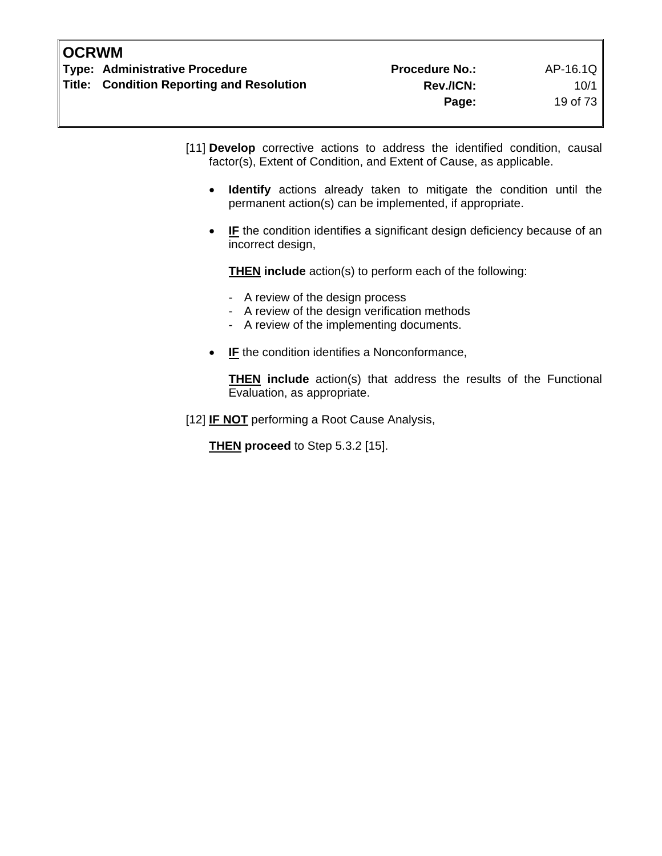[11] **Develop** corrective actions to address the identified condition, causal factor(s), Extent of Condition, and Extent of Cause, as applicable.

- **Identify** actions already taken to mitigate the condition until the permanent action(s) can be implemented, if appropriate.
- **IF** the condition identifies a significant design deficiency because of an incorrect design,

**THEN include** action(s) to perform each of the following:

- A review of the design process
- A review of the design verification methods
- A review of the implementing documents.
- **IF** the condition identifies a Nonconformance,

 **THEN include** action(s) that address the results of the Functional Evaluation, as appropriate.

[12] **IF NOT** performing a Root Cause Analysis,

**THEN proceed** to Step 5.3.2 [15].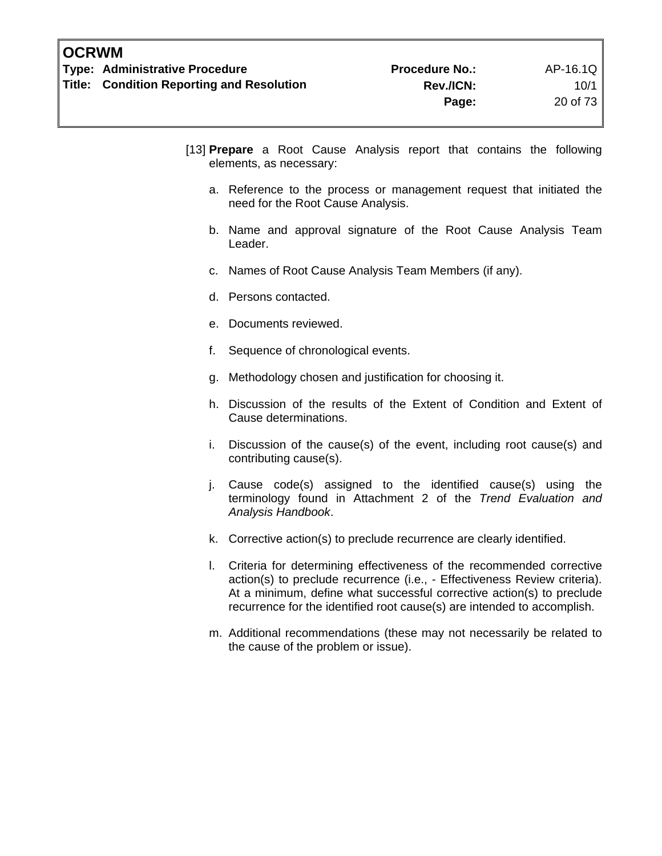- [13] **Prepare** a Root Cause Analysis report that contains the following elements, as necessary:
	- a. Reference to the process or management request that initiated the need for the Root Cause Analysis.
	- b. Name and approval signature of the Root Cause Analysis Team Leader.
	- c. Names of Root Cause Analysis Team Members (if any).
	- d. Persons contacted.
	- e. Documents reviewed.
	- f. Sequence of chronological events.
	- g. Methodology chosen and justification for choosing it.
	- h. Discussion of the results of the Extent of Condition and Extent of Cause determinations.
	- i. Discussion of the cause(s) of the event, including root cause(s) and contributing cause(s).
	- j. Cause code(s) assigned to the identified cause(s) using the terminology found in Attachment 2 of the *Trend Evaluation and Analysis Handbook*.
	- k. Corrective action(s) to preclude recurrence are clearly identified.
	- l. Criteria for determining effectiveness of the recommended corrective action(s) to preclude recurrence (i.e., - Effectiveness Review criteria). At a minimum, define what successful corrective action(s) to preclude recurrence for the identified root cause(s) are intended to accomplish.
	- m. Additional recommendations (these may not necessarily be related to the cause of the problem or issue).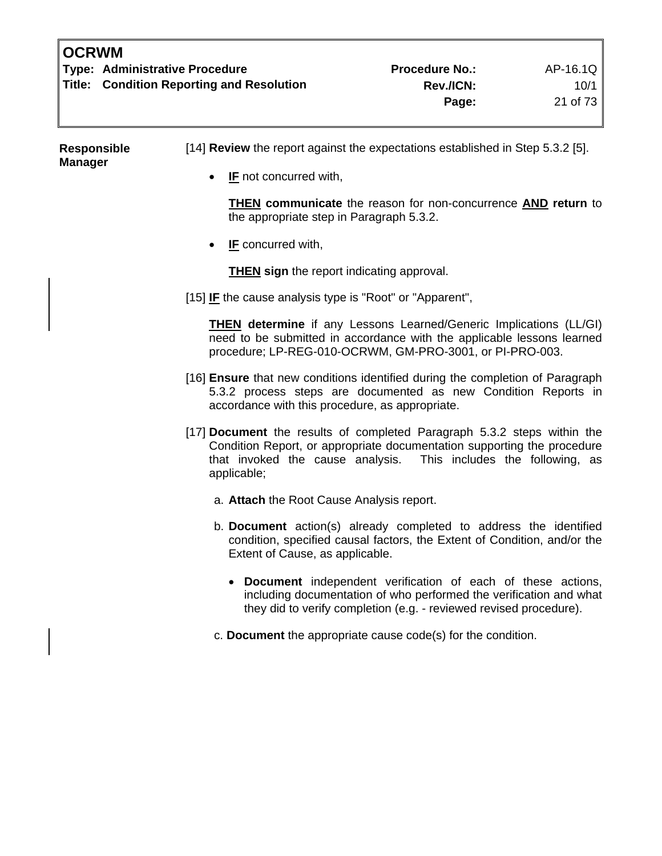| <b>OCRWM</b> |                                                  |                       |          |
|--------------|--------------------------------------------------|-----------------------|----------|
|              | <b>Type: Administrative Procedure</b>            | <b>Procedure No.:</b> | AP-16.1Q |
|              | <b>Title: Condition Reporting and Resolution</b> | <b>Rev./ICN:</b>      | 10/1     |
|              |                                                  | Page:                 | 21 of 73 |
|              |                                                  |                       |          |

| Responsible<br><b>Manager</b> | [14] Review the report against the expectations established in Step 5.3.2 [5].                                                                                                                                                        |
|-------------------------------|---------------------------------------------------------------------------------------------------------------------------------------------------------------------------------------------------------------------------------------|
|                               | <b>IF</b> not concurred with,                                                                                                                                                                                                         |
|                               | <b>THEN</b> communicate the reason for non-concurrence <b>AND</b> return to<br>the appropriate step in Paragraph 5.3.2.                                                                                                               |
|                               | <b>IF</b> concurred with,<br>$\bullet$                                                                                                                                                                                                |
|                               | <b>THEN</b> sign the report indicating approval.                                                                                                                                                                                      |
|                               | [15] IF the cause analysis type is "Root" or "Apparent",                                                                                                                                                                              |
|                               | <b>THEN determine</b> if any Lessons Learned/Generic Implications (LL/GI)<br>need to be submitted in accordance with the applicable lessons learned<br>procedure; LP-REG-010-OCRWM, GM-PRO-3001, or PI-PRO-003.                       |
|                               | [16] Ensure that new conditions identified during the completion of Paragraph<br>5.3.2 process steps are documented as new Condition Reports in<br>accordance with this procedure, as appropriate.                                    |
|                               | [17] Document the results of completed Paragraph 5.3.2 steps within the<br>Condition Report, or appropriate documentation supporting the procedure<br>that invoked the cause analysis. This includes the following, as<br>applicable; |
|                               | a. Attach the Root Cause Analysis report.                                                                                                                                                                                             |
|                               | b. Document action(s) already completed to address the identified<br>condition, specified causal factors, the Extent of Condition, and/or the<br>Extent of Cause, as applicable.                                                      |
|                               | • Document independent verification of each of these actions,<br>including documentation of who performed the verification and what<br>they did to verify completion (e.g. - reviewed revised procedure).                             |
|                               | c. Document the appropriate cause code(s) for the condition.                                                                                                                                                                          |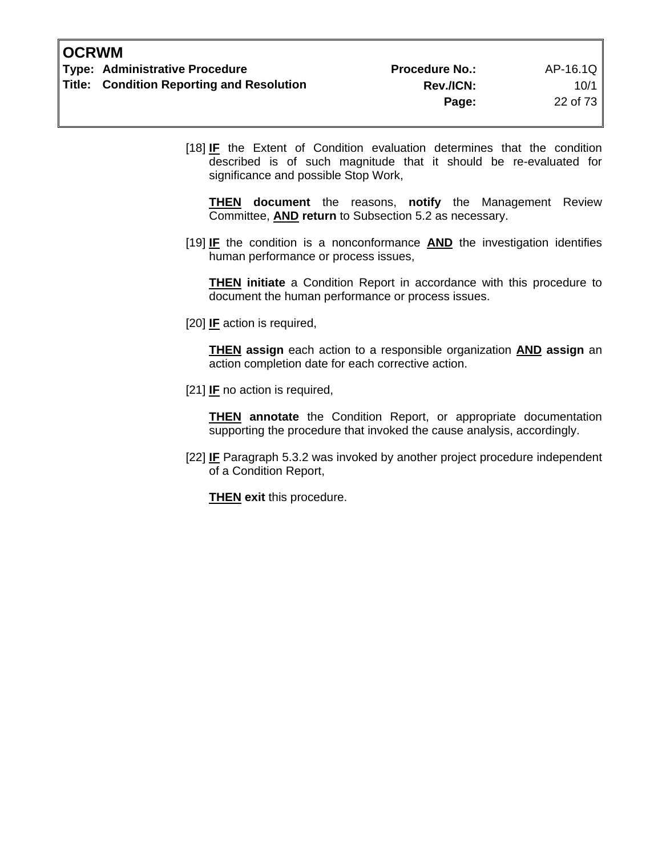[18] **IF** the Extent of Condition evaluation determines that the condition described is of such magnitude that it should be re-evaluated for significance and possible Stop Work,

**THEN document** the reasons, **notify** the Management Review Committee, **AND return** to Subsection 5.2 as necessary.

[19] **IF** the condition is a nonconformance **AND** the investigation identifies human performance or process issues,

**THEN initiate** a Condition Report in accordance with this procedure to document the human performance or process issues.

[20] **IF** action is required,

 **THEN assign** each action to a responsible organization **AND assign** an action completion date for each corrective action.

[21] **IF** no action is required,

**THEN** annotate the Condition Report, or appropriate documentation supporting the procedure that invoked the cause analysis, accordingly.

[22] **IF** Paragraph 5.3.2 was invoked by another project procedure independent of a Condition Report,

**THEN** exit this procedure.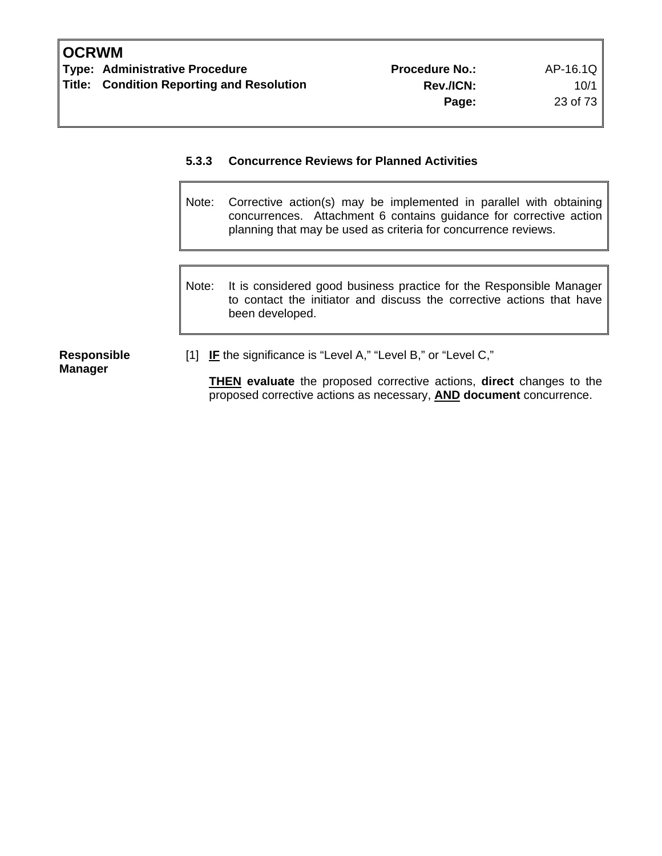# **5.3.3 Concurrence Reviews for Planned Activities**

- Note: Corrective action(s) may be implemented in parallel with obtaining concurrences. Attachment 6 contains guidance for corrective action planning that may be used as criteria for concurrence reviews.
- Note: It is considered good business practice for the Responsible Manager to contact the initiator and discuss the corrective actions that have been developed.

**Responsible Manager** 

[1] **IF** the significance is "Level A," "Level B," or "Level C,"

**THEN evaluate** the proposed corrective actions, **direct** changes to the proposed corrective actions as necessary, **AND document** concurrence.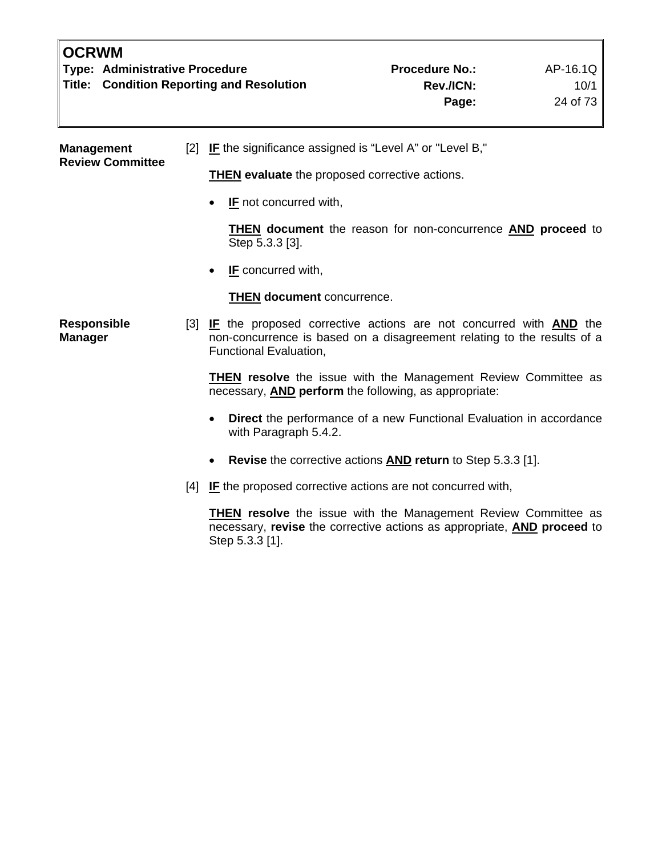| <b>OCRWM</b><br><b>Type: Administrative Procedure</b><br><b>Title: Condition Reporting and Resolution</b> |     |                                                                                                                                                                                          | <b>Procedure No.:</b><br>Rev./ICN:<br>Page:                         | AP-16.1Q<br>10/1<br>24 of 73 |
|-----------------------------------------------------------------------------------------------------------|-----|------------------------------------------------------------------------------------------------------------------------------------------------------------------------------------------|---------------------------------------------------------------------|------------------------------|
| <b>Management</b><br><b>Review Committee</b>                                                              |     | [2] IF the significance assigned is "Level A" or "Level B,"                                                                                                                              |                                                                     |                              |
|                                                                                                           |     | <b>THEN</b> evaluate the proposed corrective actions.                                                                                                                                    |                                                                     |                              |
|                                                                                                           |     | <b>IF</b> not concurred with,                                                                                                                                                            |                                                                     |                              |
|                                                                                                           |     | Step 5.3.3 [3].                                                                                                                                                                          | THEN document the reason for non-concurrence AND proceed to         |                              |
|                                                                                                           |     | IF concurred with,                                                                                                                                                                       |                                                                     |                              |
|                                                                                                           |     | <b>THEN document concurrence.</b>                                                                                                                                                        |                                                                     |                              |
| <b>Responsible</b><br><b>Manager</b>                                                                      |     | [3] <b>IF</b> the proposed corrective actions are not concurred with <b>AND</b> the<br>non-concurrence is based on a disagreement relating to the results of a<br>Functional Evaluation, |                                                                     |                              |
|                                                                                                           |     | <b>THEN resolve</b> the issue with the Management Review Committee as<br>necessary, <b>AND perform</b> the following, as appropriate:                                                    |                                                                     |                              |
|                                                                                                           |     | with Paragraph 5.4.2.                                                                                                                                                                    | Direct the performance of a new Functional Evaluation in accordance |                              |
|                                                                                                           |     |                                                                                                                                                                                          | Revise the corrective actions AND return to Step 5.3.3 [1].         |                              |
|                                                                                                           | [4] | <b>IF</b> the proposed corrective actions are not concurred with,                                                                                                                        |                                                                     |                              |
|                                                                                                           |     | <b>THEN resolve</b> the issue with the Management Review Committee as                                                                                                                    |                                                                     |                              |

Step 5.3.3 [1].

necessary, **revise** the corrective actions as appropriate, **AND proceed** to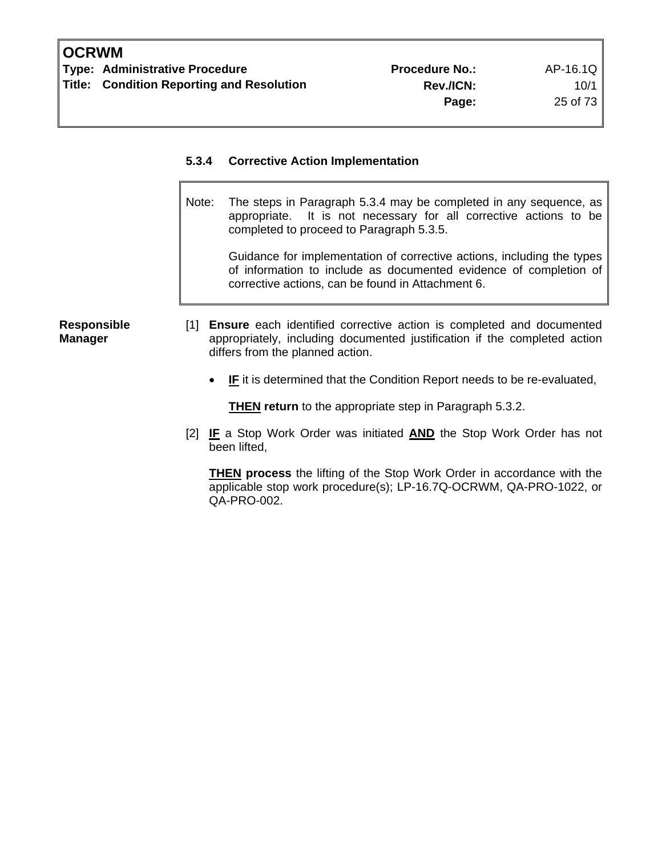## **5.3.4 Corrective Action Implementation**

Note: The steps in Paragraph 5.3.4 may be completed in any sequence, as appropriate. It is not necessary for all corrective actions to be completed to proceed to Paragraph 5.3.5.

 Guidance for implementation of corrective actions, including the types of information to include as documented evidence of completion of corrective actions, can be found in Attachment 6.

#### **Responsible Manager**

- [1] **Ensure** each identified corrective action is completed and documented appropriately, including documented justification if the completed action differs from the planned action.
	- **IF** it is determined that the Condition Report needs to be re-evaluated,

**THEN return** to the appropriate step in Paragraph 5.3.2.

[2] **IF** a Stop Work Order was initiated **AND** the Stop Work Order has not been lifted,

**THEN process** the lifting of the Stop Work Order in accordance with the applicable stop work procedure(s); LP-16.7Q-OCRWM, QA-PRO-1022, or QA-PRO-002.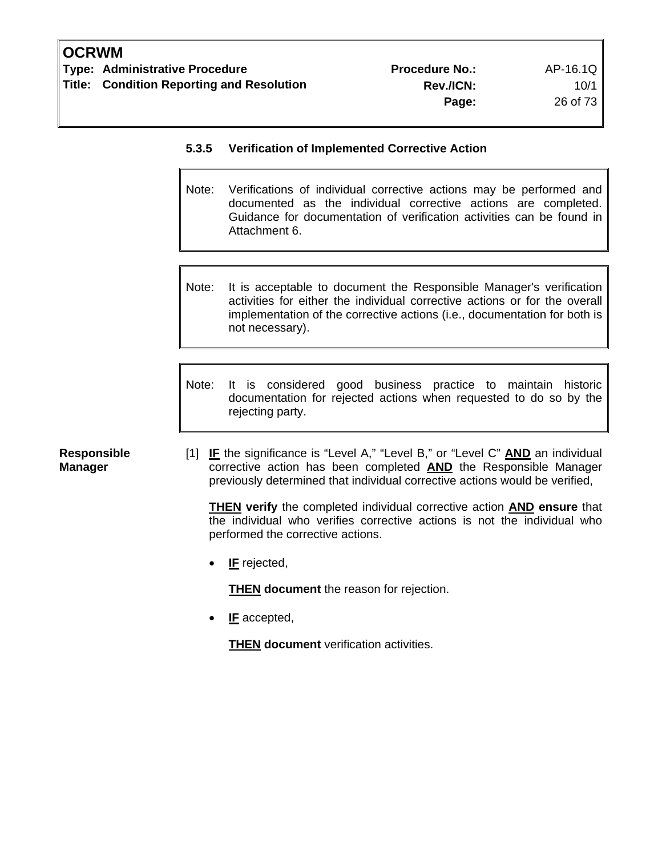**Manager** 

# **5.3.5 Verification of Implemented Corrective Action**

- Note: Verifications of individual corrective actions may be performed and documented as the individual corrective actions are completed. Guidance for documentation of verification activities can be found in Attachment 6.
- Note: It is acceptable to document the Responsible Manager's verification activities for either the individual corrective actions or for the overall implementation of the corrective actions (i.e., documentation for both is not necessary).
- Note: It is considered good business practice to maintain historic documentation for rejected actions when requested to do so by the rejecting party.
- **Responsible**  [1] **IF** the significance is "Level A," "Level B," or "Level C" **AND** an individual corrective action has been completed **AND** the Responsible Manager previously determined that individual corrective actions would be verified,

**THEN verify** the completed individual corrective action **AND ensure** that the individual who verifies corrective actions is not the individual who performed the corrective actions.

• **IF** rejected,

**THEN document** the reason for rejection.

• **IF** accepted,

**THEN document** verification activities.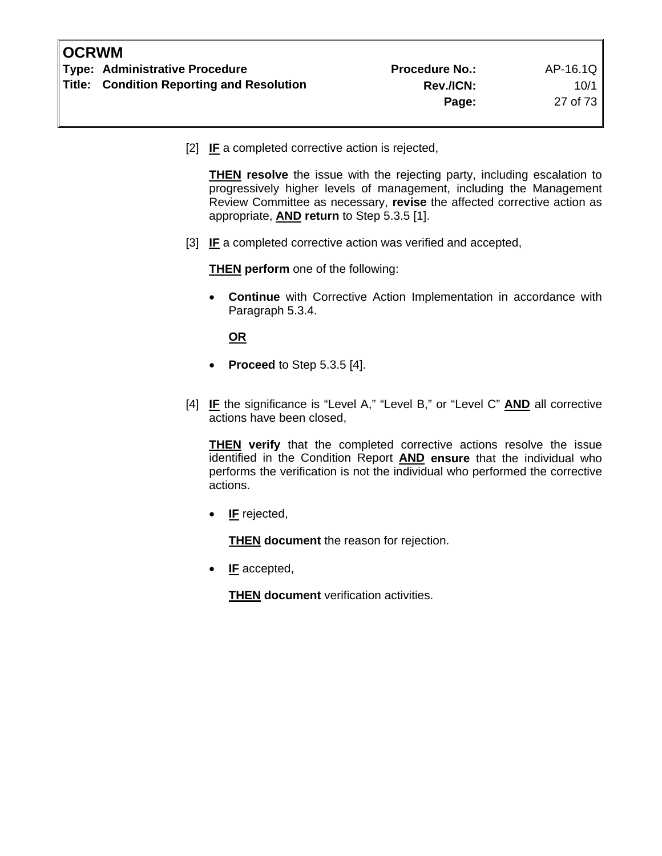[2] **IF** a completed corrective action is rejected,

**THEN** resolve the issue with the rejecting party, including escalation to progressively higher levels of management, including the Management Review Committee as necessary, **revise** the affected corrective action as appropriate, **AND return** to Step 5.3.5 [1].

[3] **IF** a completed corrective action was verified and accepted,

**THEN perform** one of the following:

• **Continue** with Corrective Action Implementation in accordance with Paragraph 5.3.4.

**OR**

- **Proceed** to Step 5.3.5 [4].
- [4] **IF** the significance is "Level A," "Level B," or "Level C" **AND** all corrective actions have been closed,

**THEN verify** that the completed corrective actions resolve the issue identified in the Condition Report **AND ensure** that the individual who performs the verification is not the individual who performed the corrective actions.

• **IF** rejected,

**THEN document** the reason for rejection.

• **IF** accepted,

**THEN document** verification activities.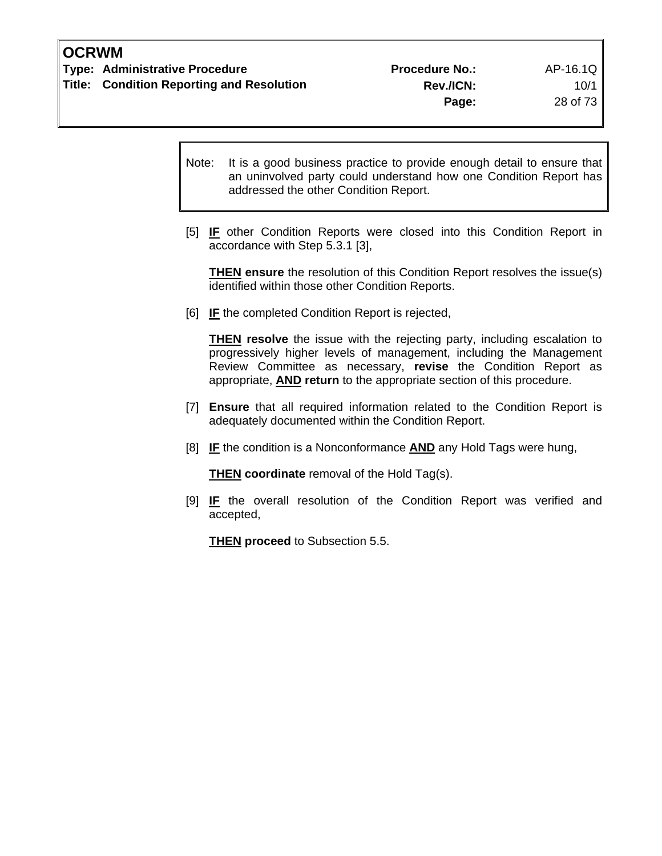Note: It is a good business practice to provide enough detail to ensure that an uninvolved party could understand how one Condition Report has addressed the other Condition Report.

[5] **IF** other Condition Reports were closed into this Condition Report in accordance with Step 5.3.1 [3],

**THEN** ensure the resolution of this Condition Report resolves the issue(s) identified within those other Condition Reports.

[6] **IF** the completed Condition Report is rejected,

**THEN resolve** the issue with the rejecting party, including escalation to progressively higher levels of management, including the Management Review Committee as necessary, **revise** the Condition Report as appropriate, **AND return** to the appropriate section of this procedure.

- [7] **Ensure** that all required information related to the Condition Report is adequately documented within the Condition Report.
- [8] **IF** the condition is a Nonconformance **AND** any Hold Tags were hung,

**THEN coordinate** removal of the Hold Tag(s).

[9] **IF** the overall resolution of the Condition Report was verified and accepted,

**THEN proceed** to Subsection 5.5.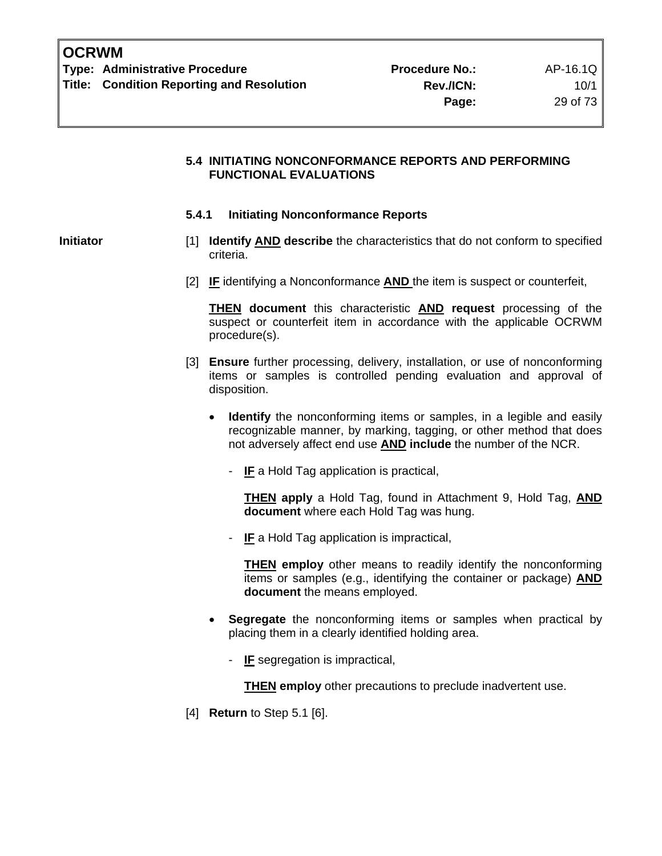#### **5.4 INITIATING NONCONFORMANCE REPORTS AND PERFORMING FUNCTIONAL EVALUATIONS**

#### **5.4.1 Initiating Nonconformance Reports**

- **Initiator** [1] **Identify AND describe** the characteristics that do not conform to specified criteria.
	- [2] **IF** identifying a Nonconformance **AND** the item is suspect or counterfeit,

**THEN document** this characteristic **AND request** processing of the suspect or counterfeit item in accordance with the applicable OCRWM procedure(s).

- [3] **Ensure** further processing, delivery, installation, or use of nonconforming items or samples is controlled pending evaluation and approval of disposition.
	- **Identify** the nonconforming items or samples, in a legible and easily recognizable manner, by marking, tagging, or other method that does not adversely affect end use **AND include** the number of the NCR.
		- **IF** a Hold Tag application is practical,

 **THEN apply** a Hold Tag, found in Attachment 9, Hold Tag, **AND document** where each Hold Tag was hung.

- **IF** a Hold Tag application is impractical,

 **THEN employ** other means to readily identify the nonconforming items or samples (e.g., identifying the container or package) **AND document** the means employed.

- **Segregate** the nonconforming items or samples when practical by placing them in a clearly identified holding area.
	- **IF** segregation is impractical,

**THEN employ** other precautions to preclude inadvertent use.

[4] **Return** to Step 5.1 [6].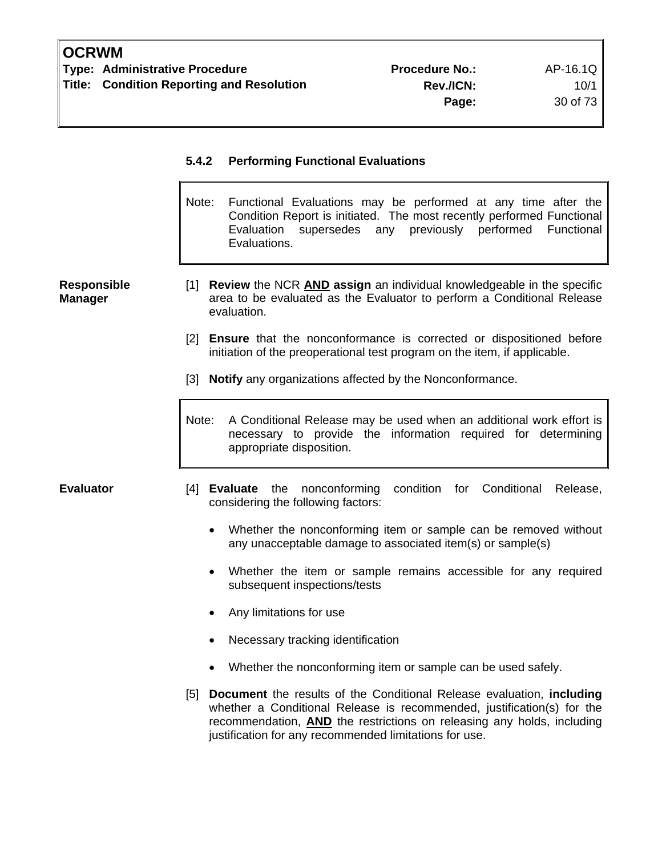# **5.4.2 Performing Functional Evaluations**  Note: Functional Evaluations may be performed at any time after the Condition Report is initiated. The most recently performed Functional Evaluation supersedes any previously performed Functional Evaluations. **Responsible Manager**  [1] **Review** the NCR **AND assign** an individual knowledgeable in the specific area to be evaluated as the Evaluator to perform a Conditional Release evaluation. [2] **Ensure** that the nonconformance is corrected or dispositioned before initiation of the preoperational test program on the item, if applicable. [3] **Notify** any organizations affected by the Nonconformance. Note: A Conditional Release may be used when an additional work effort is necessary to provide the information required for determining appropriate disposition. **Evaluator** [4] **Evaluate** the nonconforming condition for Conditional Release, considering the following factors: • Whether the nonconforming item or sample can be removed without any unacceptable damage to associated item(s) or sample(s) Whether the item or sample remains accessible for any required subsequent inspections/tests • Any limitations for use • Necessary tracking identification • Whether the nonconforming item or sample can be used safely. [5] **Document** the results of the Conditional Release evaluation, **including** whether a Conditional Release is recommended, justification(s) for the recommendation, **AND** the restrictions on releasing any holds, including

justification for any recommended limitations for use.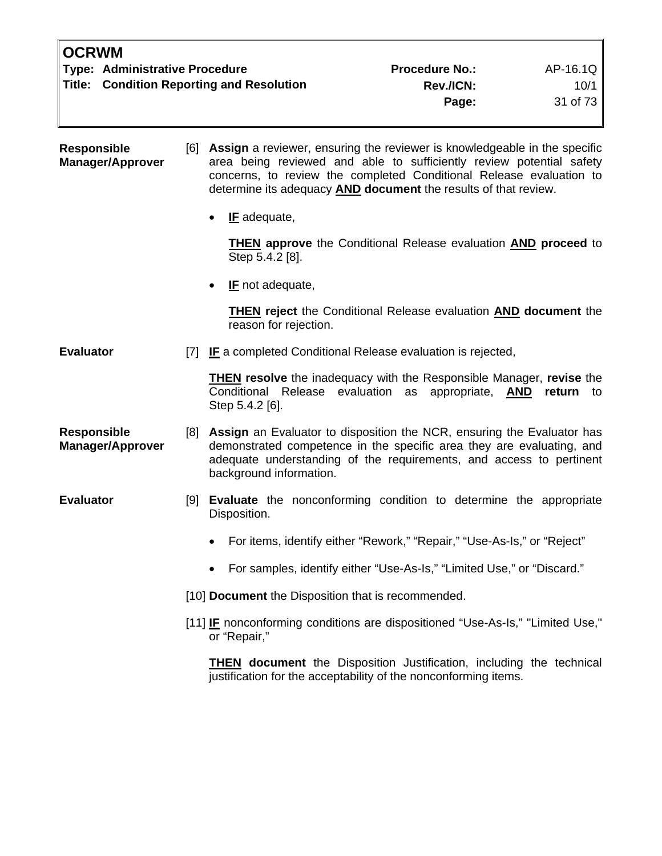| <b>OCRWM</b>                                     |                       |          |
|--------------------------------------------------|-----------------------|----------|
| Type: Administrative Procedure                   | <b>Procedure No.:</b> | AP-16.1Q |
| <b>Title: Condition Reporting and Resolution</b> | <b>Rev./ICN:</b>      | 10/1     |
|                                                  | Page:                 | 31 of 73 |
|                                                  |                       |          |

**Responsible Manager/Approver**  [6] **Assign** a reviewer, ensuring the reviewer is knowledgeable in the specific area being reviewed and able to sufficiently review potential safety concerns, to review the completed Conditional Release evaluation to determine its adequacy **AND document** the results of that review.

• **IF** adequate,

 **THEN approve** the Conditional Release evaluation **AND proceed** to Step 5.4.2 [8].

**IF** not adequate,

 **THEN reject** the Conditional Release evaluation **AND document** the reason for rejection.

**Evaluator** [7] **IF** a completed Conditional Release evaluation is rejected,

**THEN resolve** the inadequacy with the Responsible Manager, **revise** the Conditional Release evaluation as appropriate, **AND return** to Step 5.4.2 [6].

- **Responsible Manager/Approver**  [8] **Assign** an Evaluator to disposition the NCR, ensuring the Evaluator has demonstrated competence in the specific area they are evaluating, and adequate understanding of the requirements, and access to pertinent background information.
- **Evaluator** [9] **Evaluate** the nonconforming condition to determine the appropriate Disposition.
	- For items, identify either "Rework," "Repair," "Use-As-Is," or "Reject"
	- For samples, identify either "Use-As-Is," "Limited Use," or "Discard."

[10] **Document** the Disposition that is recommended.

[11] **IF** nonconforming conditions are dispositioned "Use-As-Is," "Limited Use," or "Repair,"

**THEN document** the Disposition Justification, including the technical justification for the acceptability of the nonconforming items.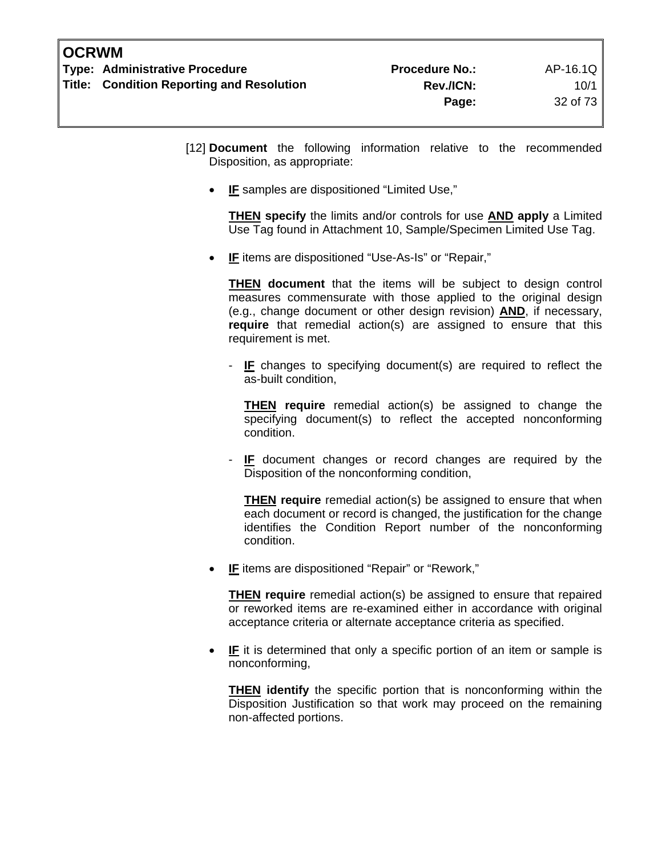- [12] **Document** the following information relative to the recommended Disposition, as appropriate:
	- **IF** samples are dispositioned "Limited Use,"

 **THEN specify** the limits and/or controls for use **AND apply** a Limited Use Tag found in Attachment 10, Sample/Specimen Limited Use Tag.

**IF** items are dispositioned "Use-As-Is" or "Repair,"

 **THEN document** that the items will be subject to design control measures commensurate with those applied to the original design (e.g., change document or other design revision) **AND**, if necessary, **require** that remedial action(s) are assigned to ensure that this requirement is met.

**IF** changes to specifying document(s) are required to reflect the as-built condition,

 **THEN require** remedial action(s) be assigned to change the specifying document(s) to reflect the accepted nonconforming condition.

**IF** document changes or record changes are required by the Disposition of the nonconforming condition,

 **THEN require** remedial action(s) be assigned to ensure that when each document or record is changed, the justification for the change identifies the Condition Report number of the nonconforming condition.

**IF** items are dispositioned "Repair" or "Rework,"

 **THEN require** remedial action(s) be assigned to ensure that repaired or reworked items are re-examined either in accordance with original acceptance criteria or alternate acceptance criteria as specified.

**IF** it is determined that only a specific portion of an item or sample is nonconforming,

 **THEN identify** the specific portion that is nonconforming within the Disposition Justification so that work may proceed on the remaining non-affected portions.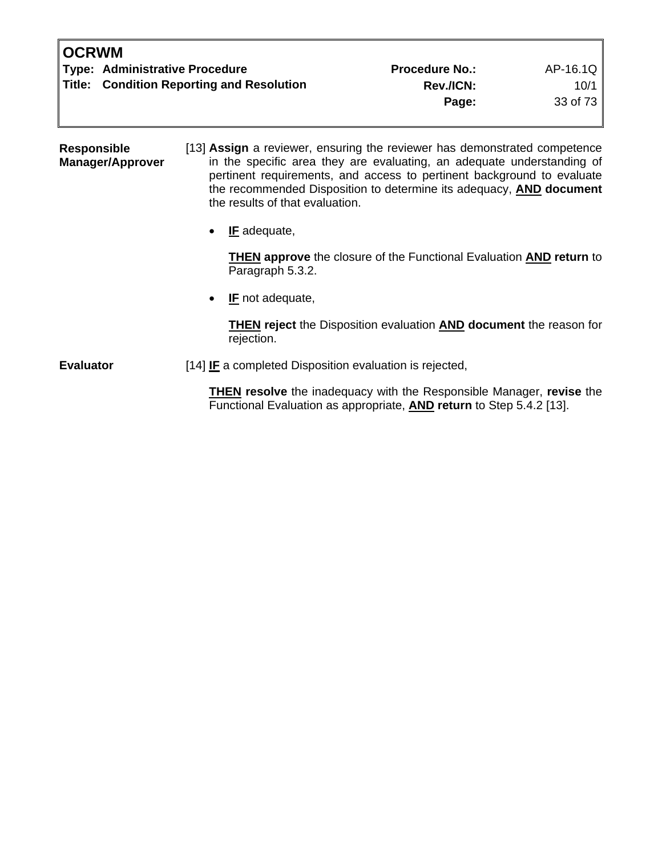| <b>IOCRWM</b>                             |                       |          |
|-------------------------------------------|-----------------------|----------|
| Type: Administrative Procedure            | <b>Procedure No.:</b> | AP-16.1Q |
| Title: Condition Reporting and Resolution | <b>Rev./ICN:</b>      | 10/1     |
|                                           | Page:                 | 33 of 73 |
|                                           |                       |          |

**Responsible Manager/Approver**  [13] **Assign** a reviewer, ensuring the reviewer has demonstrated competence in the specific area they are evaluating, an adequate understanding of pertinent requirements, and access to pertinent background to evaluate the recommended Disposition to determine its adequacy, **AND document** the results of that evaluation.

• **IF** adequate,

 **THEN approve** the closure of the Functional Evaluation **AND return** to Paragraph 5.3.2.

• **IF** not adequate,

 **THEN reject** the Disposition evaluation **AND document** the reason for rejection.

**Evaluator** [14] **IF** a completed Disposition evaluation is rejected,

**THEN resolve** the inadequacy with the Responsible Manager, **revise** the Functional Evaluation as appropriate, **AND return** to Step 5.4.2 [13].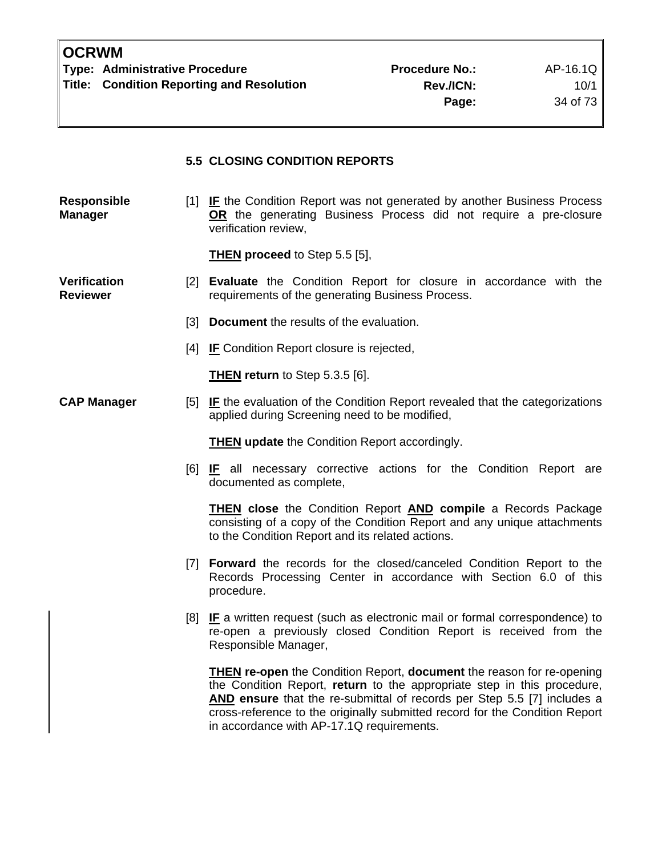#### **5.5 CLOSING CONDITION REPORTS**

**Responsible Manager**  [1] **IF** the Condition Report was not generated by another Business Process **OR** the generating Business Process did not require a pre-closure verification review,

**THEN proceed** to Step 5.5 [5],

**Verification Reviewer** 

- [2] **Evaluate** the Condition Report for closure in accordance with the requirements of the generating Business Process.
	- [3] **Document** the results of the evaluation.
	- [4] **IF** Condition Report closure is rejected,

**THEN return** to Step 5.3.5 [6].

**CAP Manager** [5] **IF** the evaluation of the Condition Report revealed that the categorizations applied during Screening need to be modified,

**THEN update** the Condition Report accordingly.

[6] **IF** all necessary corrective actions for the Condition Report are documented as complete,

**THEN close** the Condition Report **AND compile** a Records Package consisting of a copy of the Condition Report and any unique attachments to the Condition Report and its related actions.

- [7] **Forward** the records for the closed/canceled Condition Report to the Records Processing Center in accordance with Section 6.0 of this procedure.
- [8] **IF** a written request (such as electronic mail or formal correspondence) to re-open a previously closed Condition Report is received from the Responsible Manager,

**THEN re-open** the Condition Report, **document** the reason for re-opening the Condition Report, **return** to the appropriate step in this procedure, **AND ensure** that the re-submittal of records per Step 5.5 [7] includes a cross-reference to the originally submitted record for the Condition Report in accordance with AP-17.1Q requirements.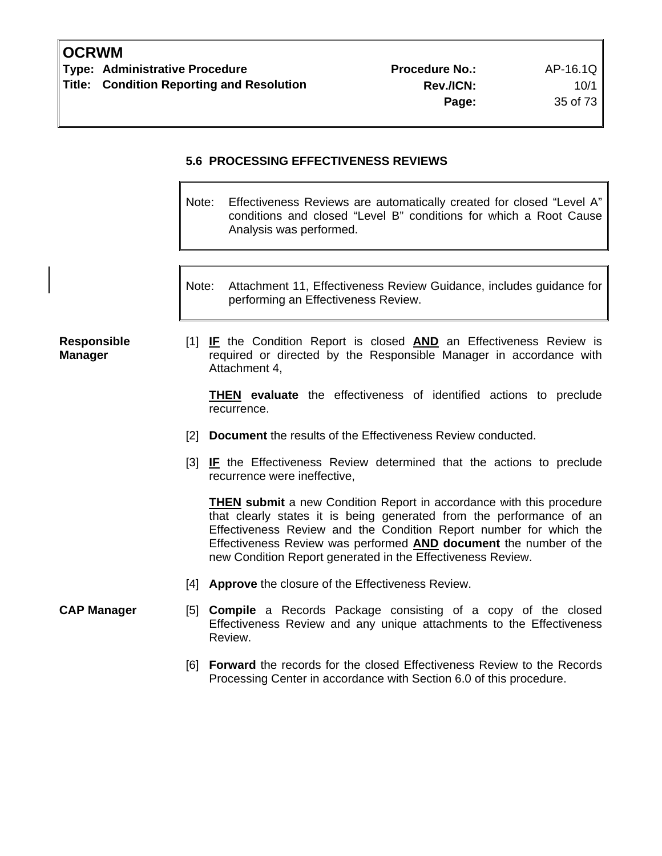## **5.6 PROCESSING EFFECTIVENESS REVIEWS**

- Note: Effectiveness Reviews are automatically created for closed "Level A" conditions and closed "Level B" conditions for which a Root Cause Analysis was performed.
- Note: Attachment 11, Effectiveness Review Guidance, includes guidance for performing an Effectiveness Review.

#### **Responsible Manager**

[1] **IF** the Condition Report is closed **AND** an Effectiveness Review is required or directed by the Responsible Manager in accordance with Attachment 4,

**THEN evaluate** the effectiveness of identified actions to preclude recurrence.

- [2] **Document** the results of the Effectiveness Review conducted.
- [3] **IF** the Effectiveness Review determined that the actions to preclude recurrence were ineffective,

**THEN submit** a new Condition Report in accordance with this procedure that clearly states it is being generated from the performance of an Effectiveness Review and the Condition Report number for which the Effectiveness Review was performed **AND document** the number of the new Condition Report generated in the Effectiveness Review.

- [4] **Approve** the closure of the Effectiveness Review.
- **CAP Manager** [5] **Compile** a Records Package consisting of a copy of the closed Effectiveness Review and any unique attachments to the Effectiveness Review.
	- [6] **Forward** the records for the closed Effectiveness Review to the Records Processing Center in accordance with Section 6.0 of this procedure.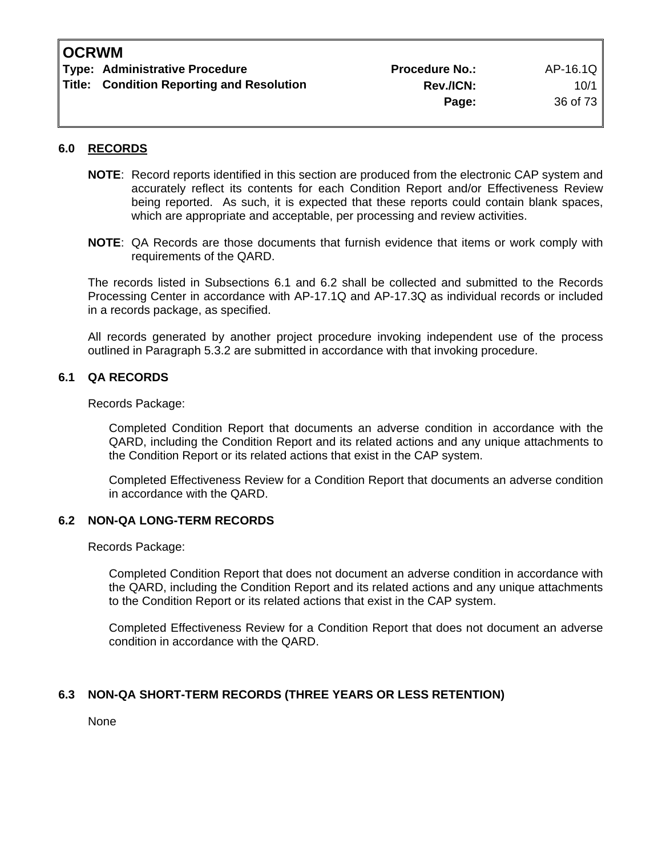| Type: Administrative Procedure            | <b>Procedure No.:</b> | AP-16.1Q |
|-------------------------------------------|-----------------------|----------|
| Title: Condition Reporting and Resolution | <b>Rev./ICN:</b>      | 10/1     |
|                                           | Page:                 | 36 of 73 |

#### **6.0 RECORDS**

- **NOTE**: Record reports identified in this section are produced from the electronic CAP system and accurately reflect its contents for each Condition Report and/or Effectiveness Review being reported. As such, it is expected that these reports could contain blank spaces, which are appropriate and acceptable, per processing and review activities.
- **NOTE**: QA Records are those documents that furnish evidence that items or work comply with requirements of the QARD.

 The records listed in Subsections 6.1 and 6.2 shall be collected and submitted to the Records Processing Center in accordance with AP-17.1Q and AP-17.3Q as individual records or included in a records package, as specified.

 All records generated by another project procedure invoking independent use of the process outlined in Paragraph 5.3.2 are submitted in accordance with that invoking procedure.

#### **6.1 QA RECORDS**

Records Package:

 Completed Condition Report that documents an adverse condition in accordance with the QARD, including the Condition Report and its related actions and any unique attachments to the Condition Report or its related actions that exist in the CAP system.

 Completed Effectiveness Review for a Condition Report that documents an adverse condition in accordance with the QARD.

#### **6.2 NON-QA LONG-TERM RECORDS**

Records Package:

 Completed Condition Report that does not document an adverse condition in accordance with the QARD, including the Condition Report and its related actions and any unique attachments to the Condition Report or its related actions that exist in the CAP system.

 Completed Effectiveness Review for a Condition Report that does not document an adverse condition in accordance with the QARD.

#### **6.3 NON-QA SHORT-TERM RECORDS (THREE YEARS OR LESS RETENTION)**

None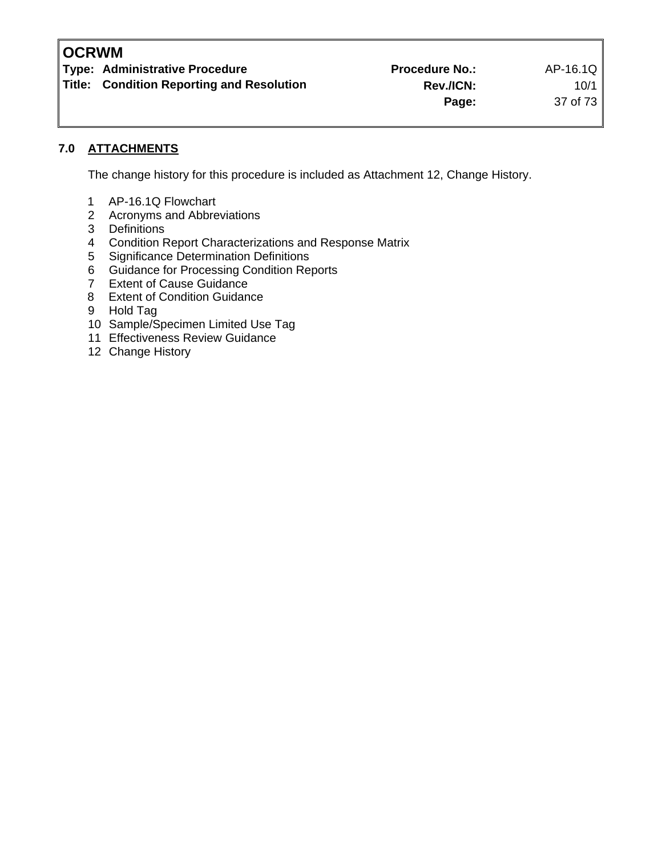**Type: Administrative Procedure 19th Contract Procedure Procedure No.:** AP-16.1Q

**Title: Condition Reporting and Resolution Condition Rev./ICN:** 10/1

**Page:** 37 of 73

## **7.0 ATTACHMENTS**

The change history for this procedure is included as Attachment 12, Change History.

- 1 AP-16.1Q Flowchart
- 2 Acronyms and Abbreviations<br>3 Definitions
- **Definitions**
- 4 Condition Report Characterizations and Response Matrix<br>5 Significance Determination Definitions
- 5 Significance Determination Definitions
- 6 Guidance for Processing Condition Reports
- 7 Extent of Cause Guidance
- 8 Extent of Condition Guidance
- 9 Hold Tag
- 10 Sample/Specimen Limited Use Tag
- 11 Effectiveness Review Guidance
- 12 Change History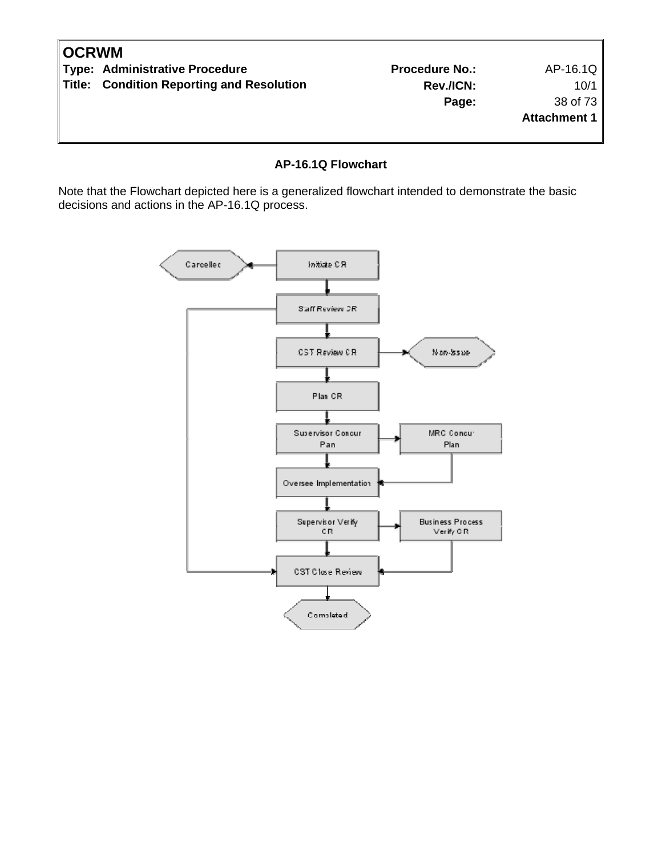| <b>OCRWM</b> |                                           |                       |                     |
|--------------|-------------------------------------------|-----------------------|---------------------|
|              | Type: Administrative Procedure            | <b>Procedure No.:</b> | AP-16.1Q            |
|              | Title: Condition Reporting and Resolution | Rev./ICN:             | 10/1                |
|              |                                           | Page:                 | 38 of 73            |
|              |                                           |                       | <b>Attachment 1</b> |
|              |                                           |                       |                     |
|              |                                           |                       |                     |

#### **AP-16.1Q Flowchart**

Note that the Flowchart depicted here is a generalized flowchart intended to demonstrate the basic decisions and actions in the AP-16.1Q process.

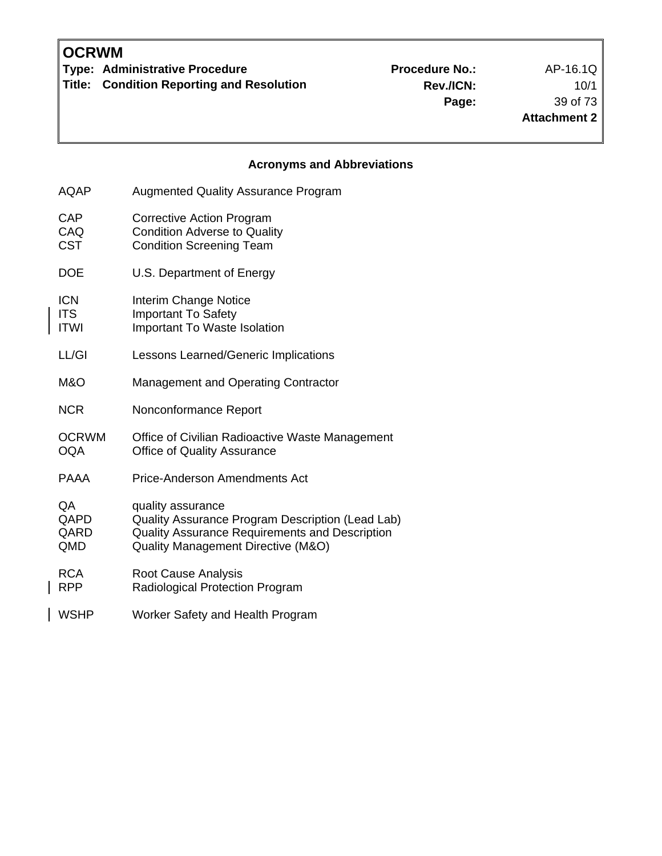$\overline{\phantom{a}}$ 

 $\overline{\phantom{a}}$ 

**Type: Administrative Procedure No.:** Procedure No.: AP-16.1Q

**Title: Condition Reporting and Resolution** 

**Rev./ICN:** 10/1 **Page:** 39 of 73 **Attachment 2**

## **Acronyms and Abbreviations**

| <b>AQAP</b>                             | <b>Augmented Quality Assurance Program</b>                                                                                                                    |
|-----------------------------------------|---------------------------------------------------------------------------------------------------------------------------------------------------------------|
| CAP<br>CAQ<br><b>CST</b>                | <b>Corrective Action Program</b><br><b>Condition Adverse to Quality</b><br><b>Condition Screening Team</b>                                                    |
| <b>DOE</b>                              | U.S. Department of Energy                                                                                                                                     |
| <b>ICN</b><br><b>ITS</b><br><b>ITWI</b> | <b>Interim Change Notice</b><br><b>Important To Safety</b><br>Important To Waste Isolation                                                                    |
| LL/GI                                   | Lessons Learned/Generic Implications                                                                                                                          |
| M&O                                     | <b>Management and Operating Contractor</b>                                                                                                                    |
| <b>NCR</b>                              | Nonconformance Report                                                                                                                                         |
| <b>OCRWM</b><br><b>OQA</b>              | Office of Civilian Radioactive Waste Management<br><b>Office of Quality Assurance</b>                                                                         |
| PAAA                                    | <b>Price-Anderson Amendments Act</b>                                                                                                                          |
| QA<br>QAPD<br>QARD<br>QMD               | quality assurance<br>Quality Assurance Program Description (Lead Lab)<br>Quality Assurance Requirements and Description<br>Quality Management Directive (M&O) |
| <b>RCA</b><br><b>RPP</b>                | Root Cause Analysis<br>Radiological Protection Program                                                                                                        |
| <b>WSHP</b>                             | Worker Safety and Health Program                                                                                                                              |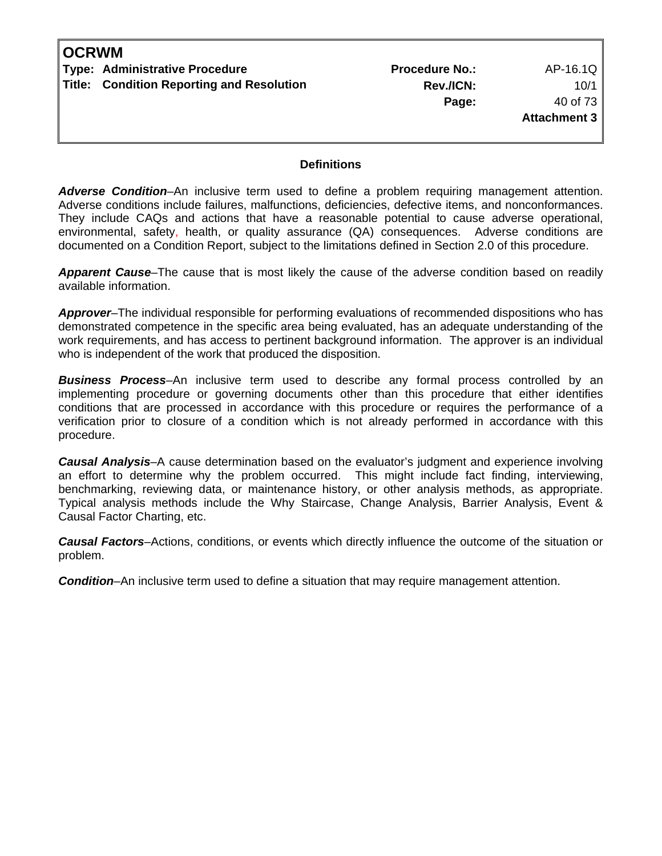| <b>OCRWM</b> |                                           |                       |              |
|--------------|-------------------------------------------|-----------------------|--------------|
|              | Type: Administrative Procedure            | <b>Procedure No.:</b> | AP-16.1Q     |
|              | Title: Condition Reporting and Resolution | Rev./ICN:             | 10/1         |
|              |                                           | Page:                 | 40 of 73     |
|              |                                           |                       | Attachment 3 |
|              |                                           |                       |              |
|              |                                           |                       |              |

#### **Definitions**

*Adverse Condition*–An inclusive term used to define a problem requiring management attention. Adverse conditions include failures, malfunctions, deficiencies, defective items, and nonconformances. They include CAQs and actions that have a reasonable potential to cause adverse operational, environmental, safety, health, or quality assurance (QA) consequences. Adverse conditions are documented on a Condition Report, subject to the limitations defined in Section 2.0 of this procedure.

*Apparent Cause*–The cause that is most likely the cause of the adverse condition based on readily available information.

*Approver*–The individual responsible for performing evaluations of recommended dispositions who has demonstrated competence in the specific area being evaluated, has an adequate understanding of the work requirements, and has access to pertinent background information. The approver is an individual who is independent of the work that produced the disposition.

*Business Process*–An inclusive term used to describe any formal process controlled by an implementing procedure or governing documents other than this procedure that either identifies conditions that are processed in accordance with this procedure or requires the performance of a verification prior to closure of a condition which is not already performed in accordance with this procedure.

*Causal Analysis*–A cause determination based on the evaluator's judgment and experience involving an effort to determine why the problem occurred. This might include fact finding, interviewing, benchmarking, reviewing data, or maintenance history, or other analysis methods, as appropriate. Typical analysis methods include the Why Staircase, Change Analysis, Barrier Analysis, Event & Causal Factor Charting, etc.

*Causal Factors*–Actions, conditions, or events which directly influence the outcome of the situation or problem.

*Condition*–An inclusive term used to define a situation that may require management attention.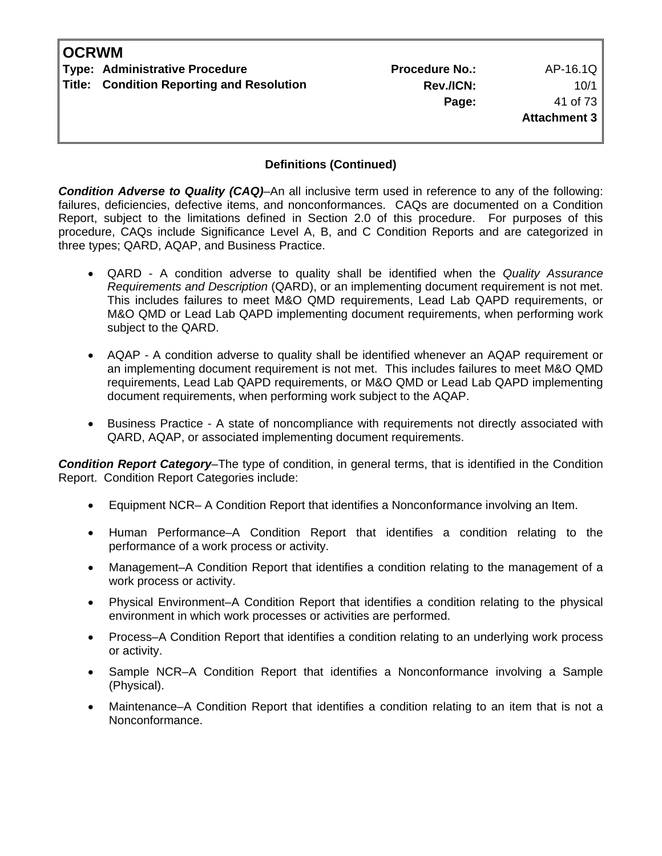| <b>OCRWM</b> |                                                  |                       |                     |
|--------------|--------------------------------------------------|-----------------------|---------------------|
|              | Type: Administrative Procedure                   | <b>Procedure No.:</b> | AP-16.1Q            |
|              | <b>Title: Condition Reporting and Resolution</b> | Rev./ICN:             | 10/1                |
|              |                                                  | Page:                 | 41 of 73            |
|              |                                                  |                       | <b>Attachment 3</b> |
|              |                                                  |                       |                     |

### **Definitions (Continued)**

*Condition Adverse to Quality (CAQ)*–An all inclusive term used in reference to any of the following: failures, deficiencies, defective items, and nonconformances. CAQs are documented on a Condition Report, subject to the limitations defined in Section 2.0 of this procedure. For purposes of this procedure, CAQs include Significance Level A, B, and C Condition Reports and are categorized in three types; QARD, AQAP, and Business Practice.

- QARD A condition adverse to quality shall be identified when the *Quality Assurance Requirements and Description* (QARD), or an implementing document requirement is not met. This includes failures to meet M&O QMD requirements, Lead Lab QAPD requirements, or M&O QMD or Lead Lab QAPD implementing document requirements, when performing work subject to the QARD.
- AQAP A condition adverse to quality shall be identified whenever an AQAP requirement or an implementing document requirement is not met. This includes failures to meet M&O QMD requirements, Lead Lab QAPD requirements, or M&O QMD or Lead Lab QAPD implementing document requirements, when performing work subject to the AQAP.
- Business Practice A state of noncompliance with requirements not directly associated with QARD, AQAP, or associated implementing document requirements.

*Condition Report Category*–The type of condition, in general terms, that is identified in the Condition Report. Condition Report Categories include:

- Equipment NCR– A Condition Report that identifies a Nonconformance involving an Item.
- Human Performance–A Condition Report that identifies a condition relating to the performance of a work process or activity.
- Management–A Condition Report that identifies a condition relating to the management of a work process or activity.
- Physical Environment–A Condition Report that identifies a condition relating to the physical environment in which work processes or activities are performed.
- Process–A Condition Report that identifies a condition relating to an underlying work process or activity.
- Sample NCR–A Condition Report that identifies a Nonconformance involving a Sample (Physical).
- Maintenance–A Condition Report that identifies a condition relating to an item that is not a Nonconformance.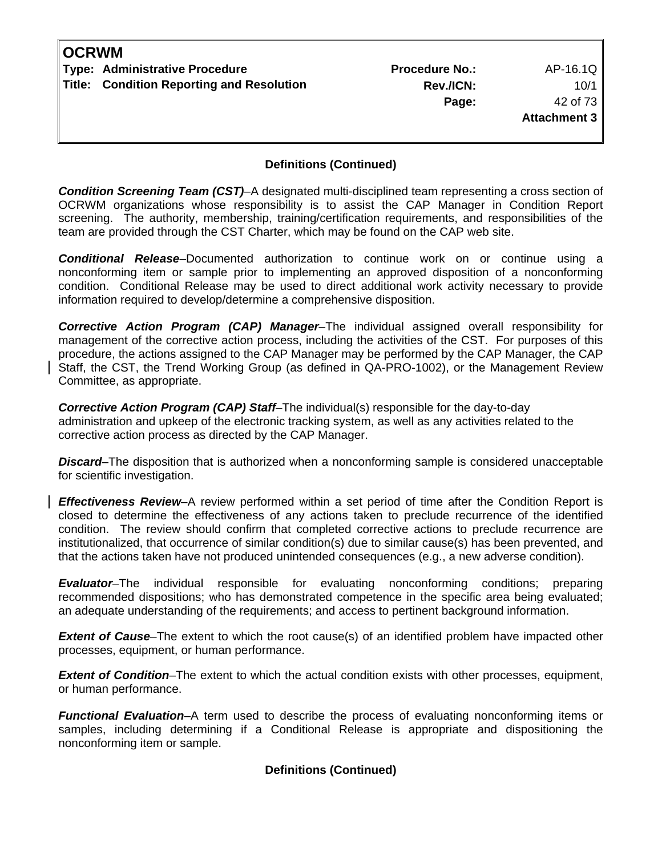| <b>OCRWM</b> |                                           |                       |              |
|--------------|-------------------------------------------|-----------------------|--------------|
|              | Type: Administrative Procedure            | <b>Procedure No.:</b> | AP-16.1Q     |
|              | Title: Condition Reporting and Resolution | Rev./ICN:             | 10/1         |
|              |                                           | Page:                 | 42 of 73     |
|              |                                           |                       | Attachment 3 |
|              |                                           |                       |              |

### **Definitions (Continued)**

*Condition Screening Team (CST)*–A designated multi-disciplined team representing a cross section of OCRWM organizations whose responsibility is to assist the CAP Manager in Condition Report screening. The authority, membership, training/certification requirements, and responsibilities of the team are provided through the CST Charter, which may be found on the CAP web site.

*Conditional Release*–Documented authorization to continue work on or continue using a nonconforming item or sample prior to implementing an approved disposition of a nonconforming condition. Conditional Release may be used to direct additional work activity necessary to provide information required to develop/determine a comprehensive disposition.

*Corrective Action Program (CAP) Manager*–The individual assigned overall responsibility for management of the corrective action process, including the activities of the CST. For purposes of this procedure, the actions assigned to the CAP Manager may be performed by the CAP Manager, the CAP Staff, the CST, the Trend Working Group (as defined in QA-PRO-1002), or the Management Review Committee, as appropriate.

*Corrective Action Program (CAP) Staff*–The individual(s) responsible for the day-to-day administration and upkeep of the electronic tracking system, as well as any activities related to the corrective action process as directed by the CAP Manager.

*Discard*–The disposition that is authorized when a nonconforming sample is considered unacceptable for scientific investigation.

*Effectiveness Review*–A review performed within a set period of time after the Condition Report is closed to determine the effectiveness of any actions taken to preclude recurrence of the identified condition. The review should confirm that completed corrective actions to preclude recurrence are institutionalized, that occurrence of similar condition(s) due to similar cause(s) has been prevented, and that the actions taken have not produced unintended consequences (e.g., a new adverse condition).

*Evaluator*–The individual responsible for evaluating nonconforming conditions; preparing recommended dispositions; who has demonstrated competence in the specific area being evaluated; an adequate understanding of the requirements; and access to pertinent background information.

*Extent of Cause*–The extent to which the root cause(s) of an identified problem have impacted other processes, equipment, or human performance.

*Extent of Condition*–The extent to which the actual condition exists with other processes, equipment, or human performance.

*Functional Evaluation*–A term used to describe the process of evaluating nonconforming items or samples, including determining if a Conditional Release is appropriate and dispositioning the nonconforming item or sample.

#### **Definitions (Continued)**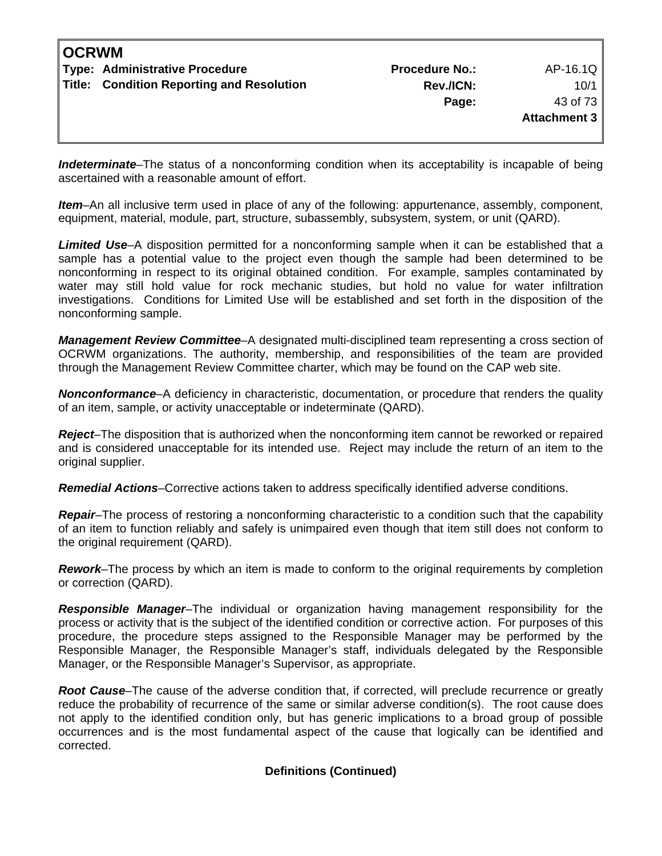| <b>OCRWM</b> |                                           |                       |              |
|--------------|-------------------------------------------|-----------------------|--------------|
|              | Type: Administrative Procedure            | <b>Procedure No.:</b> | AP-16.1Q     |
|              | Title: Condition Reporting and Resolution | Rev./ICN:             | 10/1         |
|              |                                           | Page:                 | 43 of 73     |
|              |                                           |                       | Attachment 3 |
|              |                                           |                       |              |

*Indeterminate*–The status of a nonconforming condition when its acceptability is incapable of being ascertained with a reasonable amount of effort.

*Item*–An all inclusive term used in place of any of the following: appurtenance, assembly, component, equipment, material, module, part, structure, subassembly, subsystem, system, or unit (QARD).

*Limited Use*–A disposition permitted for a nonconforming sample when it can be established that a sample has a potential value to the project even though the sample had been determined to be nonconforming in respect to its original obtained condition. For example, samples contaminated by water may still hold value for rock mechanic studies, but hold no value for water infiltration investigations. Conditions for Limited Use will be established and set forth in the disposition of the nonconforming sample.

*Management Review Committee*–A designated multi-disciplined team representing a cross section of OCRWM organizations. The authority, membership, and responsibilities of the team are provided through the Management Review Committee charter, which may be found on the CAP web site.

*Nonconformance*–A deficiency in characteristic, documentation, or procedure that renders the quality of an item, sample, or activity unacceptable or indeterminate (QARD).

*Reject*–The disposition that is authorized when the nonconforming item cannot be reworked or repaired and is considered unacceptable for its intended use. Reject may include the return of an item to the original supplier.

*Remedial Actions*–Corrective actions taken to address specifically identified adverse conditions.

*Repair*–The process of restoring a nonconforming characteristic to a condition such that the capability of an item to function reliably and safely is unimpaired even though that item still does not conform to the original requirement (QARD).

*Rework*–The process by which an item is made to conform to the original requirements by completion or correction (QARD).

*Responsible Manager*–The individual or organization having management responsibility for the process or activity that is the subject of the identified condition or corrective action. For purposes of this procedure, the procedure steps assigned to the Responsible Manager may be performed by the Responsible Manager, the Responsible Manager's staff, individuals delegated by the Responsible Manager, or the Responsible Manager's Supervisor, as appropriate.

*Root Cause*–The cause of the adverse condition that, if corrected, will preclude recurrence or greatly reduce the probability of recurrence of the same or similar adverse condition(s). The root cause does not apply to the identified condition only, but has generic implications to a broad group of possible occurrences and is the most fundamental aspect of the cause that logically can be identified and corrected.

#### **Definitions (Continued)**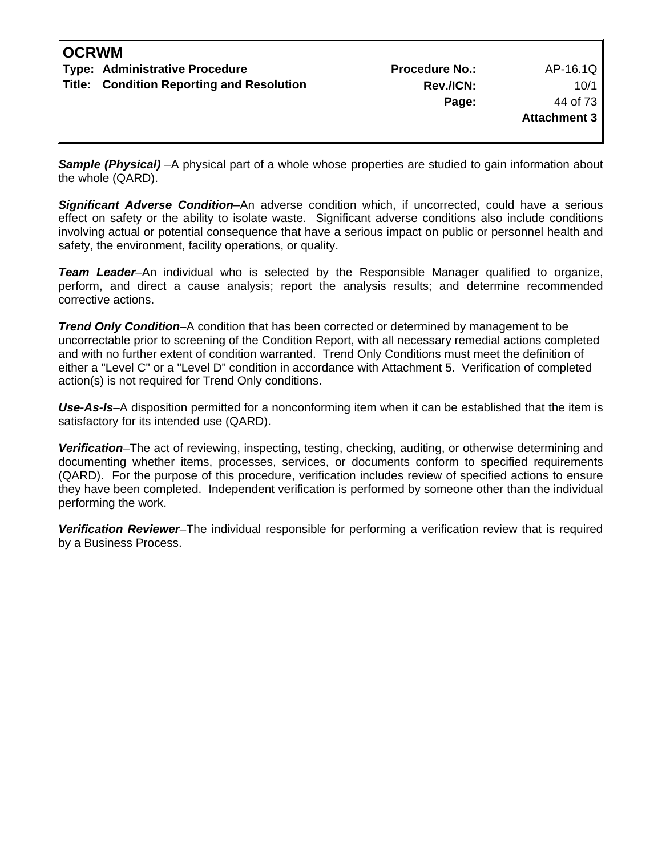| <b>OCRWM</b> |                                           |                       |              |
|--------------|-------------------------------------------|-----------------------|--------------|
|              | Type: Administrative Procedure            | <b>Procedure No.:</b> | AP-16.1Q     |
|              | Title: Condition Reporting and Resolution | Rev./ICN:             | 10/1         |
|              |                                           | Page:                 | 44 of 73     |
|              |                                           |                       | Attachment 3 |
|              |                                           |                       |              |

**Sample (Physical)** –A physical part of a whole whose properties are studied to gain information about the whole (QARD).

*Significant Adverse Condition*–An adverse condition which, if uncorrected, could have a serious effect on safety or the ability to isolate waste. Significant adverse conditions also include conditions involving actual or potential consequence that have a serious impact on public or personnel health and safety, the environment, facility operations, or quality.

**Team Leader–**An individual who is selected by the Responsible Manager qualified to organize, perform, and direct a cause analysis; report the analysis results; and determine recommended corrective actions.

*Trend Only Condition*–A condition that has been corrected or determined by management to be uncorrectable prior to screening of the Condition Report, with all necessary remedial actions completed and with no further extent of condition warranted. Trend Only Conditions must meet the definition of either a "Level C" or a "Level D" condition in accordance with Attachment 5. Verification of completed action(s) is not required for Trend Only conditions.

*Use-As-Is*–A disposition permitted for a nonconforming item when it can be established that the item is satisfactory for its intended use (QARD).

*Verification*–The act of reviewing, inspecting, testing, checking, auditing, or otherwise determining and documenting whether items, processes, services, or documents conform to specified requirements (QARD). For the purpose of this procedure, verification includes review of specified actions to ensure they have been completed. Independent verification is performed by someone other than the individual performing the work.

*Verification Reviewer*–The individual responsible for performing a verification review that is required by a Business Process.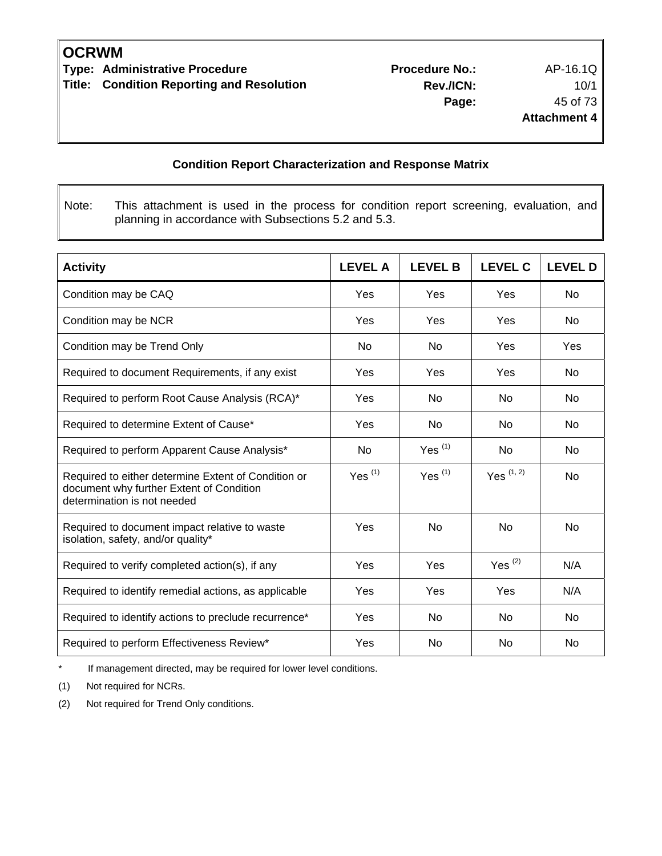**Type: Administrative Procedure 19th Contract Procedure Procedure No.:** AP-16.1Q **Title: Condition Reporting and Resolution** 

### **Condition Report Characterization and Response Matrix**

Note: This attachment is used in the process for condition report screening, evaluation, and planning in accordance with Subsections 5.2 and 5.3.

| <b>Activity</b>                                                                                                                | <b>LEVEL A</b> | <b>LEVEL B</b> | <b>LEVEL C</b> | <b>LEVEL D</b> |
|--------------------------------------------------------------------------------------------------------------------------------|----------------|----------------|----------------|----------------|
| Condition may be CAQ                                                                                                           | Yes            | Yes            | Yes            | <b>No</b>      |
| Condition may be NCR                                                                                                           | Yes            | Yes            | Yes            | No             |
| Condition may be Trend Only                                                                                                    | No.            | No.            | Yes            | Yes            |
| Required to document Requirements, if any exist                                                                                | Yes            | Yes            | Yes            | No             |
| Required to perform Root Cause Analysis (RCA)*                                                                                 | Yes            | <b>No</b>      | N <sub>o</sub> | No             |
| Required to determine Extent of Cause*                                                                                         | Yes            | <b>No</b>      | N <sub>o</sub> | <b>No</b>      |
| Required to perform Apparent Cause Analysis*                                                                                   | No             | Yes $(1)$      | <b>No</b>      | <b>No</b>      |
| Required to either determine Extent of Condition or<br>document why further Extent of Condition<br>determination is not needed | Yes $(1)$      | Yes $(1)$      | Yes $(1, 2)$   | <b>No</b>      |
| Required to document impact relative to waste<br>isolation, safety, and/or quality*                                            | Yes            | <b>No</b>      | <b>No</b>      | <b>No</b>      |
| Required to verify completed action(s), if any                                                                                 | Yes            | Yes            | Yes $(2)$      | N/A            |
| Required to identify remedial actions, as applicable                                                                           | Yes            | Yes            | Yes            | N/A            |
| Required to identify actions to preclude recurrence*                                                                           | Yes            | <b>No</b>      | No.            | No             |
| Required to perform Effectiveness Review*                                                                                      | Yes            | <b>No</b>      | No.            | No             |

\* If management directed, may be required for lower level conditions.

(1) Not required for NCRs.

(2)Not required for Trend Only conditions.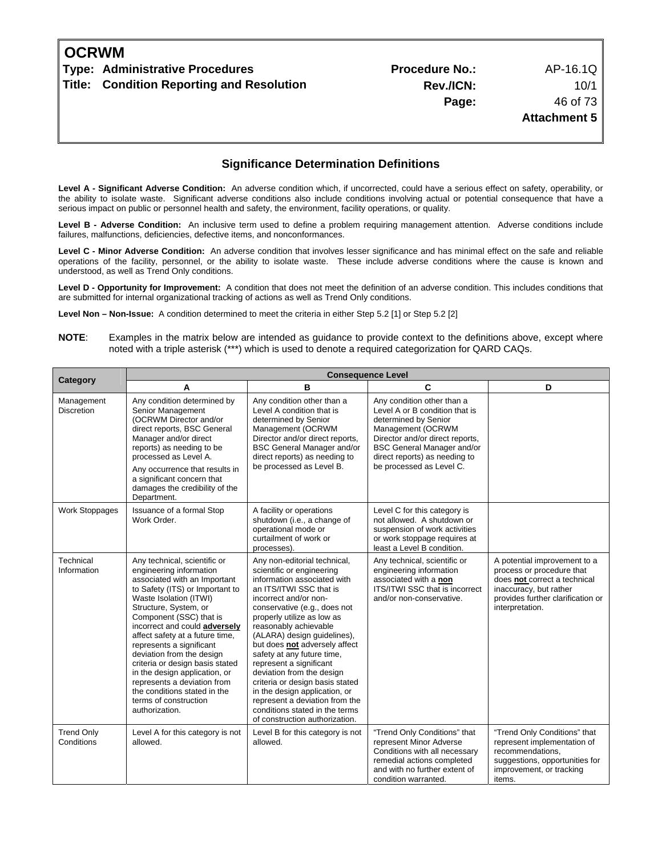| OCRWM |                                           |                       |                     |
|-------|-------------------------------------------|-----------------------|---------------------|
|       | Type: Administrative Procedures           | <b>Procedure No.:</b> | AP-16.1Q            |
|       | Title: Condition Reporting and Resolution | Rev./ICN:             | 10/1                |
|       |                                           | Page:                 | 46 of 73            |
|       |                                           |                       | <b>Attachment 5</b> |
|       |                                           |                       |                     |

#### **Significance Determination Definitions**

Level A - Significant Adverse Condition: An adverse condition which, if uncorrected, could have a serious effect on safety, operability, or the ability to isolate waste. Significant adverse conditions also include conditions involving actual or potential consequence that have a serious impact on public or personnel health and safety, the environment, facility operations, or quality.

**Level B - Adverse Condition:** An inclusive term used to define a problem requiring management attention. Adverse conditions include failures, malfunctions, deficiencies, defective items, and nonconformances.

**Level C - Minor Adverse Condition:** An adverse condition that involves lesser significance and has minimal effect on the safe and reliable operations of the facility, personnel, or the ability to isolate waste. These include adverse conditions where the cause is known and understood, as well as Trend Only conditions.

**Level D - Opportunity for Improvement:** A condition that does not meet the definition of an adverse condition. This includes conditions that are submitted for internal organizational tracking of actions as well as Trend Only conditions.

**Level Non – Non-Issue:** A condition determined to meet the criteria in either Step 5.2 [1] or Step 5.2 [2]

| Category                        | <b>Consequence Level</b>                                                                                                                                                                                                                                                                                                                                                                                                                                                                                            |                                                                                                                                                                                                                                                                                                                                                                                                                                                                                                                                                                     |                                                                                                                                                                                                                                                |                                                                                                                                                                             |
|---------------------------------|---------------------------------------------------------------------------------------------------------------------------------------------------------------------------------------------------------------------------------------------------------------------------------------------------------------------------------------------------------------------------------------------------------------------------------------------------------------------------------------------------------------------|---------------------------------------------------------------------------------------------------------------------------------------------------------------------------------------------------------------------------------------------------------------------------------------------------------------------------------------------------------------------------------------------------------------------------------------------------------------------------------------------------------------------------------------------------------------------|------------------------------------------------------------------------------------------------------------------------------------------------------------------------------------------------------------------------------------------------|-----------------------------------------------------------------------------------------------------------------------------------------------------------------------------|
|                                 | A                                                                                                                                                                                                                                                                                                                                                                                                                                                                                                                   | B                                                                                                                                                                                                                                                                                                                                                                                                                                                                                                                                                                   | C                                                                                                                                                                                                                                              | D                                                                                                                                                                           |
| Management<br><b>Discretion</b> | Any condition determined by<br>Senior Management<br>(OCRWM Director and/or<br>direct reports, BSC General<br>Manager and/or direct<br>reports) as needing to be<br>processed as Level A.<br>Any occurrence that results in<br>a significant concern that<br>damages the credibility of the<br>Department.                                                                                                                                                                                                           | Any condition other than a<br>Level A condition that is<br>determined by Senior<br>Management (OCRWM<br>Director and/or direct reports,<br><b>BSC General Manager and/or</b><br>direct reports) as needing to<br>be processed as Level B.                                                                                                                                                                                                                                                                                                                           | Any condition other than a<br>Level A or B condition that is<br>determined by Senior<br>Management (OCRWM<br>Director and/or direct reports,<br><b>BSC General Manager and/or</b><br>direct reports) as needing to<br>be processed as Level C. |                                                                                                                                                                             |
| <b>Work Stoppages</b>           | Issuance of a formal Stop<br>Work Order.                                                                                                                                                                                                                                                                                                                                                                                                                                                                            | A facility or operations<br>shutdown (i.e., a change of<br>operational mode or<br>curtailment of work or<br>processes).                                                                                                                                                                                                                                                                                                                                                                                                                                             | Level C for this category is<br>not allowed. A shutdown or<br>suspension of work activities<br>or work stoppage requires at<br>least a Level B condition.                                                                                      |                                                                                                                                                                             |
| Technical<br>Information        | Any technical, scientific or<br>engineering information<br>associated with an Important<br>to Safety (ITS) or Important to<br>Waste Isolation (ITWI)<br>Structure, System, or<br>Component (SSC) that is<br>incorrect and could adversely<br>affect safety at a future time,<br>represents a significant<br>deviation from the design<br>criteria or design basis stated<br>in the design application, or<br>represents a deviation from<br>the conditions stated in the<br>terms of construction<br>authorization. | Any non-editorial technical,<br>scientific or engineering<br>information associated with<br>an ITS/ITWI SSC that is<br>incorrect and/or non-<br>conservative (e.g., does not<br>properly utilize as low as<br>reasonably achievable<br>(ALARA) design guidelines),<br>but does not adversely affect<br>safety at any future time,<br>represent a significant<br>deviation from the design<br>criteria or design basis stated<br>in the design application, or<br>represent a deviation from the<br>conditions stated in the terms<br>of construction authorization. | Any technical, scientific or<br>engineering information<br>associated with a non<br>ITS/ITWI SSC that is incorrect<br>and/or non-conservative.                                                                                                 | A potential improvement to a<br>process or procedure that<br>does not correct a technical<br>inaccuracy, but rather<br>provides further clarification or<br>interpretation. |
| <b>Trend Only</b><br>Conditions | Level A for this category is not<br>allowed.                                                                                                                                                                                                                                                                                                                                                                                                                                                                        | Level B for this category is not<br>allowed.                                                                                                                                                                                                                                                                                                                                                                                                                                                                                                                        | "Trend Only Conditions" that<br>represent Minor Adverse<br>Conditions with all necessary<br>remedial actions completed<br>and with no further extent of<br>condition warranted.                                                                | "Trend Only Conditions" that<br>represent implementation of<br>recommendations,<br>suggestions, opportunities for<br>improvement, or tracking<br>items.                     |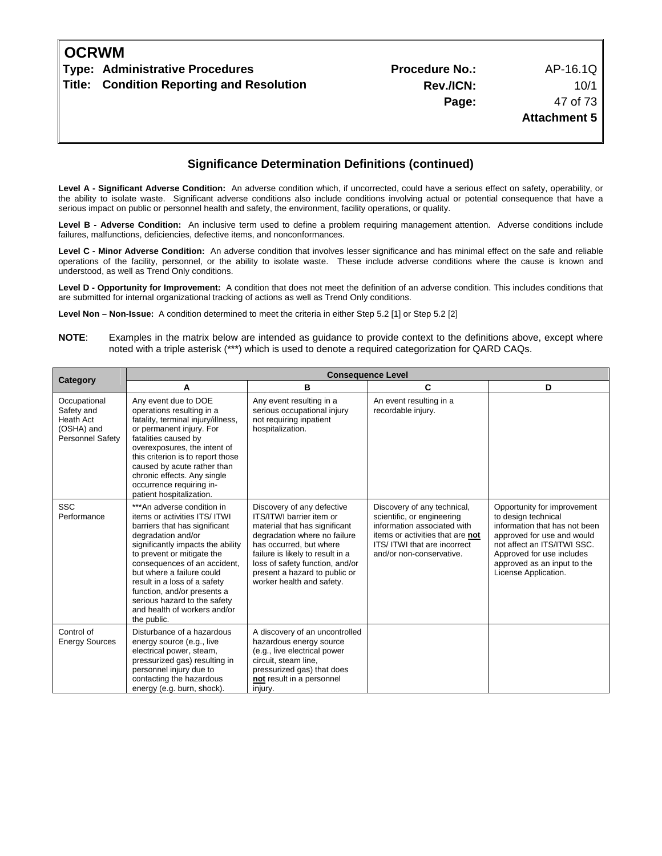| <b>OCRWM</b> |                                           |                       |                     |
|--------------|-------------------------------------------|-----------------------|---------------------|
|              | Type: Administrative Procedures           | <b>Procedure No.:</b> | AP-16.1Q            |
|              | Title: Condition Reporting and Resolution | Rev./ICN:             | 10/1                |
|              |                                           | Page:                 | 47 of 73            |
|              |                                           |                       | <b>Attachment 5</b> |
|              |                                           |                       |                     |
|              |                                           |                       |                     |

Level A - Significant Adverse Condition: An adverse condition which, if uncorrected, could have a serious effect on safety, operability, or the ability to isolate waste. Significant adverse conditions also include conditions involving actual or potential consequence that have a serious impact on public or personnel health and safety, the environment, facility operations, or quality.

**Level B - Adverse Condition:** An inclusive term used to define a problem requiring management attention. Adverse conditions include failures, malfunctions, deficiencies, defective items, and nonconformances.

**Level C - Minor Adverse Condition:** An adverse condition that involves lesser significance and has minimal effect on the safe and reliable operations of the facility, personnel, or the ability to isolate waste. These include adverse conditions where the cause is known and understood, as well as Trend Only conditions.

**Level D - Opportunity for Improvement:** A condition that does not meet the definition of an adverse condition. This includes conditions that are submitted for internal organizational tracking of actions as well as Trend Only conditions.

**Level Non – Non-Issue:** A condition determined to meet the criteria in either Step 5.2 [1] or Step 5.2 [2]

| Category                                                                         | <b>Consequence Level</b>                                                                                                                                                                                                                                                                                                                                                                         |                                                                                                                                                                                                                                                                                         |                                                                                                                                                                                         |                                                                                                                                                                                                                                      |  |
|----------------------------------------------------------------------------------|--------------------------------------------------------------------------------------------------------------------------------------------------------------------------------------------------------------------------------------------------------------------------------------------------------------------------------------------------------------------------------------------------|-----------------------------------------------------------------------------------------------------------------------------------------------------------------------------------------------------------------------------------------------------------------------------------------|-----------------------------------------------------------------------------------------------------------------------------------------------------------------------------------------|--------------------------------------------------------------------------------------------------------------------------------------------------------------------------------------------------------------------------------------|--|
|                                                                                  | А                                                                                                                                                                                                                                                                                                                                                                                                | в                                                                                                                                                                                                                                                                                       | C                                                                                                                                                                                       | D                                                                                                                                                                                                                                    |  |
| Occupational<br>Safety and<br>Heath Act<br>(OSHA) and<br><b>Personnel Safety</b> | Any event due to DOE<br>operations resulting in a<br>fatality, terminal injury/illness,<br>or permanent injury. For<br>fatalities caused by<br>overexposures, the intent of<br>this criterion is to report those<br>caused by acute rather than<br>chronic effects. Any single<br>occurrence requiring in-<br>patient hospitalization.                                                           | Any event resulting in a<br>serious occupational injury<br>not requiring inpatient<br>hospitalization.                                                                                                                                                                                  | An event resulting in a<br>recordable injury.                                                                                                                                           |                                                                                                                                                                                                                                      |  |
| <b>SSC</b><br>Performance                                                        | ***An adverse condition in<br>items or activities ITS/ ITWI<br>barriers that has significant<br>degradation and/or<br>significantly impacts the ability<br>to prevent or mitigate the<br>consequences of an accident,<br>but where a failure could<br>result in a loss of a safety<br>function, and/or presents a<br>serious hazard to the safety<br>and health of workers and/or<br>the public. | Discovery of any defective<br>ITS/ITWI barrier item or<br>material that has significant<br>degradation where no failure<br>has occurred, but where<br>failure is likely to result in a<br>loss of safety function, and/or<br>present a hazard to public or<br>worker health and safety. | Discovery of any technical,<br>scientific, or engineering<br>information associated with<br>items or activities that are not<br>ITS/ITWI that are incorrect<br>and/or non-conservative. | Opportunity for improvement<br>to design technical<br>information that has not been<br>approved for use and would<br>not affect an ITS/ITWI SSC.<br>Approved for use includes<br>approved as an input to the<br>License Application. |  |
| Control of<br><b>Energy Sources</b>                                              | Disturbance of a hazardous<br>energy source (e.g., live<br>electrical power, steam,<br>pressurized gas) resulting in<br>personnel injury due to<br>contacting the hazardous<br>energy (e.g. burn, shock).                                                                                                                                                                                        | A discovery of an uncontrolled<br>hazardous energy source<br>(e.g., live electrical power<br>circuit, steam line,<br>pressurized gas) that does<br>not result in a personnel<br>injury.                                                                                                 |                                                                                                                                                                                         |                                                                                                                                                                                                                                      |  |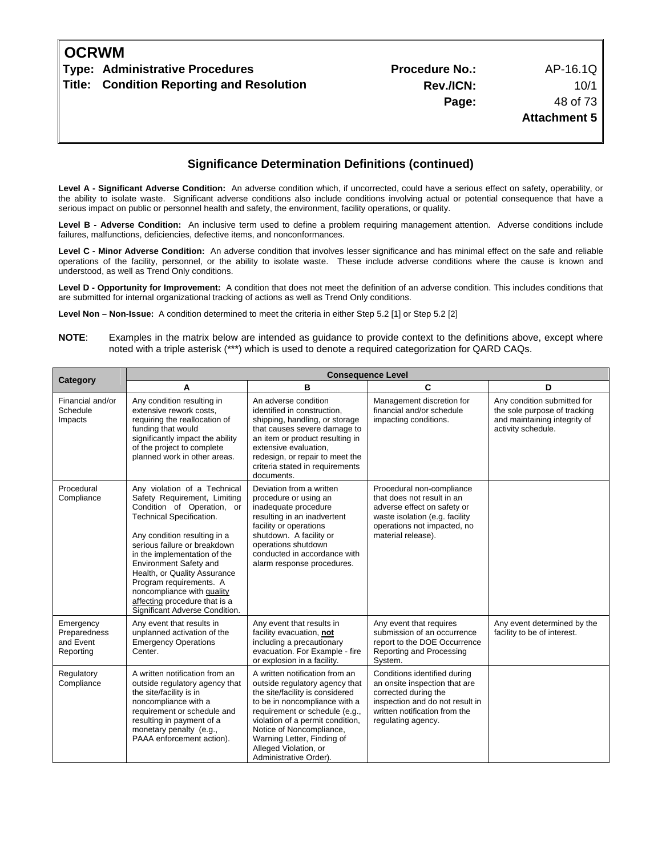| <b>OCRWM</b> |                                           |                       |                     |
|--------------|-------------------------------------------|-----------------------|---------------------|
|              | Type: Administrative Procedures           | <b>Procedure No.:</b> | AP-16.1Q            |
|              | Title: Condition Reporting and Resolution | Rev./ICN:             | 10/1                |
|              |                                           | Page:                 | 48 of 73            |
|              |                                           |                       | <b>Attachment 5</b> |
|              |                                           |                       |                     |
|              |                                           |                       |                     |

Level A - Significant Adverse Condition: An adverse condition which, if uncorrected, could have a serious effect on safety, operability, or the ability to isolate waste. Significant adverse conditions also include conditions involving actual or potential consequence that have a serious impact on public or personnel health and safety, the environment, facility operations, or quality.

**Level B - Adverse Condition:** An inclusive term used to define a problem requiring management attention. Adverse conditions include failures, malfunctions, deficiencies, defective items, and nonconformances.

**Level C - Minor Adverse Condition:** An adverse condition that involves lesser significance and has minimal effect on the safe and reliable operations of the facility, personnel, or the ability to isolate waste. These include adverse conditions where the cause is known and understood, as well as Trend Only conditions.

**Level D - Opportunity for Improvement:** A condition that does not meet the definition of an adverse condition. This includes conditions that are submitted for internal organizational tracking of actions as well as Trend Only conditions.

**Level Non – Non-Issue:** A condition determined to meet the criteria in either Step 5.2 [1] or Step 5.2 [2]

|                                                     | <b>Consequence Level</b>                                                                                                                                                                                                                                                                                                                                                                                     |                                                                                                                                                                                                                                                                                                                         |                                                                                                                                                                                 |                                                                                                                   |  |
|-----------------------------------------------------|--------------------------------------------------------------------------------------------------------------------------------------------------------------------------------------------------------------------------------------------------------------------------------------------------------------------------------------------------------------------------------------------------------------|-------------------------------------------------------------------------------------------------------------------------------------------------------------------------------------------------------------------------------------------------------------------------------------------------------------------------|---------------------------------------------------------------------------------------------------------------------------------------------------------------------------------|-------------------------------------------------------------------------------------------------------------------|--|
| Category                                            | A                                                                                                                                                                                                                                                                                                                                                                                                            | B                                                                                                                                                                                                                                                                                                                       | C                                                                                                                                                                               | D                                                                                                                 |  |
| Financial and/or<br>Schedule<br>Impacts             | Any condition resulting in<br>extensive rework costs.<br>requiring the reallocation of<br>funding that would<br>significantly impact the ability<br>of the project to complete<br>planned work in other areas.                                                                                                                                                                                               | An adverse condition<br>identified in construction.<br>shipping, handling, or storage<br>that causes severe damage to<br>an item or product resulting in<br>extensive evaluation.<br>redesign, or repair to meet the<br>criteria stated in requirements<br>documents.                                                   | Management discretion for<br>financial and/or schedule<br>impacting conditions.                                                                                                 | Any condition submitted for<br>the sole purpose of tracking<br>and maintaining integrity of<br>activity schedule. |  |
| Procedural<br>Compliance                            | Any violation of a Technical<br>Safety Requirement, Limiting<br>Condition of Operation, or<br>Technical Specification.<br>Any condition resulting in a<br>serious failure or breakdown<br>in the implementation of the<br>Environment Safety and<br>Health, or Quality Assurance<br>Program requirements. A<br>noncompliance with quality<br>affecting procedure that is a<br>Significant Adverse Condition. | Deviation from a written<br>procedure or using an<br>inadequate procedure<br>resulting in an inadvertent<br>facility or operations<br>shutdown. A facility or<br>operations shutdown<br>conducted in accordance with<br>alarm response procedures.                                                                      | Procedural non-compliance<br>that does not result in an<br>adverse effect on safety or<br>waste isolation (e.g. facility<br>operations not impacted, no<br>material release).   |                                                                                                                   |  |
| Emergency<br>Preparedness<br>and Event<br>Reporting | Any event that results in<br>unplanned activation of the<br><b>Emergency Operations</b><br>Center.                                                                                                                                                                                                                                                                                                           | Any event that results in<br>facility evacuation, not<br>including a precautionary<br>evacuation. For Example - fire<br>or explosion in a facility.                                                                                                                                                                     | Any event that requires<br>submission of an occurrence<br>report to the DOE Occurrence<br>Reporting and Processing<br>System.                                                   | Any event determined by the<br>facility to be of interest.                                                        |  |
| Regulatory<br>Compliance                            | A written notification from an<br>outside regulatory agency that<br>the site/facility is in<br>noncompliance with a<br>requirement or schedule and<br>resulting in payment of a<br>monetary penalty (e.g.,<br>PAAA enforcement action).                                                                                                                                                                      | A written notification from an<br>outside regulatory agency that<br>the site/facility is considered<br>to be in noncompliance with a<br>requirement or schedule (e.g.,<br>violation of a permit condition,<br>Notice of Noncompliance,<br>Warning Letter, Finding of<br>Alleged Violation, or<br>Administrative Order). | Conditions identified during<br>an onsite inspection that are<br>corrected during the<br>inspection and do not result in<br>written notification from the<br>regulating agency. |                                                                                                                   |  |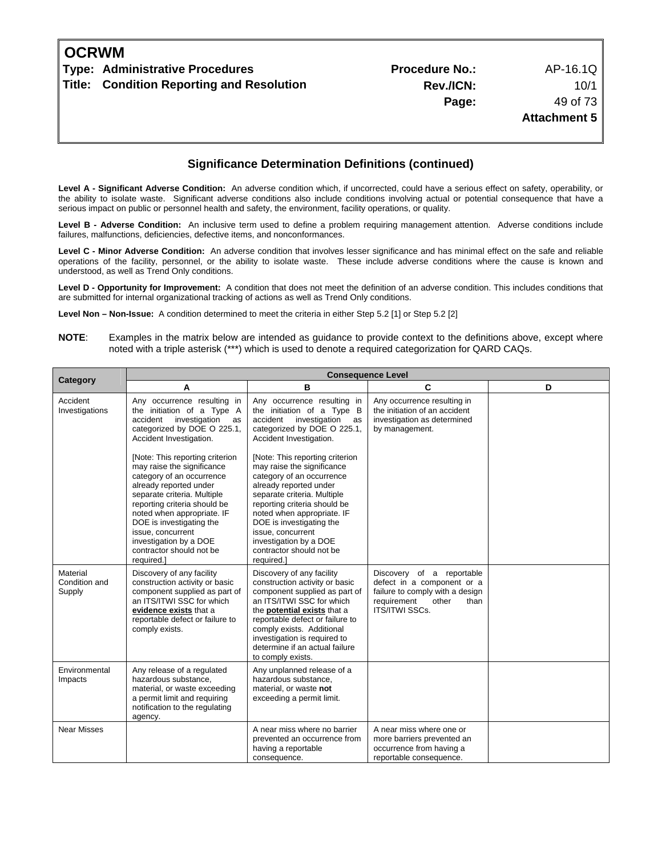| <b>OCRWM</b> |                                           |                       |                     |
|--------------|-------------------------------------------|-----------------------|---------------------|
|              | Type: Administrative Procedures           | <b>Procedure No.:</b> | AP-16.1Q            |
|              | Title: Condition Reporting and Resolution | Rev./ICN:             | 10/1                |
|              |                                           | Page:                 | 49 of 73            |
|              |                                           |                       | <b>Attachment 5</b> |
|              |                                           |                       |                     |
|              |                                           |                       |                     |

Level A - Significant Adverse Condition: An adverse condition which, if uncorrected, could have a serious effect on safety, operability, or the ability to isolate waste. Significant adverse conditions also include conditions involving actual or potential consequence that have a serious impact on public or personnel health and safety, the environment, facility operations, or quality.

**Level B - Adverse Condition:** An inclusive term used to define a problem requiring management attention. Adverse conditions include failures, malfunctions, deficiencies, defective items, and nonconformances.

**Level C - Minor Adverse Condition:** An adverse condition that involves lesser significance and has minimal effect on the safe and reliable operations of the facility, personnel, or the ability to isolate waste. These include adverse conditions where the cause is known and understood, as well as Trend Only conditions.

**Level D - Opportunity for Improvement:** A condition that does not meet the definition of an adverse condition. This includes conditions that are submitted for internal organizational tracking of actions as well as Trend Only conditions.

**Level Non – Non-Issue:** A condition determined to meet the criteria in either Step 5.2 [1] or Step 5.2 [2]

|                                     | <b>Consequence Level</b>                                                                                                                                                                                                                                                                                                               |                                                                                                                                                                                                                                                                                                                                        |                                                                                                                                                     |   |
|-------------------------------------|----------------------------------------------------------------------------------------------------------------------------------------------------------------------------------------------------------------------------------------------------------------------------------------------------------------------------------------|----------------------------------------------------------------------------------------------------------------------------------------------------------------------------------------------------------------------------------------------------------------------------------------------------------------------------------------|-----------------------------------------------------------------------------------------------------------------------------------------------------|---|
| Category                            | Α                                                                                                                                                                                                                                                                                                                                      | в                                                                                                                                                                                                                                                                                                                                      | C                                                                                                                                                   | D |
| Accident<br>Investigations          | Any occurrence resulting in<br>the initiation of a Type A<br>accident investigation<br>as<br>categorized by DOE O 225.1,<br>Accident Investigation.                                                                                                                                                                                    | Any occurrence resulting in<br>the initiation of a Type B<br>investigation<br>accident<br>as<br>categorized by DOE O 225.1,<br>Accident Investigation.                                                                                                                                                                                 | Any occurrence resulting in<br>the initiation of an accident<br>investigation as determined<br>by management.                                       |   |
|                                     | [Note: This reporting criterion<br>may raise the significance<br>category of an occurrence<br>already reported under<br>separate criteria. Multiple<br>reporting criteria should be<br>noted when appropriate. IF<br>DOE is investigating the<br>issue, concurrent<br>investigation by a DOE<br>contractor should not be<br>required.] | [Note: This reporting criterion<br>may raise the significance<br>category of an occurrence<br>already reported under<br>separate criteria. Multiple<br>reporting criteria should be<br>noted when appropriate. IF<br>DOE is investigating the<br>issue, concurrent<br>investigation by a DOE<br>contractor should not be<br>required.] |                                                                                                                                                     |   |
| Material<br>Condition and<br>Supply | Discovery of any facility<br>construction activity or basic<br>component supplied as part of<br>an ITS/ITWI SSC for which<br>evidence exists that a<br>reportable defect or failure to<br>comply exists.                                                                                                                               | Discovery of any facility<br>construction activity or basic<br>component supplied as part of<br>an ITS/ITWI SSC for which<br>the <b>potential exists</b> that a<br>reportable defect or failure to<br>comply exists. Additional<br>investigation is required to<br>determine if an actual failure<br>to comply exists.                 | Discovery of a reportable<br>defect in a component or a<br>failure to comply with a design<br>requirement<br>other<br>than<br><b>ITS/ITWI SSCs.</b> |   |
| Environmental<br>Impacts            | Any release of a regulated<br>hazardous substance,<br>material, or waste exceeding<br>a permit limit and requiring<br>notification to the regulating<br>agency.                                                                                                                                                                        | Any unplanned release of a<br>hazardous substance,<br>material, or waste not<br>exceeding a permit limit.                                                                                                                                                                                                                              |                                                                                                                                                     |   |
| <b>Near Misses</b>                  |                                                                                                                                                                                                                                                                                                                                        | A near miss where no barrier<br>prevented an occurrence from<br>having a reportable<br>consequence.                                                                                                                                                                                                                                    | A near miss where one or<br>more barriers prevented an<br>occurrence from having a<br>reportable consequence.                                       |   |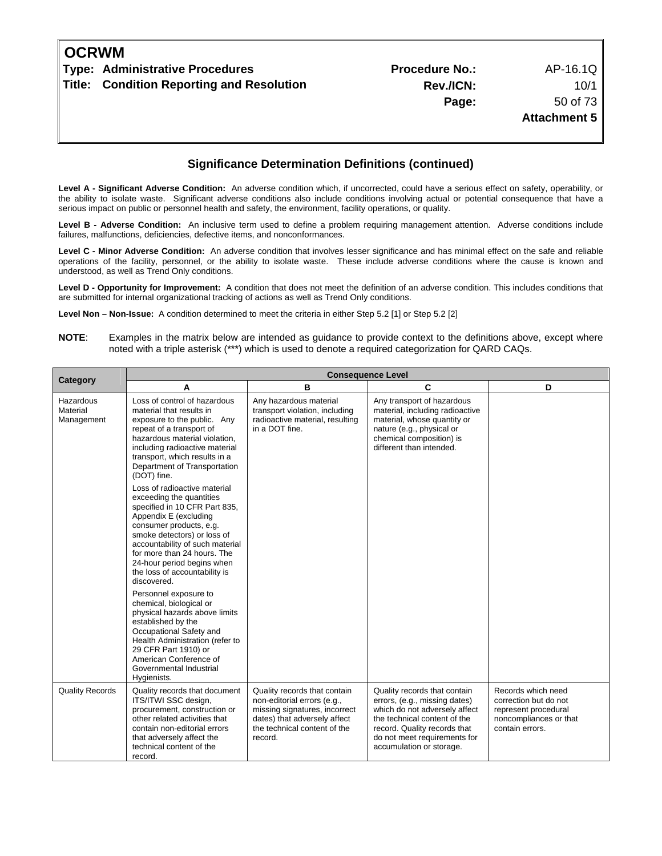| <b>OCRWM</b> |                                           |                       |                     |
|--------------|-------------------------------------------|-----------------------|---------------------|
|              | Type: Administrative Procedures           | <b>Procedure No.:</b> | AP-16.1Q            |
|              | Title: Condition Reporting and Resolution | Rev./ICN:             | 10/1                |
|              |                                           | Page:                 | 50 of 73            |
|              |                                           |                       | <b>Attachment 5</b> |
|              |                                           |                       |                     |
|              |                                           |                       |                     |

Level A - Significant Adverse Condition: An adverse condition which, if uncorrected, could have a serious effect on safety, operability, or the ability to isolate waste. Significant adverse conditions also include conditions involving actual or potential consequence that have a serious impact on public or personnel health and safety, the environment, facility operations, or quality.

**Level B - Adverse Condition:** An inclusive term used to define a problem requiring management attention. Adverse conditions include failures, malfunctions, deficiencies, defective items, and nonconformances.

**Level C - Minor Adverse Condition:** An adverse condition that involves lesser significance and has minimal effect on the safe and reliable operations of the facility, personnel, or the ability to isolate waste. These include adverse conditions where the cause is known and understood, as well as Trend Only conditions.

**Level D - Opportunity for Improvement:** A condition that does not meet the definition of an adverse condition. This includes conditions that are submitted for internal organizational tracking of actions as well as Trend Only conditions.

**Level Non – Non-Issue:** A condition determined to meet the criteria in either Step 5.2 [1] or Step 5.2 [2]

|                                     | <b>Consequence Level</b>                                                                                                                                                                                                                                                                                                     |                                                                                                                                                                         |                                                                                                                                                                                                                            |                                                                                                                  |  |
|-------------------------------------|------------------------------------------------------------------------------------------------------------------------------------------------------------------------------------------------------------------------------------------------------------------------------------------------------------------------------|-------------------------------------------------------------------------------------------------------------------------------------------------------------------------|----------------------------------------------------------------------------------------------------------------------------------------------------------------------------------------------------------------------------|------------------------------------------------------------------------------------------------------------------|--|
| Category                            | Α                                                                                                                                                                                                                                                                                                                            | B                                                                                                                                                                       | C                                                                                                                                                                                                                          | D                                                                                                                |  |
| Hazardous<br>Material<br>Management | Loss of control of hazardous<br>material that results in<br>exposure to the public. Any<br>repeat of a transport of<br>hazardous material violation,<br>including radioactive material<br>transport, which results in a<br>Department of Transportation<br>(DOT) fine.                                                       | Any hazardous material<br>transport violation, including<br>radioactive material, resulting<br>in a DOT fine.                                                           | Any transport of hazardous<br>material, including radioactive<br>material, whose quantity or<br>nature (e.g., physical or<br>chemical composition) is<br>different than intended.                                          |                                                                                                                  |  |
|                                     | Loss of radioactive material<br>exceeding the quantities<br>specified in 10 CFR Part 835,<br>Appendix E (excluding<br>consumer products, e.g.<br>smoke detectors) or loss of<br>accountability of such material<br>for more than 24 hours. The<br>24-hour period begins when<br>the loss of accountability is<br>discovered. |                                                                                                                                                                         |                                                                                                                                                                                                                            |                                                                                                                  |  |
|                                     | Personnel exposure to<br>chemical, biological or<br>physical hazards above limits<br>established by the<br>Occupational Safety and<br>Health Administration (refer to<br>29 CFR Part 1910) or<br>American Conference of<br>Governmental Industrial<br>Hygienists.                                                            |                                                                                                                                                                         |                                                                                                                                                                                                                            |                                                                                                                  |  |
| <b>Quality Records</b>              | Quality records that document<br>ITS/ITWI SSC design,<br>procurement, construction or<br>other related activities that<br>contain non-editorial errors<br>that adversely affect the<br>technical content of the<br>record.                                                                                                   | Quality records that contain<br>non-editorial errors (e.g.,<br>missing signatures, incorrect<br>dates) that adversely affect<br>the technical content of the<br>record. | Quality records that contain<br>errors, (e.g., missing dates)<br>which do not adversely affect<br>the technical content of the<br>record. Quality records that<br>do not meet requirements for<br>accumulation or storage. | Records which need<br>correction but do not<br>represent procedural<br>noncompliances or that<br>contain errors. |  |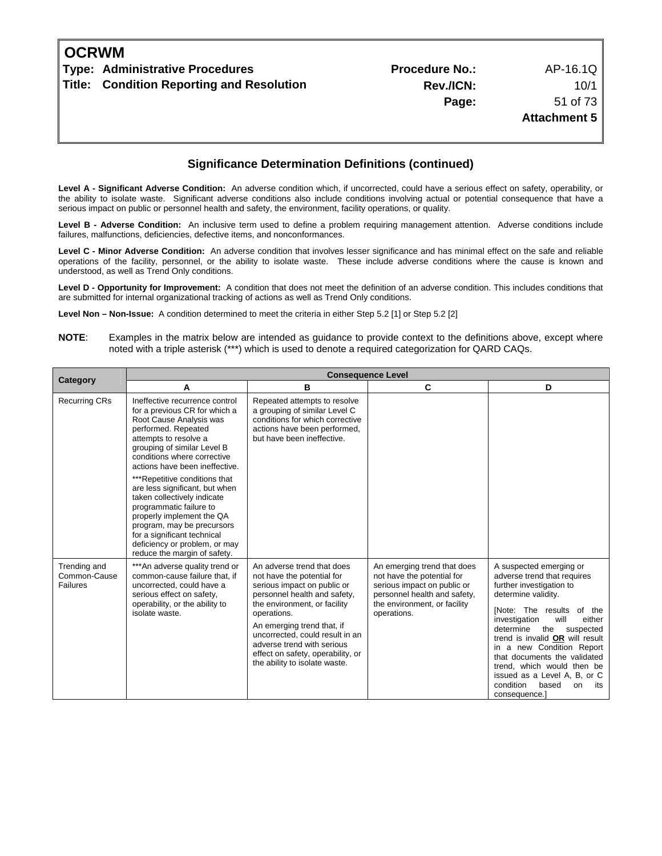| <b>OCRWM</b> |                                           |                       |                     |
|--------------|-------------------------------------------|-----------------------|---------------------|
|              | Type: Administrative Procedures           | <b>Procedure No.:</b> | AP-16.1Q            |
|              | Title: Condition Reporting and Resolution | Rev./ICN:             | 10/1                |
|              |                                           | Page:                 | 51 of 73            |
|              |                                           |                       | <b>Attachment 5</b> |
|              |                                           |                       |                     |
|              |                                           |                       |                     |

Level A - Significant Adverse Condition: An adverse condition which, if uncorrected, could have a serious effect on safety, operability, or the ability to isolate waste. Significant adverse conditions also include conditions involving actual or potential consequence that have a serious impact on public or personnel health and safety, the environment, facility operations, or quality.

**Level B - Adverse Condition:** An inclusive term used to define a problem requiring management attention. Adverse conditions include failures, malfunctions, deficiencies, defective items, and nonconformances.

**Level C - Minor Adverse Condition:** An adverse condition that involves lesser significance and has minimal effect on the safe and reliable operations of the facility, personnel, or the ability to isolate waste. These include adverse conditions where the cause is known and understood, as well as Trend Only conditions.

**Level D - Opportunity for Improvement:** A condition that does not meet the definition of an adverse condition. This includes conditions that are submitted for internal organizational tracking of actions as well as Trend Only conditions.

**Level Non – Non-Issue:** A condition determined to meet the criteria in either Step 5.2 [1] or Step 5.2 [2]

| Category                                 | <b>Consequence Level</b>                                                                                                                                                                                                                                                                                                                                                                                                                                                                                                           |                                                                                                                                                                                                                                                                                                                                             |                                                                                                                                                                         |                                                                                                                                                                                                                                                                                                                                                                                                                             |  |
|------------------------------------------|------------------------------------------------------------------------------------------------------------------------------------------------------------------------------------------------------------------------------------------------------------------------------------------------------------------------------------------------------------------------------------------------------------------------------------------------------------------------------------------------------------------------------------|---------------------------------------------------------------------------------------------------------------------------------------------------------------------------------------------------------------------------------------------------------------------------------------------------------------------------------------------|-------------------------------------------------------------------------------------------------------------------------------------------------------------------------|-----------------------------------------------------------------------------------------------------------------------------------------------------------------------------------------------------------------------------------------------------------------------------------------------------------------------------------------------------------------------------------------------------------------------------|--|
|                                          | А                                                                                                                                                                                                                                                                                                                                                                                                                                                                                                                                  | в                                                                                                                                                                                                                                                                                                                                           | C                                                                                                                                                                       | D                                                                                                                                                                                                                                                                                                                                                                                                                           |  |
| <b>Recurring CRs</b>                     | Ineffective recurrence control<br>for a previous CR for which a<br>Root Cause Analysis was<br>performed. Repeated<br>attempts to resolve a<br>grouping of similar Level B<br>conditions where corrective<br>actions have been ineffective.<br>***Repetitive conditions that<br>are less significant, but when<br>taken collectively indicate<br>programmatic failure to<br>properly implement the QA<br>program, may be precursors<br>for a significant technical<br>deficiency or problem, or may<br>reduce the margin of safety. | Repeated attempts to resolve<br>a grouping of similar Level C<br>conditions for which corrective<br>actions have been performed,<br>but have been ineffective.                                                                                                                                                                              |                                                                                                                                                                         |                                                                                                                                                                                                                                                                                                                                                                                                                             |  |
| Trending and<br>Common-Cause<br>Failures | ***An adverse quality trend or<br>common-cause failure that, if<br>uncorrected, could have a<br>serious effect on safety.<br>operability, or the ability to<br>isolate waste.                                                                                                                                                                                                                                                                                                                                                      | An adverse trend that does<br>not have the potential for<br>serious impact on public or<br>personnel health and safety,<br>the environment, or facility<br>operations.<br>An emerging trend that, if<br>uncorrected, could result in an<br>adverse trend with serious<br>effect on safety, operability, or<br>the ability to isolate waste. | An emerging trend that does<br>not have the potential for<br>serious impact on public or<br>personnel health and safety,<br>the environment, or facility<br>operations. | A suspected emerging or<br>adverse trend that requires<br>further investigation to<br>determine validity.<br>INote: The results of the<br>investigation<br>will<br>either<br>the<br>determine<br>suspected<br>trend is invalid OR will result<br>in a new Condition Report<br>that documents the validated<br>trend, which would then be<br>issued as a Level A, B, or C<br>condition<br>based<br>on<br>its<br>consequence. |  |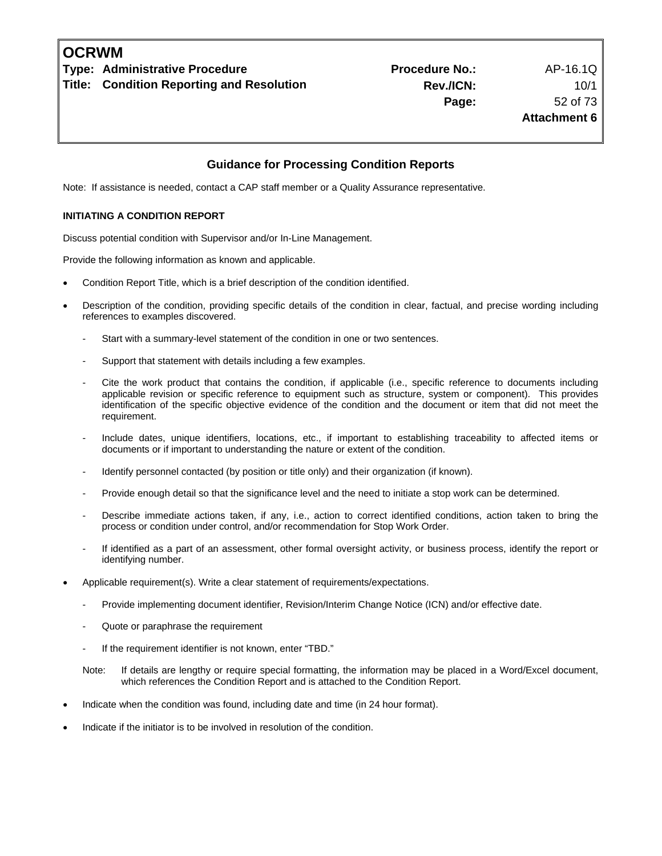#### **Guidance for Processing Condition Reports**

Note: If assistance is needed, contact a CAP staff member or a Quality Assurance representative.

#### **INITIATING A CONDITION REPORT**

Discuss potential condition with Supervisor and/or In-Line Management.

Provide the following information as known and applicable.

- Condition Report Title, which is a brief description of the condition identified.
- Description of the condition, providing specific details of the condition in clear, factual, and precise wording including references to examples discovered.
	- Start with a summary-level statement of the condition in one or two sentences.
	- Support that statement with details including a few examples.
	- Cite the work product that contains the condition, if applicable (i.e., specific reference to documents including applicable revision or specific reference to equipment such as structure, system or component). This provides identification of the specific objective evidence of the condition and the document or item that did not meet the requirement.
	- Include dates, unique identifiers, locations, etc., if important to establishing traceability to affected items or documents or if important to understanding the nature or extent of the condition.
	- Identify personnel contacted (by position or title only) and their organization (if known).
	- Provide enough detail so that the significance level and the need to initiate a stop work can be determined.
	- Describe immediate actions taken, if any, i.e., action to correct identified conditions, action taken to bring the process or condition under control, and/or recommendation for Stop Work Order.
	- If identified as a part of an assessment, other formal oversight activity, or business process, identify the report or identifying number.
- Applicable requirement(s). Write a clear statement of requirements/expectations.
	- Provide implementing document identifier, Revision/Interim Change Notice (ICN) and/or effective date.
	- Quote or paraphrase the requirement
	- If the requirement identifier is not known, enter "TBD."
	- Note: If details are lengthy or require special formatting, the information may be placed in a Word/Excel document, which references the Condition Report and is attached to the Condition Report.
- Indicate when the condition was found, including date and time (in 24 hour format).
- Indicate if the initiator is to be involved in resolution of the condition.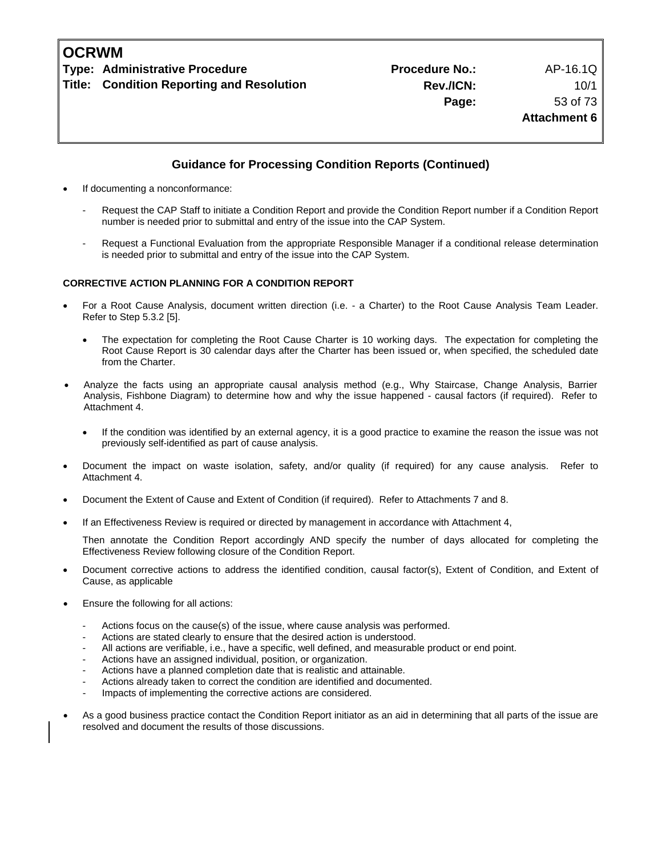### **Guidance for Processing Condition Reports (Continued)**

- If documenting a nonconformance:
	- Request the CAP Staff to initiate a Condition Report and provide the Condition Report number if a Condition Report number is needed prior to submittal and entry of the issue into the CAP System.
	- Request a Functional Evaluation from the appropriate Responsible Manager if a conditional release determination is needed prior to submittal and entry of the issue into the CAP System.

#### **CORRECTIVE ACTION PLANNING FOR A CONDITION REPORT**

- For a Root Cause Analysis, document written direction (i.e. a Charter) to the Root Cause Analysis Team Leader. Refer to Step 5.3.2 [5].
	- The expectation for completing the Root Cause Charter is 10 working days. The expectation for completing the Root Cause Report is 30 calendar days after the Charter has been issued or, when specified, the scheduled date from the Charter.
- Analyze the facts using an appropriate causal analysis method (e.g., Why Staircase, Change Analysis, Barrier Analysis, Fishbone Diagram) to determine how and why the issue happened - causal factors (if required). Refer to Attachment 4.
	- If the condition was identified by an external agency, it is a good practice to examine the reason the issue was not previously self-identified as part of cause analysis.
- Document the impact on waste isolation, safety, and/or quality (if required) for any cause analysis. Refer to Attachment 4.
- Document the Extent of Cause and Extent of Condition (if required). Refer to Attachments 7 and 8.
- If an Effectiveness Review is required or directed by management in accordance with Attachment 4,

 Then annotate the Condition Report accordingly AND specify the number of days allocated for completing the Effectiveness Review following closure of the Condition Report.

- Document corrective actions to address the identified condition, causal factor(s), Extent of Condition, and Extent of Cause, as applicable
- Ensure the following for all actions:
	- Actions focus on the cause(s) of the issue, where cause analysis was performed.
	- Actions are stated clearly to ensure that the desired action is understood.
	- All actions are verifiable, i.e., have a specific, well defined, and measurable product or end point.
	- Actions have an assigned individual, position, or organization.
	- Actions have a planned completion date that is realistic and attainable.
	- Actions already taken to correct the condition are identified and documented.
	- Impacts of implementing the corrective actions are considered.
- As a good business practice contact the Condition Report initiator as an aid in determining that all parts of the issue are resolved and document the results of those discussions.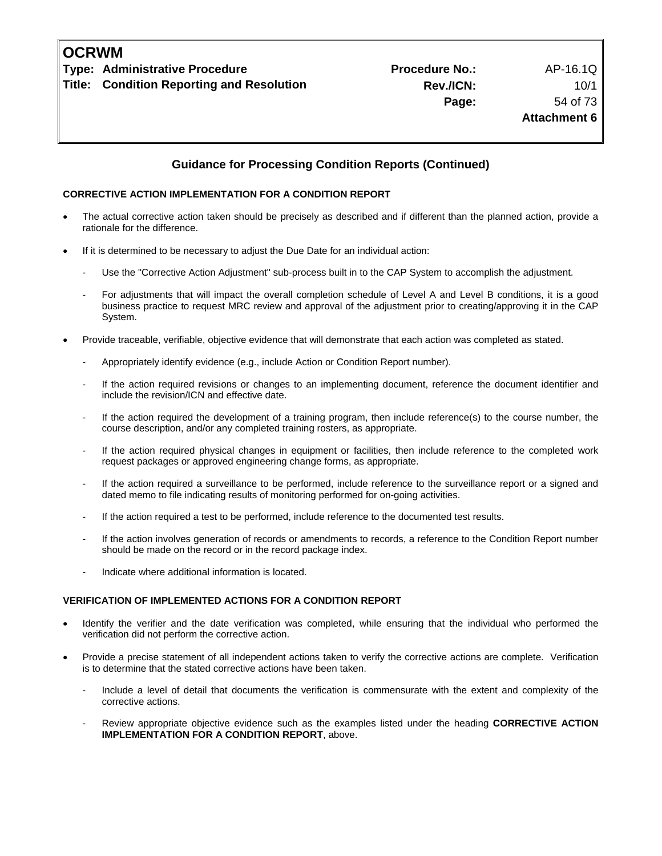#### **Guidance for Processing Condition Reports (Continued)**

#### **CORRECTIVE ACTION IMPLEMENTATION FOR A CONDITION REPORT**

- The actual corrective action taken should be precisely as described and if different than the planned action, provide a rationale for the difference.
- If it is determined to be necessary to adjust the Due Date for an individual action:
	- Use the "Corrective Action Adjustment" sub-process built in to the CAP System to accomplish the adjustment.
	- For adjustments that will impact the overall completion schedule of Level A and Level B conditions, it is a good business practice to request MRC review and approval of the adjustment prior to creating/approving it in the CAP System.
- Provide traceable, verifiable, objective evidence that will demonstrate that each action was completed as stated.
	- Appropriately identify evidence (e.g., include Action or Condition Report number).
	- If the action required revisions or changes to an implementing document, reference the document identifier and include the revision/ICN and effective date.
	- If the action required the development of a training program, then include reference(s) to the course number, the course description, and/or any completed training rosters, as appropriate.
	- If the action required physical changes in equipment or facilities, then include reference to the completed work request packages or approved engineering change forms, as appropriate.
	- If the action required a surveillance to be performed, include reference to the surveillance report or a signed and dated memo to file indicating results of monitoring performed for on-going activities.
	- If the action required a test to be performed, include reference to the documented test results.
	- If the action involves generation of records or amendments to records, a reference to the Condition Report number should be made on the record or in the record package index.
	- Indicate where additional information is located.

#### **VERIFICATION OF IMPLEMENTED ACTIONS FOR A CONDITION REPORT**

- Identify the verifier and the date verification was completed, while ensuring that the individual who performed the verification did not perform the corrective action.
- Provide a precise statement of all independent actions taken to verify the corrective actions are complete. Verification is to determine that the stated corrective actions have been taken.
	- Include a level of detail that documents the verification is commensurate with the extent and complexity of the corrective actions.
	- Review appropriate objective evidence such as the examples listed under the heading **CORRECTIVE ACTION IMPLEMENTATION FOR A CONDITION REPORT**, above.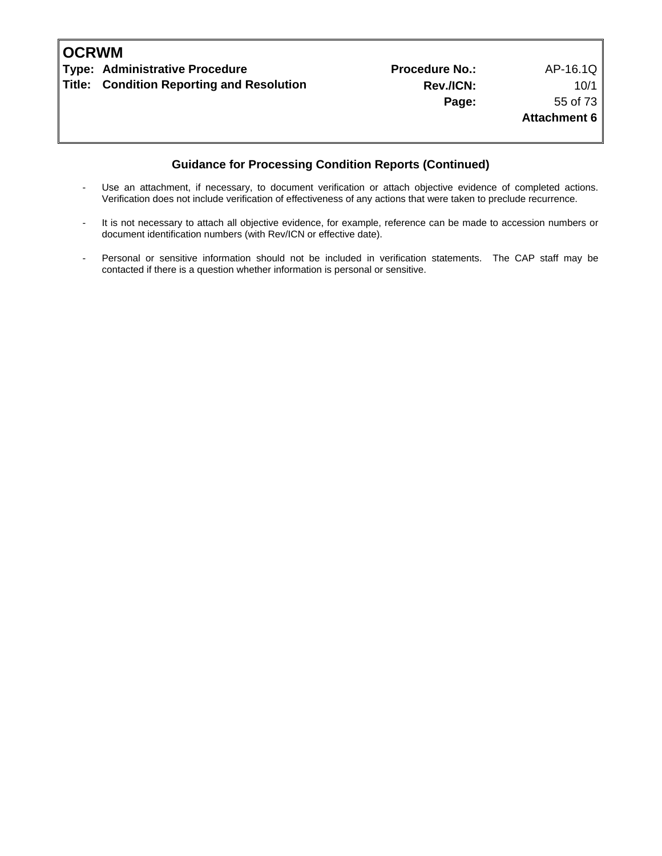| <b>OCRWM</b> |                                           |                       |                     |
|--------------|-------------------------------------------|-----------------------|---------------------|
|              | Type: Administrative Procedure            | <b>Procedure No.:</b> | AP-16.1Q            |
|              | Title: Condition Reporting and Resolution | Rev./ICN:             | 10/1                |
|              |                                           | Page:                 | 55 of 73            |
|              |                                           |                       | <b>Attachment 6</b> |
|              |                                           |                       |                     |
|              |                                           |                       |                     |

### **Guidance for Processing Condition Reports (Continued)**

- Use an attachment, if necessary, to document verification or attach objective evidence of completed actions. Verification does not include verification of effectiveness of any actions that were taken to preclude recurrence.
- It is not necessary to attach all objective evidence, for example, reference can be made to accession numbers or document identification numbers (with Rev/ICN or effective date).
- Personal or sensitive information should not be included in verification statements. The CAP staff may be contacted if there is a question whether information is personal or sensitive.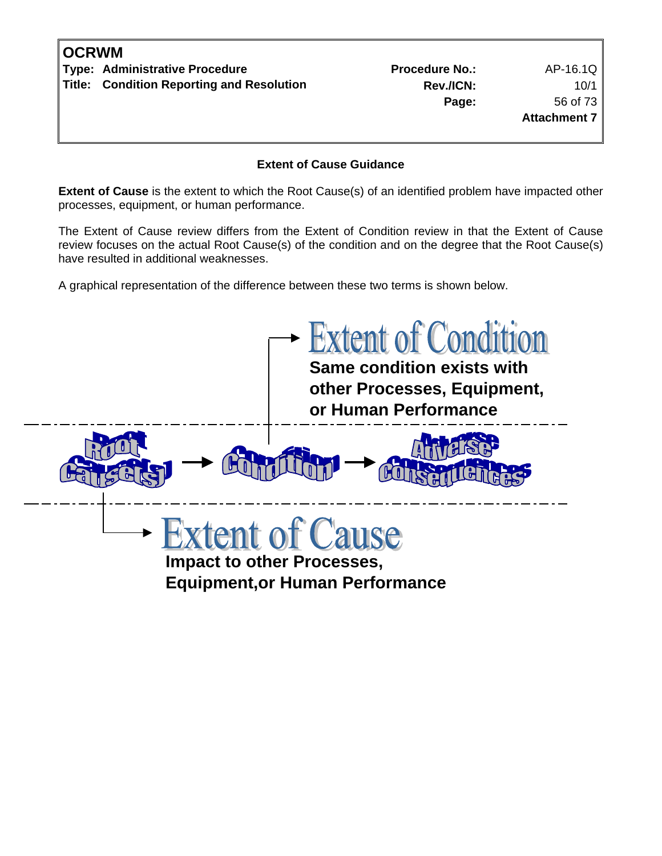| <b>IOCRWM</b> |                                                  |                       |                     |
|---------------|--------------------------------------------------|-----------------------|---------------------|
|               | Type: Administrative Procedure                   | <b>Procedure No.:</b> | AP-16.1Q            |
|               | <b>Title: Condition Reporting and Resolution</b> | Rev./ICN:             | 10/1                |
|               |                                                  | Page:                 | 56 of 73            |
|               |                                                  |                       | <b>Attachment 7</b> |
|               |                                                  |                       |                     |
|               |                                                  |                       |                     |

#### **Extent of Cause Guidance**

**Extent of Cause** is the extent to which the Root Cause(s) of an identified problem have impacted other processes, equipment, or human performance.

The Extent of Cause review differs from the Extent of Condition review in that the Extent of Cause review focuses on the actual Root Cause(s) of the condition and on the degree that the Root Cause(s) have resulted in additional weaknesses.

A graphical representation of the difference between these two terms is shown below.

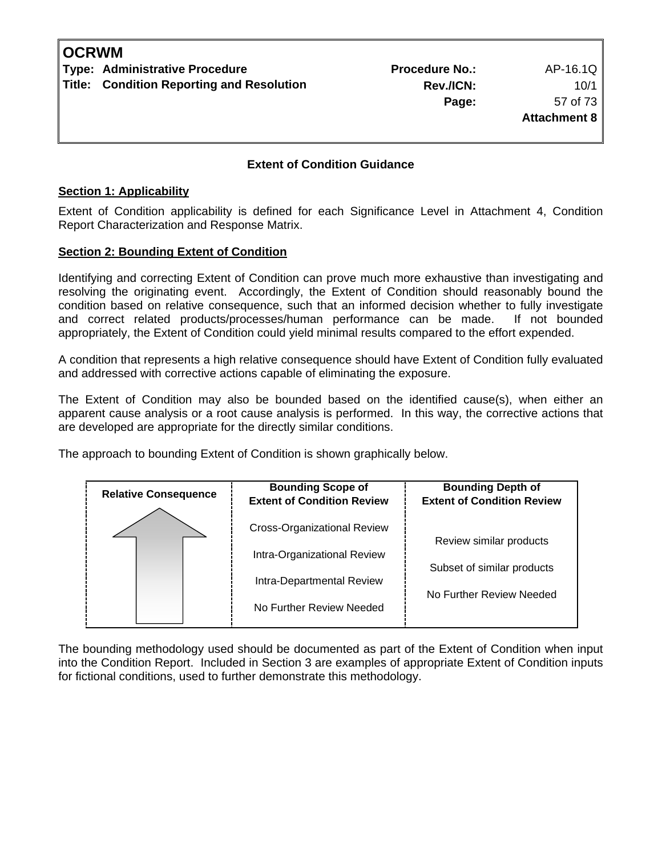#### **Extent of Condition Guidance**

#### **Section 1: Applicability**

Extent of Condition applicability is defined for each Significance Level in Attachment 4, Condition Report Characterization and Response Matrix.

#### **Section 2: Bounding Extent of Condition**

Identifying and correcting Extent of Condition can prove much more exhaustive than investigating and resolving the originating event. Accordingly, the Extent of Condition should reasonably bound the condition based on relative consequence, such that an informed decision whether to fully investigate and correct related products/processes/human performance can be made. If not bounded appropriately, the Extent of Condition could yield minimal results compared to the effort expended.

A condition that represents a high relative consequence should have Extent of Condition fully evaluated and addressed with corrective actions capable of eliminating the exposure.

The Extent of Condition may also be bounded based on the identified cause(s), when either an apparent cause analysis or a root cause analysis is performed. In this way, the corrective actions that are developed are appropriate for the directly similar conditions.

The approach to bounding Extent of Condition is shown graphically below.

| <b>Cross-Organizational Review</b><br>Review similar products<br>Intra-Organizational Review<br>Subset of similar products<br>Intra-Departmental Review | <b>Relative Consequence</b> | <b>Bounding Scope of</b><br><b>Extent of Condition Review</b> | <b>Bounding Depth of</b><br><b>Extent of Condition Review</b> |
|---------------------------------------------------------------------------------------------------------------------------------------------------------|-----------------------------|---------------------------------------------------------------|---------------------------------------------------------------|
| No Further Review Needed                                                                                                                                |                             |                                                               | No Further Review Needed                                      |

The bounding methodology used should be documented as part of the Extent of Condition when input into the Condition Report. Included in Section 3 are examples of appropriate Extent of Condition inputs for fictional conditions, used to further demonstrate this methodology.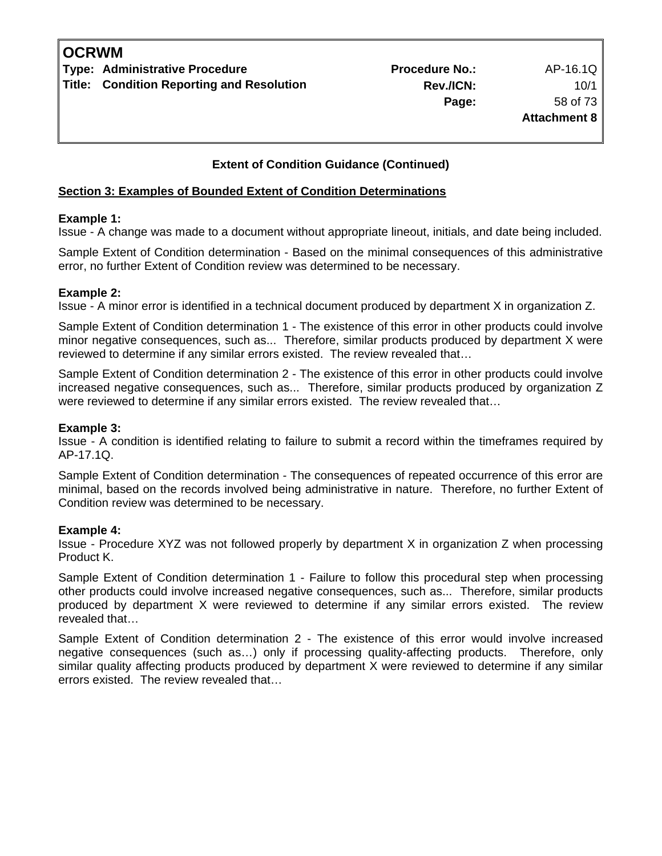### **Extent of Condition Guidance (Continued)**

#### **Section 3: Examples of Bounded Extent of Condition Determinations**

#### **Example 1:**

Issue - A change was made to a document without appropriate lineout, initials, and date being included.

Sample Extent of Condition determination - Based on the minimal consequences of this administrative error, no further Extent of Condition review was determined to be necessary.

#### **Example 2:**

Issue - A minor error is identified in a technical document produced by department X in organization Z.

Sample Extent of Condition determination 1 - The existence of this error in other products could involve minor negative consequences, such as... Therefore, similar products produced by department X were reviewed to determine if any similar errors existed. The review revealed that…

Sample Extent of Condition determination 2 - The existence of this error in other products could involve increased negative consequences, such as... Therefore, similar products produced by organization Z were reviewed to determine if any similar errors existed. The review revealed that…

#### **Example 3:**

Issue - A condition is identified relating to failure to submit a record within the timeframes required by AP-17.1Q.

Sample Extent of Condition determination - The consequences of repeated occurrence of this error are minimal, based on the records involved being administrative in nature. Therefore, no further Extent of Condition review was determined to be necessary.

#### **Example 4:**

Issue - Procedure XYZ was not followed properly by department X in organization Z when processing Product K.

Sample Extent of Condition determination 1 - Failure to follow this procedural step when processing other products could involve increased negative consequences, such as... Therefore, similar products produced by department X were reviewed to determine if any similar errors existed. The review revealed that…

Sample Extent of Condition determination 2 - The existence of this error would involve increased negative consequences (such as…) only if processing quality-affecting products. Therefore, only similar quality affecting products produced by department X were reviewed to determine if any similar errors existed. The review revealed that…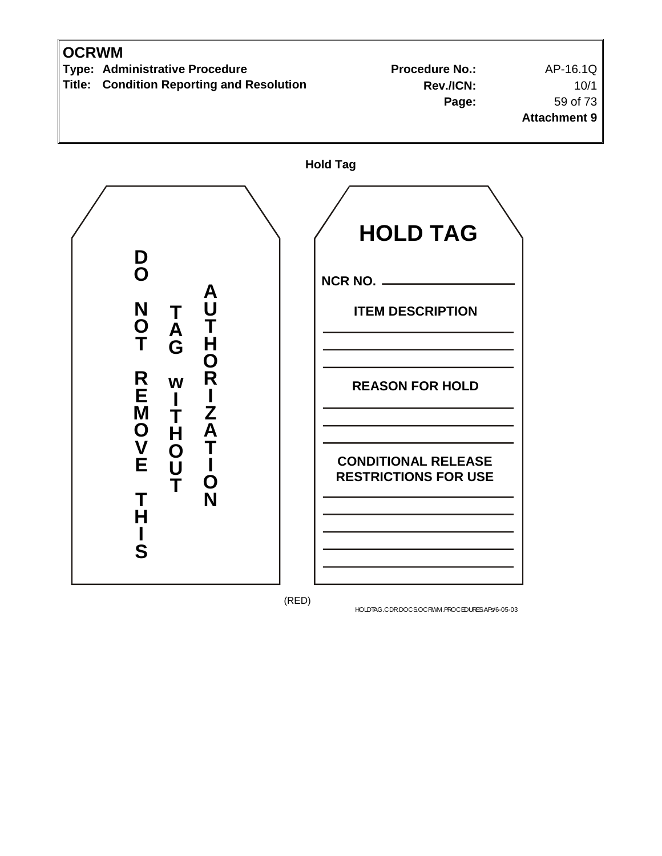

(RED)

HOLDTAG.CDR.DOCS.OCRWM.PROCEDURES.APs/6-05-03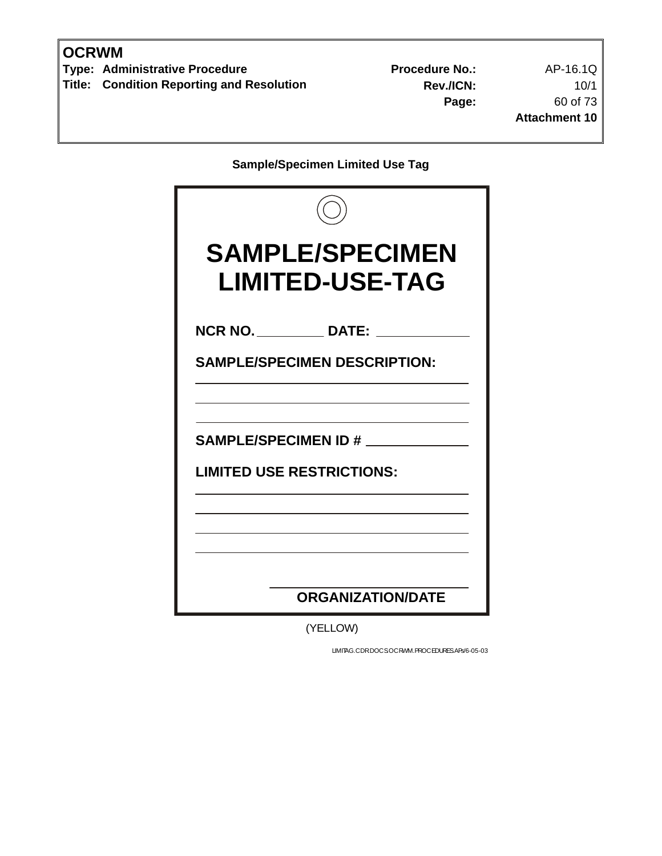**Type: Administrative Procedure No.:** Procedure No.: AP-16.1Q **Title: Condition Reporting and Resolution** 

**Rev./ICN:** 10/1 **Page:** 60 of 73 **Attachment 10**

**Sample/Specimen Limited Use Tag** 

| <b>SAMPLE/SPECIMEN</b><br><b>LIMITED-USE-TAG</b>               |
|----------------------------------------------------------------|
| NCR NO. _____________ DATE:                                    |
| <b>SAMPLE/SPECIMEN DESCRIPTION:</b>                            |
| <b>SAMPLE/SPECIMEN ID#</b><br><b>LIMITED USE RESTRICTIONS:</b> |
| <b>ORGANIZATION/DATE</b>                                       |

(YELLOW)

LIMITAG.CDR.DOCS.OCRWM.PROCEDURES.APs/6-05-03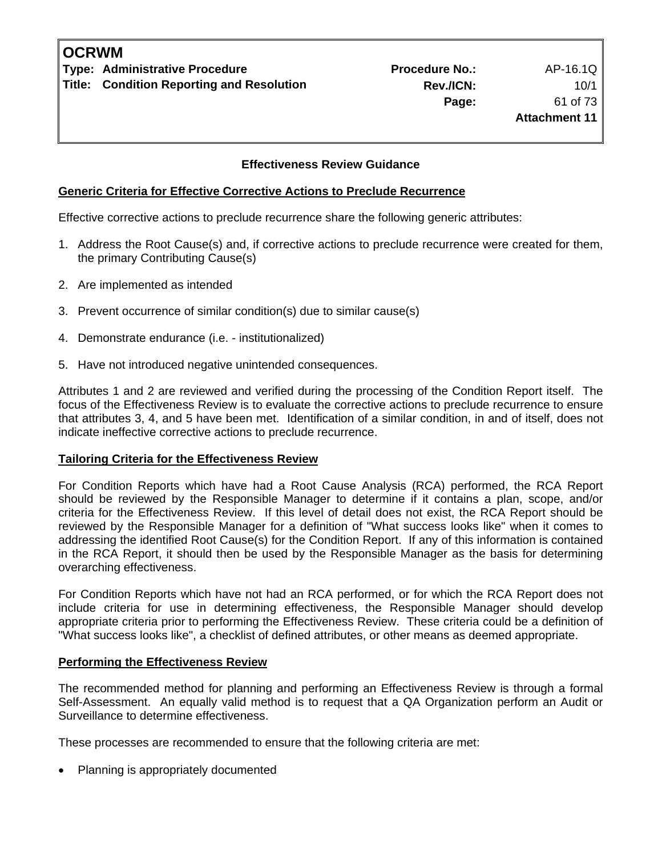#### **Effectiveness Review Guidance**

### **Generic Criteria for Effective Corrective Actions to Preclude Recurrence**

Effective corrective actions to preclude recurrence share the following generic attributes:

- 1. Address the Root Cause(s) and, if corrective actions to preclude recurrence were created for them, the primary Contributing Cause(s)
- 2. Are implemented as intended
- 3. Prevent occurrence of similar condition(s) due to similar cause(s)
- 4. Demonstrate endurance (i.e. institutionalized)
- 5. Have not introduced negative unintended consequences.

Attributes 1 and 2 are reviewed and verified during the processing of the Condition Report itself. The focus of the Effectiveness Review is to evaluate the corrective actions to preclude recurrence to ensure that attributes 3, 4, and 5 have been met. Identification of a similar condition, in and of itself, does not indicate ineffective corrective actions to preclude recurrence.

### **Tailoring Criteria for the Effectiveness Review**

For Condition Reports which have had a Root Cause Analysis (RCA) performed, the RCA Report should be reviewed by the Responsible Manager to determine if it contains a plan, scope, and/or criteria for the Effectiveness Review. If this level of detail does not exist, the RCA Report should be reviewed by the Responsible Manager for a definition of "What success looks like" when it comes to addressing the identified Root Cause(s) for the Condition Report. If any of this information is contained in the RCA Report, it should then be used by the Responsible Manager as the basis for determining overarching effectiveness.

For Condition Reports which have not had an RCA performed, or for which the RCA Report does not include criteria for use in determining effectiveness, the Responsible Manager should develop appropriate criteria prior to performing the Effectiveness Review. These criteria could be a definition of "What success looks like", a checklist of defined attributes, or other means as deemed appropriate.

## **Performing the Effectiveness Review**

The recommended method for planning and performing an Effectiveness Review is through a formal Self-Assessment. An equally valid method is to request that a QA Organization perform an Audit or Surveillance to determine effectiveness.

These processes are recommended to ensure that the following criteria are met:

• Planning is appropriately documented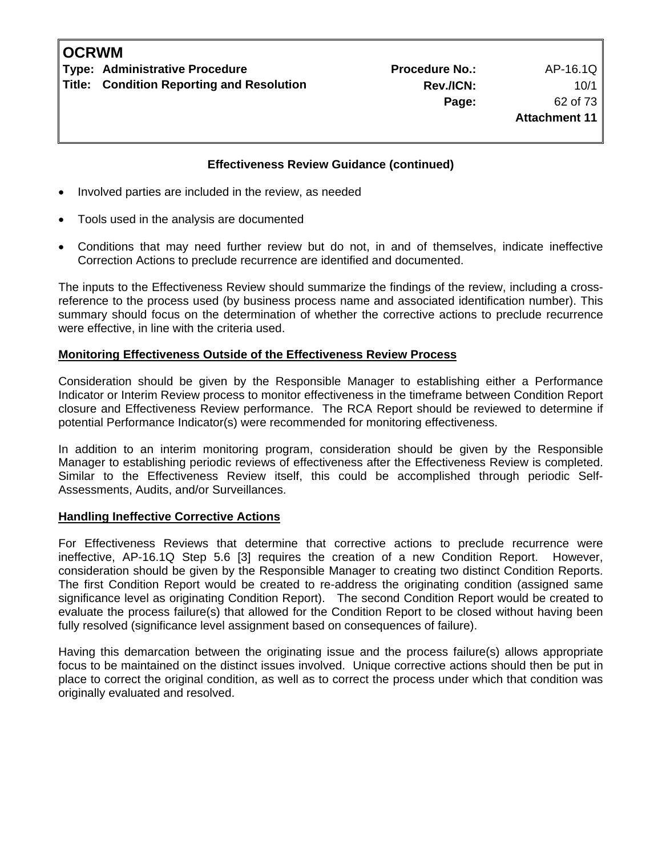| <b>OCRWM</b> |                                                  |  |  |  |
|--------------|--------------------------------------------------|--|--|--|
|              | <b>Type: Administrative Procedure</b>            |  |  |  |
|              | <b>Title: Condition Reporting and Resolution</b> |  |  |  |

#### **Effectiveness Review Guidance (continued)**

- Involved parties are included in the review, as needed
- Tools used in the analysis are documented
- Conditions that may need further review but do not, in and of themselves, indicate ineffective Correction Actions to preclude recurrence are identified and documented.

The inputs to the Effectiveness Review should summarize the findings of the review, including a crossreference to the process used (by business process name and associated identification number). This summary should focus on the determination of whether the corrective actions to preclude recurrence were effective, in line with the criteria used.

#### **Monitoring Effectiveness Outside of the Effectiveness Review Process**

Consideration should be given by the Responsible Manager to establishing either a Performance Indicator or Interim Review process to monitor effectiveness in the timeframe between Condition Report closure and Effectiveness Review performance. The RCA Report should be reviewed to determine if potential Performance Indicator(s) were recommended for monitoring effectiveness.

In addition to an interim monitoring program, consideration should be given by the Responsible Manager to establishing periodic reviews of effectiveness after the Effectiveness Review is completed. Similar to the Effectiveness Review itself, this could be accomplished through periodic Self-Assessments, Audits, and/or Surveillances.

#### **Handling Ineffective Corrective Actions**

For Effectiveness Reviews that determine that corrective actions to preclude recurrence were ineffective, AP-16.1Q Step 5.6 [3] requires the creation of a new Condition Report. However, consideration should be given by the Responsible Manager to creating two distinct Condition Reports. The first Condition Report would be created to re-address the originating condition (assigned same significance level as originating Condition Report). The second Condition Report would be created to evaluate the process failure(s) that allowed for the Condition Report to be closed without having been fully resolved (significance level assignment based on consequences of failure).

Having this demarcation between the originating issue and the process failure(s) allows appropriate focus to be maintained on the distinct issues involved. Unique corrective actions should then be put in place to correct the original condition, as well as to correct the process under which that condition was originally evaluated and resolved.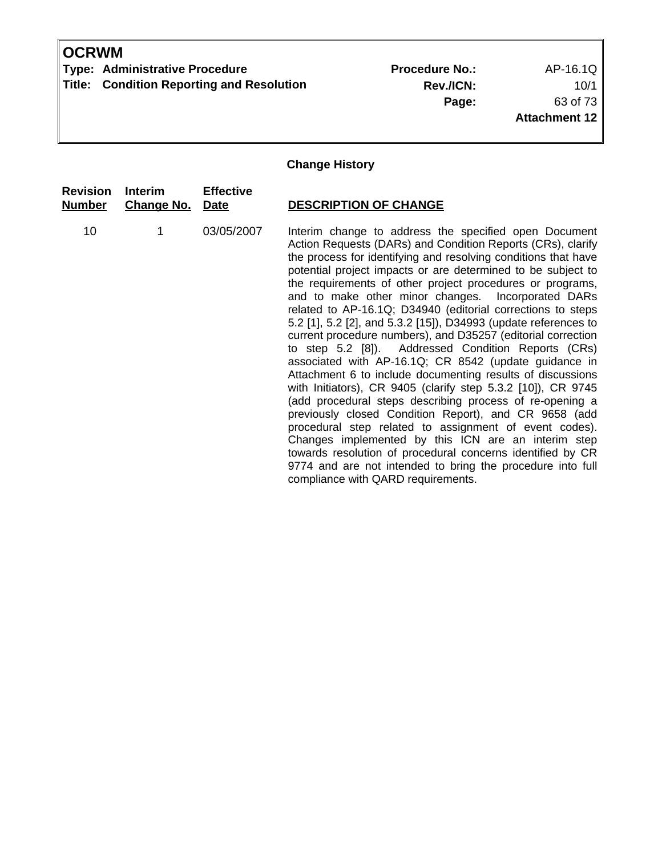**Type: Administrative Procedure No.:** Procedure No.: AP-16.1Q **Title: Condition Reporting and Resolution** 

**Rev./ICN:** 10/1 **Page:** 63 of 73 **Attachment 12**

## **Change History**

| <b>Revision</b><br><u>Number</u> | <b>Interim</b><br><b>Change No. Date</b> | <b>Effective</b> | <b>DESCRIPTION OF CHANGE</b>                                                                                                                                                                                                                                                                                                                                                                                                                                                                                                                                                                                                                                                                                                                                                                                                                                                                                                                                                                                                                                                                                                                                                                                                      |
|----------------------------------|------------------------------------------|------------------|-----------------------------------------------------------------------------------------------------------------------------------------------------------------------------------------------------------------------------------------------------------------------------------------------------------------------------------------------------------------------------------------------------------------------------------------------------------------------------------------------------------------------------------------------------------------------------------------------------------------------------------------------------------------------------------------------------------------------------------------------------------------------------------------------------------------------------------------------------------------------------------------------------------------------------------------------------------------------------------------------------------------------------------------------------------------------------------------------------------------------------------------------------------------------------------------------------------------------------------|
| 10                               | 1                                        | 03/05/2007       | Interim change to address the specified open Document<br>Action Requests (DARs) and Condition Reports (CRs), clarify<br>the process for identifying and resolving conditions that have<br>potential project impacts or are determined to be subject to<br>the requirements of other project procedures or programs,<br>and to make other minor changes. Incorporated DARs<br>related to AP-16.1Q; D34940 (editorial corrections to steps<br>5.2 [1], 5.2 [2], and 5.3.2 [15]), D34993 (update references to<br>current procedure numbers), and D35257 (editorial correction<br>to step 5.2 [8]). Addressed Condition Reports (CRs)<br>associated with AP-16.1Q; CR 8542 (update guidance in<br>Attachment 6 to include documenting results of discussions<br>with Initiators), CR 9405 (clarify step 5.3.2 [10]), CR 9745<br>(add procedural steps describing process of re-opening a<br>previously closed Condition Report), and CR 9658 (add<br>procedural step related to assignment of event codes).<br>Changes implemented by this ICN are an interim step<br>towards resolution of procedural concerns identified by CR<br>9774 and are not intended to bring the procedure into full<br>compliance with QARD requirements. |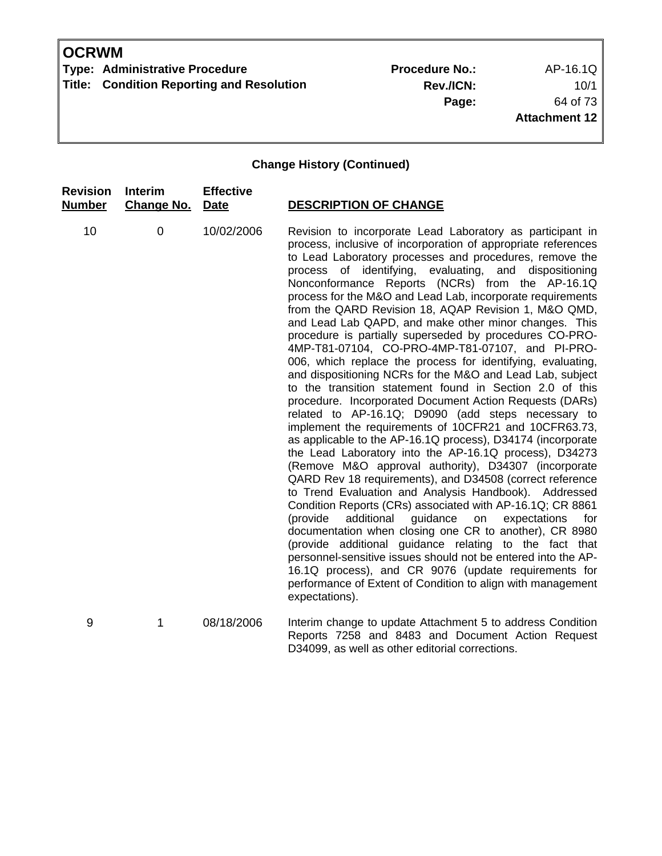**Type: Administrative Procedure No.:** Procedure No.: AP-16.1Q **Title: Condition Reporting and Resolution** 

**Rev./ICN:** 10/1 **Page:** 64 of 73 **Attachment 12**

### **Change History (Continued)**

| <b>Revision</b><br><b>Number</b> | <b>Interim</b><br><b>Change No.</b> | <b>Effective</b><br><b>Date</b> | <b>DESCRIPTION OF CHANGE</b>                                                                                                                                                                                                                                                                                                                                                                                                                                                                                                                                                                                                                                                                                                                                                                                                                                                                                                                                                                                                                                                                                                                                                                                                                                                                                                                                                                                                                                                                                                                                                                                                                                                                                                           |
|----------------------------------|-------------------------------------|---------------------------------|----------------------------------------------------------------------------------------------------------------------------------------------------------------------------------------------------------------------------------------------------------------------------------------------------------------------------------------------------------------------------------------------------------------------------------------------------------------------------------------------------------------------------------------------------------------------------------------------------------------------------------------------------------------------------------------------------------------------------------------------------------------------------------------------------------------------------------------------------------------------------------------------------------------------------------------------------------------------------------------------------------------------------------------------------------------------------------------------------------------------------------------------------------------------------------------------------------------------------------------------------------------------------------------------------------------------------------------------------------------------------------------------------------------------------------------------------------------------------------------------------------------------------------------------------------------------------------------------------------------------------------------------------------------------------------------------------------------------------------------|
| 10                               | $\pmb{0}$                           | 10/02/2006                      | Revision to incorporate Lead Laboratory as participant in<br>process, inclusive of incorporation of appropriate references<br>to Lead Laboratory processes and procedures, remove the<br>process of identifying, evaluating, and dispositioning<br>Nonconformance Reports (NCRs) from the AP-16.1Q<br>process for the M&O and Lead Lab, incorporate requirements<br>from the QARD Revision 18, AQAP Revision 1, M&O QMD,<br>and Lead Lab QAPD, and make other minor changes. This<br>procedure is partially superseded by procedures CO-PRO-<br>4MP-T81-07104, CO-PRO-4MP-T81-07107, and PI-PRO-<br>006, which replace the process for identifying, evaluating,<br>and dispositioning NCRs for the M&O and Lead Lab, subject<br>to the transition statement found in Section 2.0 of this<br>procedure. Incorporated Document Action Requests (DARs)<br>related to AP-16.1Q; D9090 (add steps necessary to<br>implement the requirements of 10CFR21 and 10CFR63.73,<br>as applicable to the AP-16.1Q process), D34174 (incorporate<br>the Lead Laboratory into the AP-16.1Q process), D34273<br>(Remove M&O approval authority), D34307 (incorporate<br>QARD Rev 18 requirements), and D34508 (correct reference<br>to Trend Evaluation and Analysis Handbook). Addressed<br>Condition Reports (CRs) associated with AP-16.1Q; CR 8861<br>(provide<br>additional<br>guidance<br>on<br>expectations<br>for<br>documentation when closing one CR to another), CR 8980<br>(provide additional guidance relating to the fact that<br>personnel-sensitive issues should not be entered into the AP-<br>16.1Q process), and CR 9076 (update requirements for<br>performance of Extent of Condition to align with management<br>expectations). |
| 9                                | 1                                   | 08/18/2006                      | Interim change to update Attachment 5 to address Condition                                                                                                                                                                                                                                                                                                                                                                                                                                                                                                                                                                                                                                                                                                                                                                                                                                                                                                                                                                                                                                                                                                                                                                                                                                                                                                                                                                                                                                                                                                                                                                                                                                                                             |

Reports 7258 and 8483 and Document Action Request D34099, as well as other editorial corrections.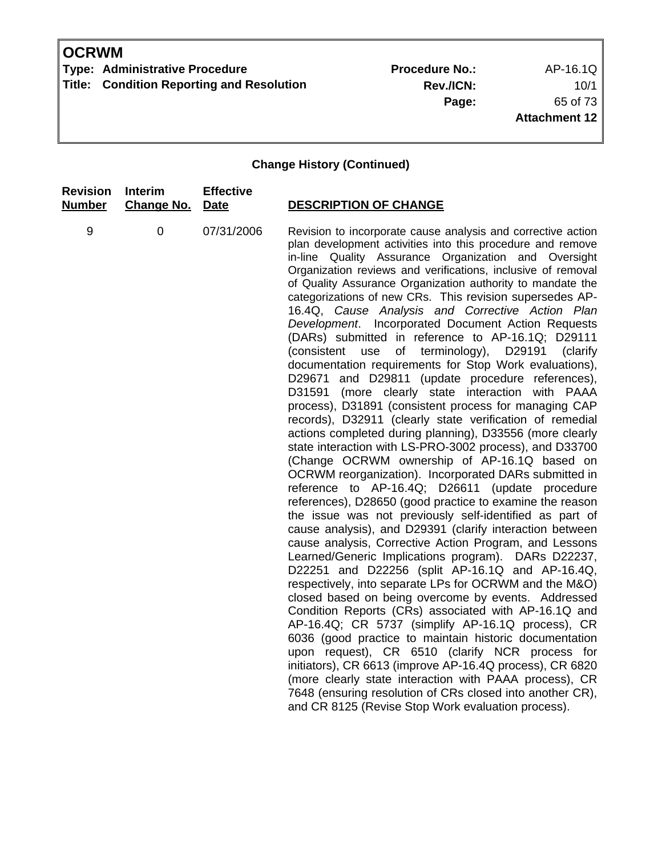**Type: Administrative Procedure No.:** Procedure No.: AP-16.1Q **Title: Condition Reporting and Resolution** 

**Rev./ICN:** 10/1 **Page:** 65 of 73 **Attachment 12**

| <b>Revision</b> | <b>Interim</b>    | <b>Effective</b> | <b>DESCRIPTION OF CHANGE</b>                                                                                                                                                                                                                                                                                                                                                                                                                                                                                                                                                                                                                                                                                                                                                                                                                                                                                                                                                                                                                                                                                                                                                                                                                                                                                                                                                                                                                                                                                                                                                                                                                                                                                                                                                                                                                                                                                                                                                                                                                                                                                               |
|-----------------|-------------------|------------------|----------------------------------------------------------------------------------------------------------------------------------------------------------------------------------------------------------------------------------------------------------------------------------------------------------------------------------------------------------------------------------------------------------------------------------------------------------------------------------------------------------------------------------------------------------------------------------------------------------------------------------------------------------------------------------------------------------------------------------------------------------------------------------------------------------------------------------------------------------------------------------------------------------------------------------------------------------------------------------------------------------------------------------------------------------------------------------------------------------------------------------------------------------------------------------------------------------------------------------------------------------------------------------------------------------------------------------------------------------------------------------------------------------------------------------------------------------------------------------------------------------------------------------------------------------------------------------------------------------------------------------------------------------------------------------------------------------------------------------------------------------------------------------------------------------------------------------------------------------------------------------------------------------------------------------------------------------------------------------------------------------------------------------------------------------------------------------------------------------------------------|
| <b>Number</b>   | <b>Change No.</b> | <b>Date</b>      |                                                                                                                                                                                                                                                                                                                                                                                                                                                                                                                                                                                                                                                                                                                                                                                                                                                                                                                                                                                                                                                                                                                                                                                                                                                                                                                                                                                                                                                                                                                                                                                                                                                                                                                                                                                                                                                                                                                                                                                                                                                                                                                            |
| 9               | $\mathbf 0$       | 07/31/2006       | Revision to incorporate cause analysis and corrective action<br>plan development activities into this procedure and remove<br>in-line Quality Assurance Organization and Oversight<br>Organization reviews and verifications, inclusive of removal<br>of Quality Assurance Organization authority to mandate the<br>categorizations of new CRs. This revision supersedes AP-<br>16.4Q, Cause Analysis and Corrective Action Plan<br>Development. Incorporated Document Action Requests<br>(DARs) submitted in reference to AP-16.1Q; D29111<br>(consistent use of terminology), D29191<br>(clarify<br>documentation requirements for Stop Work evaluations),<br>D29671 and D29811 (update procedure references),<br>D31591<br>(more clearly state interaction with PAAA<br>process), D31891 (consistent process for managing CAP<br>records), D32911 (clearly state verification of remedial<br>actions completed during planning), D33556 (more clearly<br>state interaction with LS-PRO-3002 process), and D33700<br>(Change OCRWM ownership of AP-16.1Q based on<br>OCRWM reorganization). Incorporated DARs submitted in<br>reference to AP-16.4Q; D26611 (update procedure<br>references), D28650 (good practice to examine the reason<br>the issue was not previously self-identified as part of<br>cause analysis), and D29391 (clarify interaction between<br>cause analysis, Corrective Action Program, and Lessons<br>Learned/Generic Implications program). DARs D22237,<br>D22251 and D22256 (split AP-16.1Q and AP-16.4Q,<br>respectively, into separate LPs for OCRWM and the M&O)<br>closed based on being overcome by events. Addressed<br>Condition Reports (CRs) associated with AP-16.1Q and<br>AP-16.4Q; CR 5737 (simplify AP-16.1Q process), CR<br>6036 (good practice to maintain historic documentation<br>upon request), CR 6510 (clarify NCR process for<br>initiators), CR 6613 (improve AP-16.4Q process), CR 6820<br>(more clearly state interaction with PAAA process), CR<br>7648 (ensuring resolution of CRs closed into another CR),<br>and CR 8125 (Revise Stop Work evaluation process). |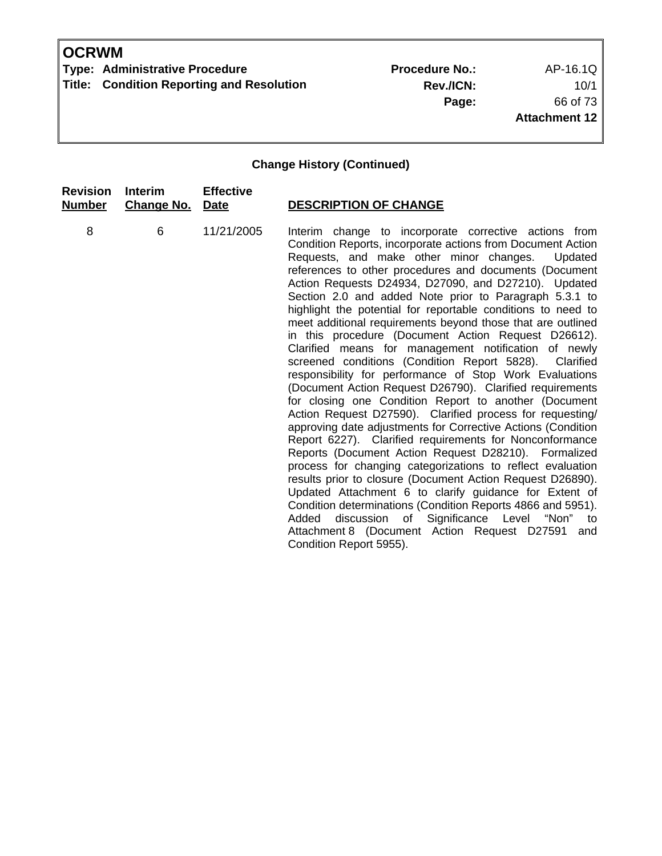**Type: Administrative Procedure No.:** Procedure No.: AP-16.1Q **Title: Condition Reporting and Resolution** 

**Rev./ICN:** 10/1 **Page:** 66 of 73 **Attachment 12**

| <b>Revision</b> | <b>Interim</b>    | <b>Effective</b> | <b>DESCRIPTION OF CHANGE</b>                                                                                                                                                                                                                                                                                                                                                                                                                                                                                                                                                                                                                                                                                                                                                                                                                                                                                                                                                                                                                                                                                                                                                                                                                                                                                                                                                                                                                                                             |
|-----------------|-------------------|------------------|------------------------------------------------------------------------------------------------------------------------------------------------------------------------------------------------------------------------------------------------------------------------------------------------------------------------------------------------------------------------------------------------------------------------------------------------------------------------------------------------------------------------------------------------------------------------------------------------------------------------------------------------------------------------------------------------------------------------------------------------------------------------------------------------------------------------------------------------------------------------------------------------------------------------------------------------------------------------------------------------------------------------------------------------------------------------------------------------------------------------------------------------------------------------------------------------------------------------------------------------------------------------------------------------------------------------------------------------------------------------------------------------------------------------------------------------------------------------------------------|
| <b>Number</b>   | <b>Change No.</b> | Date             |                                                                                                                                                                                                                                                                                                                                                                                                                                                                                                                                                                                                                                                                                                                                                                                                                                                                                                                                                                                                                                                                                                                                                                                                                                                                                                                                                                                                                                                                                          |
| 8               | 6                 | 11/21/2005       | Interim change to incorporate corrective actions from<br>Condition Reports, incorporate actions from Document Action<br>Requests, and make other minor changes.<br>Updated<br>references to other procedures and documents (Document<br>Action Requests D24934, D27090, and D27210). Updated<br>Section 2.0 and added Note prior to Paragraph 5.3.1 to<br>highlight the potential for reportable conditions to need to<br>meet additional requirements beyond those that are outlined<br>in this procedure (Document Action Request D26612).<br>Clarified means for management notification of newly<br>screened conditions (Condition Report 5828). Clarified<br>responsibility for performance of Stop Work Evaluations<br>(Document Action Request D26790). Clarified requirements<br>for closing one Condition Report to another (Document<br>Action Request D27590). Clarified process for requesting/<br>approving date adjustments for Corrective Actions (Condition<br>Report 6227). Clarified requirements for Nonconformance<br>Reports (Document Action Request D28210). Formalized<br>process for changing categorizations to reflect evaluation<br>results prior to closure (Document Action Request D26890).<br>Updated Attachment 6 to clarify guidance for Extent of<br>Condition determinations (Condition Reports 4866 and 5951).<br>discussion of Significance Level "Non" to<br>Added<br>Attachment 8 (Document Action Request D27591 and<br>Condition Report 5955). |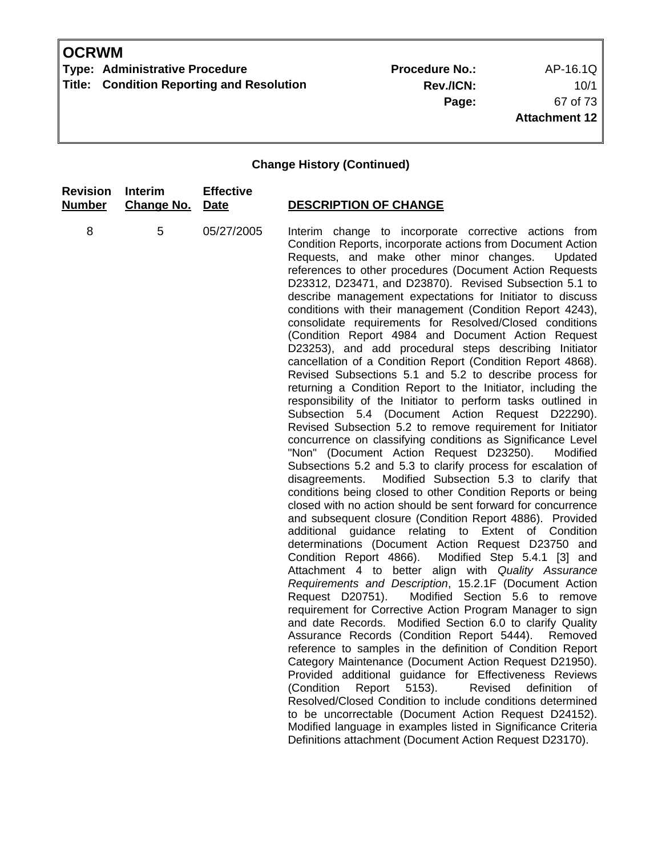**Type: Administrative Procedure No.:** Procedure No.: AP-16.1Q **Title: Condition Reporting and Resolution** 

**Rev./ICN:** 10/1 **Page:** 67 of 73 **Attachment 12**

| <b>Revision</b> | <b>Interim</b>    | <b>Effective</b> | <b>DESCRIPTION OF CHANGE</b>                                                                                                                                                                                                                                                                                                                                                                                                                                                                                                                                                                                                                                                                                                                                                                                                                                                                                                                                                                                                                                                                                                                                                                                                                                                                                                                                                                                                                                                                                                                                                                                                                                                                                                                                                                                                                                                                                                                                                                                                                                                                                                                                                                                                                                                                                                                                                                                                                                            |
|-----------------|-------------------|------------------|-------------------------------------------------------------------------------------------------------------------------------------------------------------------------------------------------------------------------------------------------------------------------------------------------------------------------------------------------------------------------------------------------------------------------------------------------------------------------------------------------------------------------------------------------------------------------------------------------------------------------------------------------------------------------------------------------------------------------------------------------------------------------------------------------------------------------------------------------------------------------------------------------------------------------------------------------------------------------------------------------------------------------------------------------------------------------------------------------------------------------------------------------------------------------------------------------------------------------------------------------------------------------------------------------------------------------------------------------------------------------------------------------------------------------------------------------------------------------------------------------------------------------------------------------------------------------------------------------------------------------------------------------------------------------------------------------------------------------------------------------------------------------------------------------------------------------------------------------------------------------------------------------------------------------------------------------------------------------------------------------------------------------------------------------------------------------------------------------------------------------------------------------------------------------------------------------------------------------------------------------------------------------------------------------------------------------------------------------------------------------------------------------------------------------------------------------------------------------|
| <u>Number</u>   | <b>Change No.</b> | Date             |                                                                                                                                                                                                                                                                                                                                                                                                                                                                                                                                                                                                                                                                                                                                                                                                                                                                                                                                                                                                                                                                                                                                                                                                                                                                                                                                                                                                                                                                                                                                                                                                                                                                                                                                                                                                                                                                                                                                                                                                                                                                                                                                                                                                                                                                                                                                                                                                                                                                         |
| 8               | 5                 | 05/27/2005       | Interim change to incorporate corrective actions from<br>Condition Reports, incorporate actions from Document Action<br>Requests, and make other minor changes.<br>Updated<br>references to other procedures (Document Action Requests<br>D23312, D23471, and D23870). Revised Subsection 5.1 to<br>describe management expectations for Initiator to discuss<br>conditions with their management (Condition Report 4243),<br>consolidate requirements for Resolved/Closed conditions<br>(Condition Report 4984 and Document Action Request<br>D23253), and add procedural steps describing Initiator<br>cancellation of a Condition Report (Condition Report 4868).<br>Revised Subsections 5.1 and 5.2 to describe process for<br>returning a Condition Report to the Initiator, including the<br>responsibility of the Initiator to perform tasks outlined in<br>Subsection 5.4 (Document Action Request D22290).<br>Revised Subsection 5.2 to remove requirement for Initiator<br>concurrence on classifying conditions as Significance Level<br>"Non" (Document Action Request D23250).<br>Modified<br>Subsections 5.2 and 5.3 to clarify process for escalation of<br>Modified Subsection 5.3 to clarify that<br>disagreements.<br>conditions being closed to other Condition Reports or being<br>closed with no action should be sent forward for concurrence<br>and subsequent closure (Condition Report 4886). Provided<br>additional guidance relating to Extent of Condition<br>determinations (Document Action Request D23750 and<br>Modified Step 5.4.1 [3] and<br>Condition Report 4866).<br>Attachment 4 to better align with Quality Assurance<br>Requirements and Description, 15.2.1F (Document Action<br>Modified Section 5.6 to remove<br>Request D20751).<br>requirement for Corrective Action Program Manager to sign<br>and date Records. Modified Section 6.0 to clarify Quality<br>Assurance Records (Condition Report 5444). Removed<br>reference to samples in the definition of Condition Report<br>Category Maintenance (Document Action Request D21950).<br>Provided additional guidance for Effectiveness Reviews<br>$5153$ ).<br>(Condition<br>Report<br>Revised<br>definition<br>оf<br>Resolved/Closed Condition to include conditions determined<br>to be uncorrectable (Document Action Request D24152).<br>Modified language in examples listed in Significance Criteria<br>Definitions attachment (Document Action Request D23170). |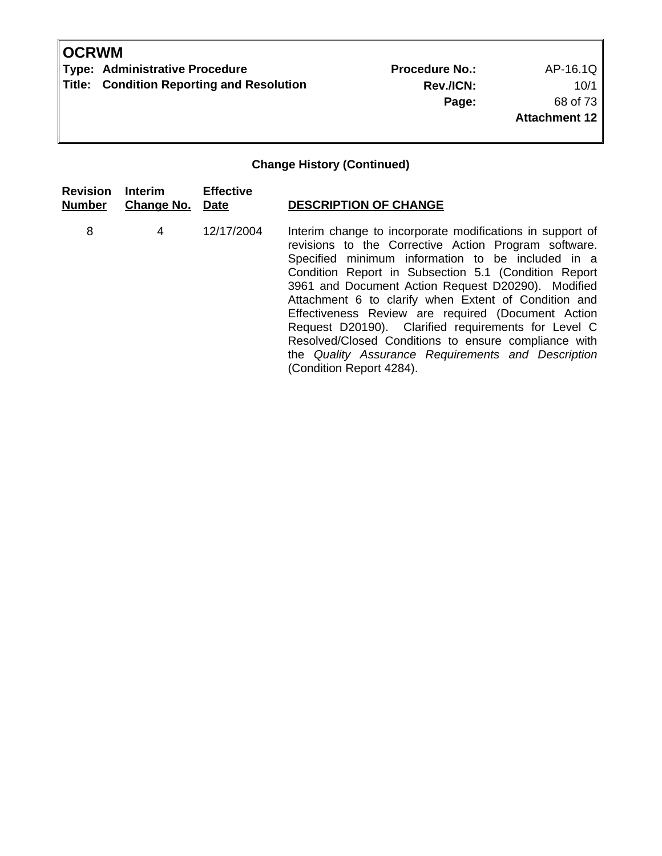**Type: Administrative Procedure No.:** Procedure No.: AP-16.1Q **Title: Condition Reporting and Resolution** 

**Rev./ICN:** 10/1 **Page:** 68 of 73 **Attachment 12**

| <b>Revision</b><br><b>Number</b> | Interim<br><b>Change No. Date</b> | <b>Effective</b> | <b>DESCRIPTION OF CHANGE</b>                                                                                                                                                                                                                                                                                                                                                                                                                                                                                                                                                                        |
|----------------------------------|-----------------------------------|------------------|-----------------------------------------------------------------------------------------------------------------------------------------------------------------------------------------------------------------------------------------------------------------------------------------------------------------------------------------------------------------------------------------------------------------------------------------------------------------------------------------------------------------------------------------------------------------------------------------------------|
| 8                                | 4                                 | 12/17/2004       | Interim change to incorporate modifications in support of<br>revisions to the Corrective Action Program software.<br>Specified minimum information to be included in a<br>Condition Report in Subsection 5.1 (Condition Report<br>3961 and Document Action Request D20290). Modified<br>Attachment 6 to clarify when Extent of Condition and<br>Effectiveness Review are required (Document Action<br>Request D20190). Clarified requirements for Level C<br>Resolved/Closed Conditions to ensure compliance with<br>the Quality Assurance Requirements and Description<br>(Condition Report 4284). |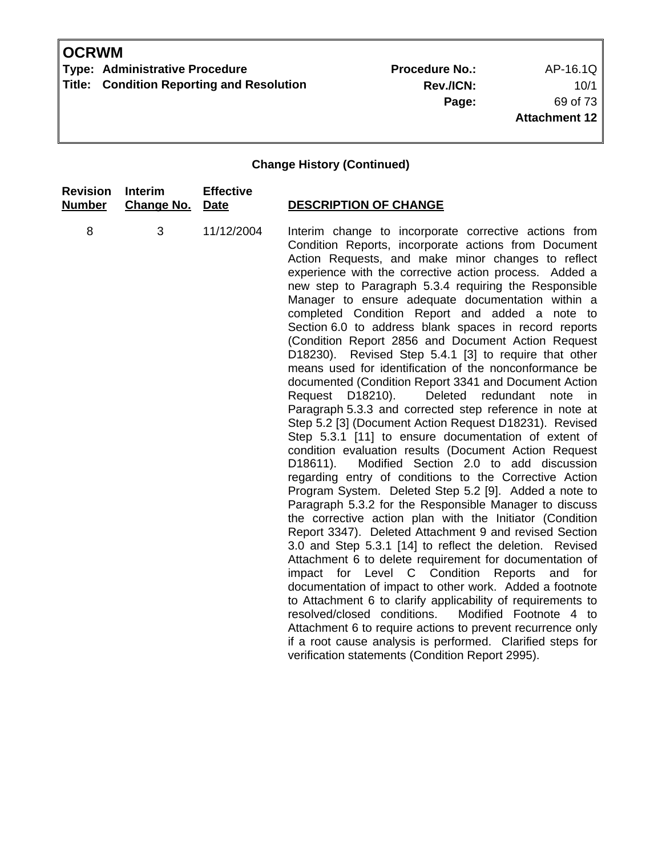**Type: Administrative Procedure No.:** Procedure No.: AP-16.1Q **Title: Condition Reporting and Resolution** 

**Rev./ICN:** 10/1 **Page:** 69 of 73 **Attachment 12**

| <b>Revision</b> | <b>Interim</b>    | <b>Effective</b> | <b>DESCRIPTION OF CHANGE</b>                                                                                                                                                                                                                                                                                                                                                                                                                                                                                                                                                                                                                                                                                                                                                                                                                                                                                                                                                                                                                                                                                                                                                                                                                                                                                                                                                                                                                                                                                                                                                                                                                                                                                                                                                                                                                                                                                                 |
|-----------------|-------------------|------------------|------------------------------------------------------------------------------------------------------------------------------------------------------------------------------------------------------------------------------------------------------------------------------------------------------------------------------------------------------------------------------------------------------------------------------------------------------------------------------------------------------------------------------------------------------------------------------------------------------------------------------------------------------------------------------------------------------------------------------------------------------------------------------------------------------------------------------------------------------------------------------------------------------------------------------------------------------------------------------------------------------------------------------------------------------------------------------------------------------------------------------------------------------------------------------------------------------------------------------------------------------------------------------------------------------------------------------------------------------------------------------------------------------------------------------------------------------------------------------------------------------------------------------------------------------------------------------------------------------------------------------------------------------------------------------------------------------------------------------------------------------------------------------------------------------------------------------------------------------------------------------------------------------------------------------|
| <b>Number</b>   | <b>Change No.</b> | <b>Date</b>      |                                                                                                                                                                                                                                                                                                                                                                                                                                                                                                                                                                                                                                                                                                                                                                                                                                                                                                                                                                                                                                                                                                                                                                                                                                                                                                                                                                                                                                                                                                                                                                                                                                                                                                                                                                                                                                                                                                                              |
| 8               | 3                 | 11/12/2004       | Interim change to incorporate corrective actions from<br>Condition Reports, incorporate actions from Document<br>Action Requests, and make minor changes to reflect<br>experience with the corrective action process. Added a<br>new step to Paragraph 5.3.4 requiring the Responsible<br>Manager to ensure adequate documentation within a<br>completed Condition Report and added a note to<br>Section 6.0 to address blank spaces in record reports<br>(Condition Report 2856 and Document Action Request<br>Revised Step 5.4.1 [3] to require that other<br>D <sub>1</sub> 8230).<br>means used for identification of the nonconformance be<br>documented (Condition Report 3341 and Document Action<br>Deleted redundant<br>Request D18210).<br>note<br>in.<br>Paragraph 5.3.3 and corrected step reference in note at<br>Step 5.2 [3] (Document Action Request D18231). Revised<br>Step 5.3.1 [11] to ensure documentation of extent of<br>condition evaluation results (Document Action Request<br>Modified Section 2.0 to add discussion<br>D <sub>18611</sub> ).<br>regarding entry of conditions to the Corrective Action<br>Program System. Deleted Step 5.2 [9]. Added a note to<br>Paragraph 5.3.2 for the Responsible Manager to discuss<br>the corrective action plan with the Initiator (Condition<br>Report 3347). Deleted Attachment 9 and revised Section<br>3.0 and Step 5.3.1 [14] to reflect the deletion. Revised<br>Attachment 6 to delete requirement for documentation of<br>impact for Level C Condition<br>Reports<br>and for<br>documentation of impact to other work. Added a footnote<br>to Attachment 6 to clarify applicability of requirements to<br>resolved/closed conditions.<br>Modified Footnote 4 to<br>Attachment 6 to require actions to prevent recurrence only<br>if a root cause analysis is performed. Clarified steps for<br>verification statements (Condition Report 2995). |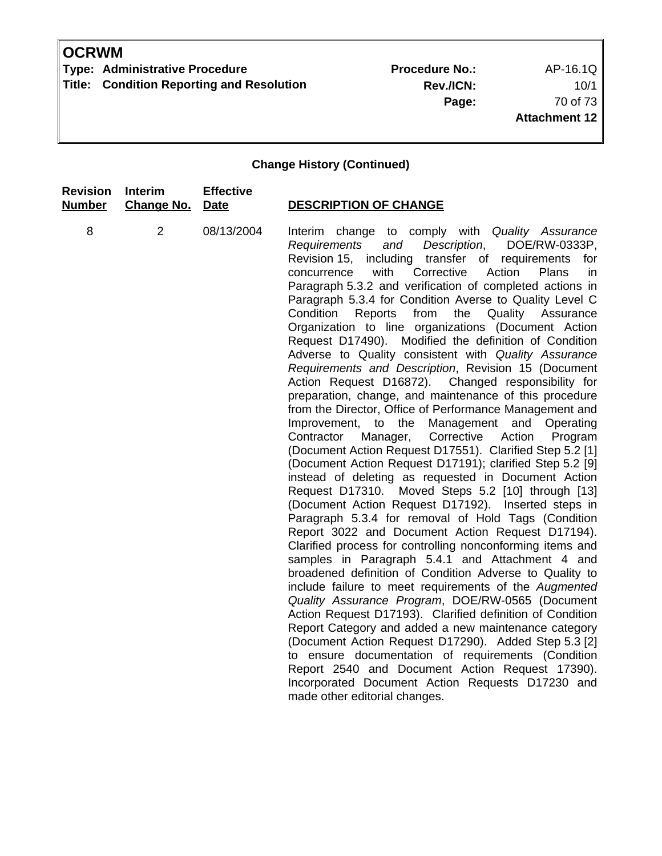**Type: Administrative Procedure No.:** Procedure No.: AP-16.1Q **Title: Condition Reporting and Resolution** 

**Rev./ICN:** 10/1 **Page:** 70 of 73 **Attachment 12**

| <b>Revision</b> | Interim           | <b>Effective</b> | <b>DESCRIPTION OF CHANGE</b>                                                                                                                                                                                                                                                                                                                                                                                                                                                                                                                                                                                                                                                                                                                                                                                                                                                                                                                                                                                                                                                                                                                                                                                                                                                                                                                                                                                                                                                                                                                                                                                                                                                                                                                                                                                                                                                                                                                                                                                                         |
|-----------------|-------------------|------------------|--------------------------------------------------------------------------------------------------------------------------------------------------------------------------------------------------------------------------------------------------------------------------------------------------------------------------------------------------------------------------------------------------------------------------------------------------------------------------------------------------------------------------------------------------------------------------------------------------------------------------------------------------------------------------------------------------------------------------------------------------------------------------------------------------------------------------------------------------------------------------------------------------------------------------------------------------------------------------------------------------------------------------------------------------------------------------------------------------------------------------------------------------------------------------------------------------------------------------------------------------------------------------------------------------------------------------------------------------------------------------------------------------------------------------------------------------------------------------------------------------------------------------------------------------------------------------------------------------------------------------------------------------------------------------------------------------------------------------------------------------------------------------------------------------------------------------------------------------------------------------------------------------------------------------------------------------------------------------------------------------------------------------------------|
| <b>Number</b>   | <b>Change No.</b> | <b>Date</b>      |                                                                                                                                                                                                                                                                                                                                                                                                                                                                                                                                                                                                                                                                                                                                                                                                                                                                                                                                                                                                                                                                                                                                                                                                                                                                                                                                                                                                                                                                                                                                                                                                                                                                                                                                                                                                                                                                                                                                                                                                                                      |
| 8               | 2                 | 08/13/2004       | Interim change to comply with Quality Assurance<br>and<br>Description,<br>DOE/RW-0333P,<br>Requirements<br>Revision 15, including transfer of requirements<br>for<br>with<br>Corrective<br>Action<br>Plans<br>concurrence<br>in<br>Paragraph 5.3.2 and verification of completed actions in<br>Paragraph 5.3.4 for Condition Averse to Quality Level C<br>Condition<br>Reports<br>from<br>the<br>Quality Assurance<br>Organization to line organizations (Document Action<br>Request D17490).<br>Modified the definition of Condition<br>Adverse to Quality consistent with Quality Assurance<br>Requirements and Description, Revision 15 (Document<br>Action Request D16872). Changed responsibility for<br>preparation, change, and maintenance of this procedure<br>from the Director, Office of Performance Management and<br>Management<br>Improvement,<br>to the<br>and<br>Operating<br>Contractor<br>Manager,<br>Corrective<br>Action<br>Program<br>(Document Action Request D17551). Clarified Step 5.2 [1]<br>(Document Action Request D17191); clarified Step 5.2 [9]<br>instead of deleting as requested in Document Action<br>Request D17310.<br>Moved Steps 5.2 [10] through [13]<br>(Document Action Request D17192). Inserted steps in<br>Paragraph 5.3.4 for removal of Hold Tags (Condition<br>Report 3022 and Document Action Request D17194).<br>Clarified process for controlling nonconforming items and<br>samples in Paragraph 5.4.1 and Attachment 4 and<br>broadened definition of Condition Adverse to Quality to<br>include failure to meet requirements of the Augmented<br>Quality Assurance Program, DOE/RW-0565 (Document<br>Action Request D17193). Clarified definition of Condition<br>Report Category and added a new maintenance category<br>(Document Action Request D17290). Added Step 5.3 [2]<br>to ensure documentation of requirements (Condition<br>Report 2540 and Document Action Request 17390).<br>Incorporated Document Action Requests D17230 and<br>made other editorial changes. |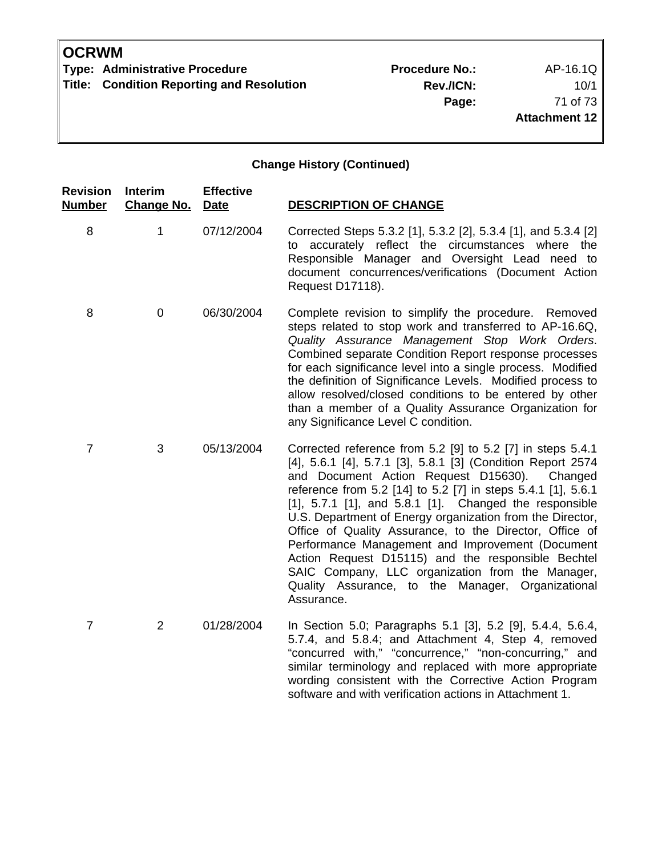**Rev./ICN:** 10/1 **Page:** 71 of 73 **Attachment 12**

| Revision<br>Number | <b>Interim</b><br><b>Change No.</b> | <b>Effective</b><br><b>Date</b> | <b>DESCRIPTION OF CHANGE</b>                                                                                                                                                                                                                                                                                                                                                                                                                                                                                                                                                                                                                                    |
|--------------------|-------------------------------------|---------------------------------|-----------------------------------------------------------------------------------------------------------------------------------------------------------------------------------------------------------------------------------------------------------------------------------------------------------------------------------------------------------------------------------------------------------------------------------------------------------------------------------------------------------------------------------------------------------------------------------------------------------------------------------------------------------------|
| 8                  | 1                                   | 07/12/2004                      | Corrected Steps 5.3.2 [1], 5.3.2 [2], 5.3.4 [1], and 5.3.4 [2]<br>to accurately reflect the circumstances where the<br>Responsible Manager and Oversight Lead need to<br>document concurrences/verifications (Document Action<br>Request D17118).                                                                                                                                                                                                                                                                                                                                                                                                               |
| 8                  | $\mathbf 0$                         | 06/30/2004                      | Complete revision to simplify the procedure. Removed<br>steps related to stop work and transferred to AP-16.6Q,<br>Quality Assurance Management Stop Work Orders.<br>Combined separate Condition Report response processes<br>for each significance level into a single process. Modified<br>the definition of Significance Levels. Modified process to<br>allow resolved/closed conditions to be entered by other<br>than a member of a Quality Assurance Organization for<br>any Significance Level C condition.                                                                                                                                              |
| $\overline{7}$     | 3                                   | 05/13/2004                      | Corrected reference from 5.2 [9] to 5.2 [7] in steps 5.4.1<br>[4], 5.6.1 [4], 5.7.1 [3], 5.8.1 [3] (Condition Report 2574<br>and Document Action Request D15630).<br>Changed<br>reference from 5.2 [14] to 5.2 [7] in steps 5.4.1 [1], 5.6.1<br>[1], 5.7.1 [1], and 5.8.1 [1]. Changed the responsible<br>U.S. Department of Energy organization from the Director,<br>Office of Quality Assurance, to the Director, Office of<br>Performance Management and Improvement (Document<br>Action Request D15115) and the responsible Bechtel<br>SAIC Company, LLC organization from the Manager,<br>Quality Assurance, to the Manager, Organizational<br>Assurance. |
| $\overline{7}$     | $\overline{2}$                      | 01/28/2004                      | In Section 5.0; Paragraphs 5.1 [3], 5.2 [9], 5.4.4, 5.6.4,<br>5.7.4, and 5.8.4; and Attachment 4, Step 4, removed<br>"concurred with," "concurrence," "non-concurring," and<br>similar terminology and replaced with more appropriate<br>wording consistent with the Corrective Action Program<br>software and with verification actions in Attachment 1.                                                                                                                                                                                                                                                                                                       |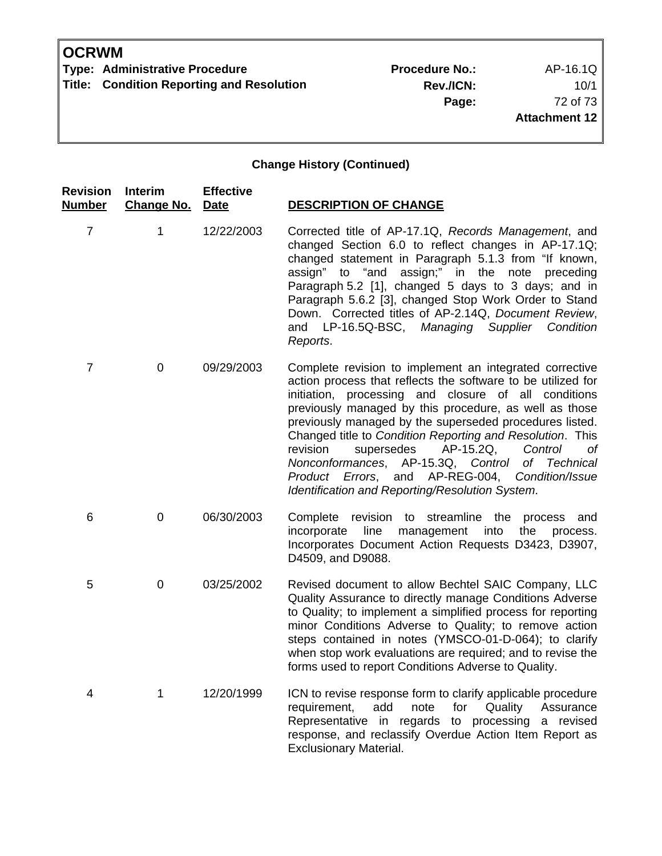## **OCRWM**

**Type: Administrative Procedure No.:** Procedure No.: AP-16.1Q **Title: Condition Reporting and Resolution** 

**Rev./ICN:** 10/1 **Page:** 72 of 73 **Attachment 12**

## **Change History (Continued)**

| <b>Revision</b><br><b>Number</b> | <b>Interim</b><br><b>Change No.</b> | <b>Effective</b><br>Date | <b>DESCRIPTION OF CHANGE</b>                                                                                                                                                                                                                                                                                                                                                                                                                                                                                                                                                             |
|----------------------------------|-------------------------------------|--------------------------|------------------------------------------------------------------------------------------------------------------------------------------------------------------------------------------------------------------------------------------------------------------------------------------------------------------------------------------------------------------------------------------------------------------------------------------------------------------------------------------------------------------------------------------------------------------------------------------|
| 7                                | 1                                   | 12/22/2003               | Corrected title of AP-17.1Q, Records Management, and<br>changed Section 6.0 to reflect changes in AP-17.1Q;<br>changed statement in Paragraph 5.1.3 from "If known,<br>assign;" in the note preceding<br>assign" to "and<br>Paragraph 5.2 [1], changed 5 days to 3 days; and in<br>Paragraph 5.6.2 [3], changed Stop Work Order to Stand<br>Down. Corrected titles of AP-2.14Q, Document Review,<br>and LP-16.5Q-BSC,<br>Managing Supplier<br>Condition<br>Reports.                                                                                                                      |
| 7                                | 0                                   | 09/29/2003               | Complete revision to implement an integrated corrective<br>action process that reflects the software to be utilized for<br>initiation, processing and closure of all conditions<br>previously managed by this procedure, as well as those<br>previously managed by the superseded procedures listed.<br>Changed title to Condition Reporting and Resolution. This<br>revision<br>supersedes<br>AP-15.2Q,<br>Control<br>of<br>Nonconformances, AP-15.3Q, Control<br>of Technical<br>and AP-REG-004, Condition/Issue<br>Product Errors,<br>Identification and Reporting/Resolution System. |
| 6                                | 0                                   | 06/30/2003               | streamline the<br>Complete<br>revision to<br>process<br>and<br>line<br>management<br>incorporate<br>into<br>the<br>process.<br>Incorporates Document Action Requests D3423, D3907,<br>D4509, and D9088.                                                                                                                                                                                                                                                                                                                                                                                  |
| 5                                | $\pmb{0}$                           | 03/25/2002               | Revised document to allow Bechtel SAIC Company, LLC<br>Quality Assurance to directly manage Conditions Adverse<br>to Quality; to implement a simplified process for reporting<br>minor Conditions Adverse to Quality; to remove action<br>steps contained in notes (YMSCO-01-D-064); to clarify<br>when stop work evaluations are required; and to revise the<br>forms used to report Conditions Adverse to Quality.                                                                                                                                                                     |
| 4                                | 1                                   | 12/20/1999               | ICN to revise response form to clarify applicable procedure<br>add<br>note<br>for<br>Quality<br>requirement,<br>Assurance<br>Representative in regards to processing a revised<br>response, and reclassify Overdue Action Item Report as<br><b>Exclusionary Material.</b>                                                                                                                                                                                                                                                                                                                |